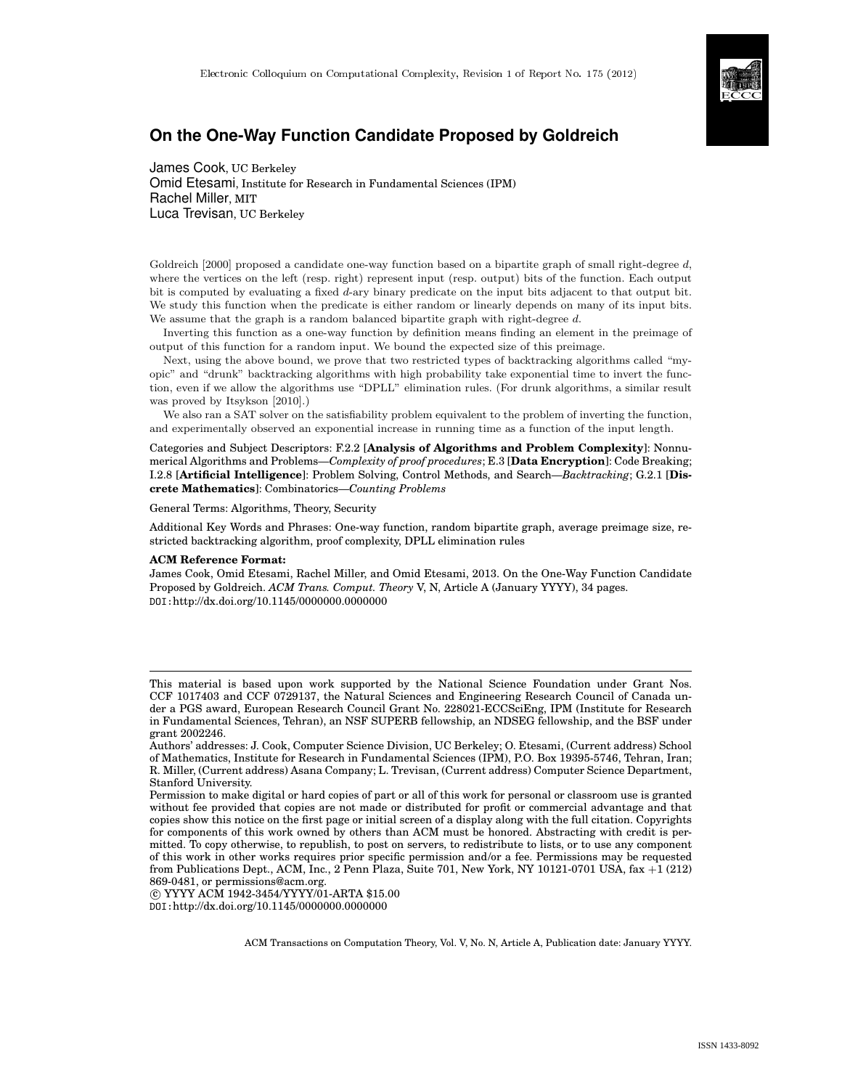

# **On the One-Way Function Candidate Proposed by Goldreich**

James Cook, UC Berkeley Omid Etesami, Institute for Research in Fundamental Sciences (IPM) Rachel Miller, MIT Luca Trevisan, UC Berkeley

Goldreich [2000] proposed a candidate one-way function based on a bipartite graph of small right-degree d, where the vertices on the left (resp. right) represent input (resp. output) bits of the function. Each output bit is computed by evaluating a fixed d-ary binary predicate on the input bits adjacent to that output bit. We study this function when the predicate is either random or linearly depends on many of its input bits. We assume that the graph is a random balanced bipartite graph with right-degree d.

Inverting this function as a one-way function by definition means finding an element in the preimage of output of this function for a random input. We bound the expected size of this preimage.

Next, using the above bound, we prove that two restricted types of backtracking algorithms called "myopic" and "drunk" backtracking algorithms with high probability take exponential time to invert the function, even if we allow the algorithms use "DPLL" elimination rules. (For drunk algorithms, a similar result was proved by Itsykson [2010].)

We also ran a SAT solver on the satisfiability problem equivalent to the problem of inverting the function, and experimentally observed an exponential increase in running time as a function of the input length.

Categories and Subject Descriptors: F.2.2 [**Analysis of Algorithms and Problem Complexity**]: Nonnumerical Algorithms and Problems—*Complexity of proof procedures*; E.3 [**Data Encryption**]: Code Breaking; I.2.8 [**Artificial Intelligence**]: Problem Solving, Control Methods, and Search—*Backtracking*; G.2.1 [**Discrete Mathematics**]: Combinatorics—*Counting Problems*

General Terms: Algorithms, Theory, Security

Additional Key Words and Phrases: One-way function, random bipartite graph, average preimage size, restricted backtracking algorithm, proof complexity, DPLL elimination rules

#### **ACM Reference Format:**

James Cook, Omid Etesami, Rachel Miller, and Omid Etesami, 2013. On the One-Way Function Candidate Proposed by Goldreich. *ACM Trans. Comput. Theory* V, N, Article A (January YYYY), 34 pages. DOI:http://dx.doi.org/10.1145/0000000.0000000

 c YYYY ACM 1942-3454/YYYY/01-ARTA \$15.00 DOI:http://dx.doi.org/10.1145/0000000.0000000

ACM Transactions on Computation Theory, Vol. V, No. N, Article A, Publication date: January YYYY.

This material is based upon work supported by the National Science Foundation under Grant Nos. CCF 1017403 and CCF 0729137, the Natural Sciences and Engineering Research Council of Canada under a PGS award, European Research Council Grant No. 228021-ECCSciEng, IPM (Institute for Research in Fundamental Sciences, Tehran), an NSF SUPERB fellowship, an NDSEG fellowship, and the BSF under grant 2002246.

Authors' addresses: J. Cook, Computer Science Division, UC Berkeley; O. Etesami, (Current address) School of Mathematics, Institute for Research in Fundamental Sciences (IPM), P.O. Box 19395-5746, Tehran, Iran; R. Miller, (Current address) Asana Company; L. Trevisan, (Current address) Computer Science Department, Stanford University.

Permission to make digital or hard copies of part or all of this work for personal or classroom use is granted without fee provided that copies are not made or distributed for profit or commercial advantage and that copies show this notice on the first page or initial screen of a display along with the full citation. Copyrights for components of this work owned by others than ACM must be honored. Abstracting with credit is permitted. To copy otherwise, to republish, to post on servers, to redistribute to lists, or to use any component of this work in other works requires prior specific permission and/or a fee. Permissions may be requested from Publications Dept., ACM, Inc., 2 Penn Plaza, Suite 701, New York, NY 10121-0701 USA, fax +1 (212) 869-0481, or permissions@acm.org.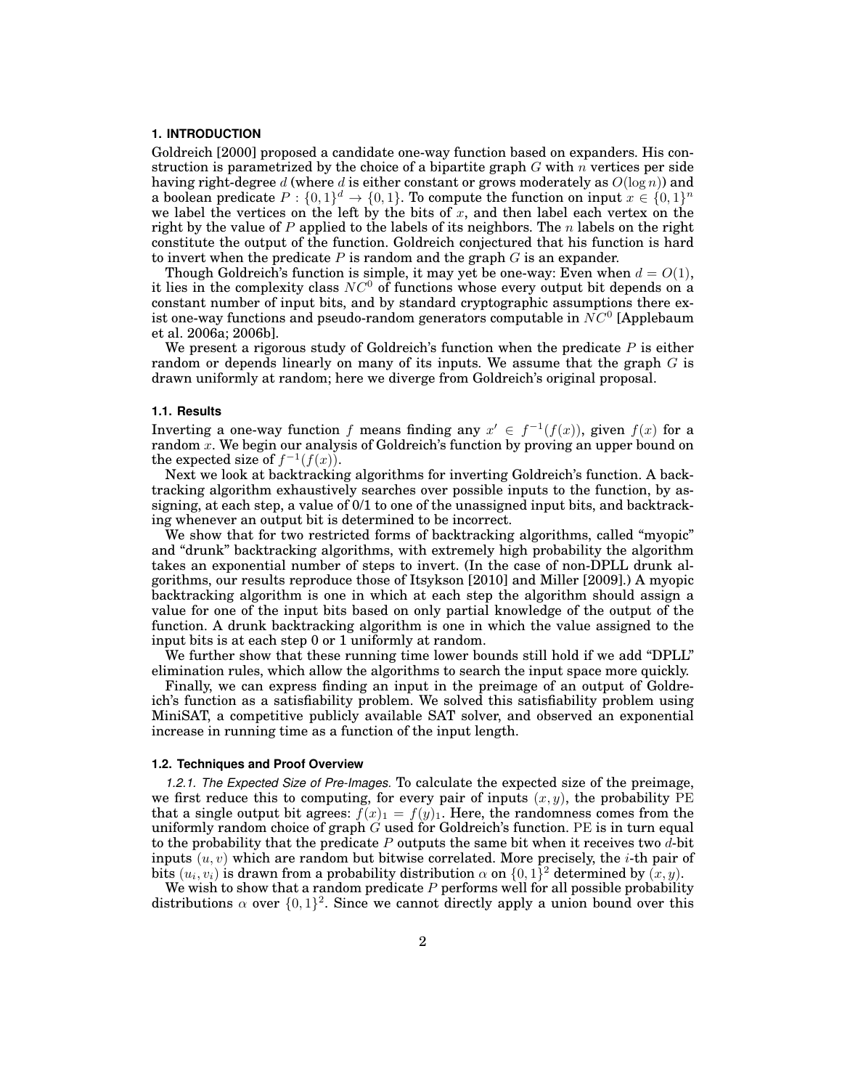## **1. INTRODUCTION**

Goldreich [2000] proposed a candidate one-way function based on expanders. His construction is parametrized by the choice of a bipartite graph  $G$  with  $n$  vertices per side having right-degree d (where d is either constant or grows moderately as  $O(\log n)$ ) and a boolean predicate  $P: \{0,1\}^d \to \{0,1\}$ . To compute the function on input  $x \in \{0,1\}^n$ we label the vertices on the left by the bits of x, and then label each vertex on the right by the value of P applied to the labels of its neighbors. The  $n$  labels on the right constitute the output of the function. Goldreich conjectured that his function is hard to invert when the predicate  $P$  is random and the graph  $G$  is an expander.

Though Goldreich's function is simple, it may yet be one-way: Even when  $d = O(1)$ , it lies in the complexity class  $NC<sup>0</sup>$  of functions whose every output bit depends on a constant number of input bits, and by standard cryptographic assumptions there exist one-way functions and pseudo-random generators computable in  $NC^0$  [Applebaum et al. 2006a; 2006b].

We present a rigorous study of Goldreich's function when the predicate  $P$  is either random or depends linearly on many of its inputs. We assume that the graph  $G$  is drawn uniformly at random; here we diverge from Goldreich's original proposal.

#### **1.1. Results**

Inverting a one-way function f means finding any  $x' \in f^{-1}(f(x))$ , given  $f(x)$  for a random  $x$ . We begin our analysis of Goldreich's function by proving an upper bound on the expected size of  $f^{-1}(f(x))$ .

Next we look at backtracking algorithms for inverting Goldreich's function. A backtracking algorithm exhaustively searches over possible inputs to the function, by assigning, at each step, a value of 0/1 to one of the unassigned input bits, and backtracking whenever an output bit is determined to be incorrect.

We show that for two restricted forms of backtracking algorithms, called "myopic" and "drunk" backtracking algorithms, with extremely high probability the algorithm takes an exponential number of steps to invert. (In the case of non-DPLL drunk algorithms, our results reproduce those of Itsykson [2010] and Miller [2009].) A myopic backtracking algorithm is one in which at each step the algorithm should assign a value for one of the input bits based on only partial knowledge of the output of the function. A drunk backtracking algorithm is one in which the value assigned to the input bits is at each step 0 or 1 uniformly at random.

We further show that these running time lower bounds still hold if we add "DPLL" elimination rules, which allow the algorithms to search the input space more quickly.

Finally, we can express finding an input in the preimage of an output of Goldreich's function as a satisfiability problem. We solved this satisfiability problem using MiniSAT, a competitive publicly available SAT solver, and observed an exponential increase in running time as a function of the input length.

### **1.2. Techniques and Proof Overview**

*1.2.1. The Expected Size of Pre-Images.* To calculate the expected size of the preimage, we first reduce this to computing, for every pair of inputs  $(x, y)$ , the probability PE that a single output bit agrees:  $f(x)_1 = f(y)_1$ . Here, the randomness comes from the uniformly random choice of graph  $G$  used for Goldreich's function. PE is in turn equal to the probability that the predicate  $P$  outputs the same bit when it receives two  $d$ -bit inputs  $(u, v)$  which are random but bitwise correlated. More precisely, the *i*-th pair of bits  $(u_i, v_i)$  is drawn from a probability distribution  $\alpha$  on  $\{0, 1\}^2$  determined by  $(x, y)$ .

We wish to show that a random predicate  $P$  performs well for all possible probability distributions  $\alpha$  over  $\{0,1\}^2$ . Since we cannot directly apply a union bound over this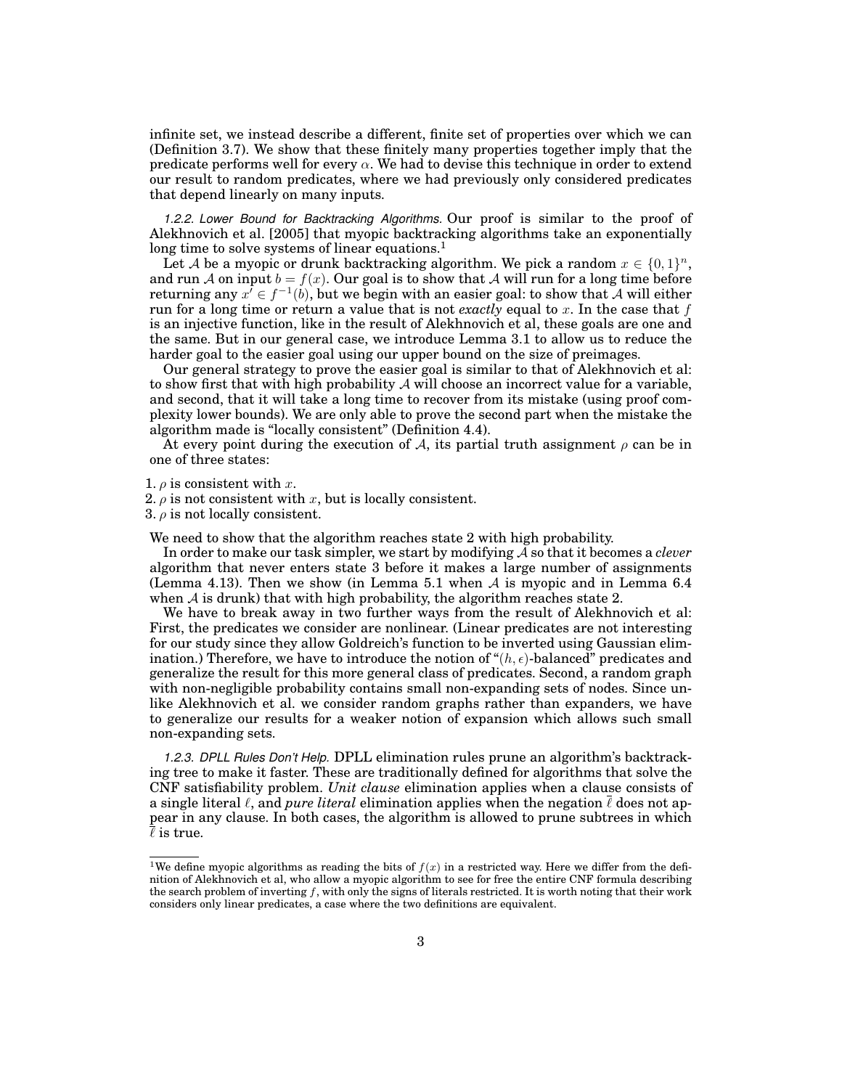infinite set, we instead describe a different, finite set of properties over which we can (Definition 3.7). We show that these finitely many properties together imply that the predicate performs well for every  $\alpha$ . We had to devise this technique in order to extend our result to random predicates, where we had previously only considered predicates that depend linearly on many inputs.

*1.2.2. Lower Bound for Backtracking Algorithms.* Our proof is similar to the proof of Alekhnovich et al. [2005] that myopic backtracking algorithms take an exponentially long time to solve systems of linear equations.<sup>1</sup>

Let A be a myopic or drunk backtracking algorithm. We pick a random  $x \in \{0,1\}^n$ , and run A on input  $b = f(x)$ . Our goal is to show that A will run for a long time before returning any  $x^7 \in f^{-1}(b)$ , but we begin with an easier goal: to show that  $\overline{\mathcal{A}}$  will either run for a long time or return a value that is not *exactly* equal to x. In the case that  $f$ is an injective function, like in the result of Alekhnovich et al, these goals are one and the same. But in our general case, we introduce Lemma 3.1 to allow us to reduce the harder goal to the easier goal using our upper bound on the size of preimages.

Our general strategy to prove the easier goal is similar to that of Alekhnovich et al: to show first that with high probability  $\mathcal A$  will choose an incorrect value for a variable, and second, that it will take a long time to recover from its mistake (using proof complexity lower bounds). We are only able to prove the second part when the mistake the algorithm made is "locally consistent" (Definition 4.4).

At every point during the execution of A, its partial truth assignment  $\rho$  can be in one of three states:

1.  $\rho$  is consistent with x.

2.  $\rho$  is not consistent with x, but is locally consistent.

3.  $\rho$  is not locally consistent.

We need to show that the algorithm reaches state 2 with high probability.

In order to make our task simpler, we start by modifying A so that it becomes a *clever* algorithm that never enters state 3 before it makes a large number of assignments (Lemma 4.13). Then we show (in Lemma 5.1 when  $A$  is myopic and in Lemma 6.4 when  $A$  is drunk) that with high probability, the algorithm reaches state 2.

We have to break away in two further ways from the result of Alekhnovich et al: First, the predicates we consider are nonlinear. (Linear predicates are not interesting for our study since they allow Goldreich's function to be inverted using Gaussian elimination.) Therefore, we have to introduce the notion of " $(h, \epsilon)$ -balanced" predicates and generalize the result for this more general class of predicates. Second, a random graph with non-negligible probability contains small non-expanding sets of nodes. Since unlike Alekhnovich et al. we consider random graphs rather than expanders, we have to generalize our results for a weaker notion of expansion which allows such small non-expanding sets.

*1.2.3. DPLL Rules Don't Help.* DPLL elimination rules prune an algorithm's backtracking tree to make it faster. These are traditionally defined for algorithms that solve the CNF satisfiability problem. *Unit clause* elimination applies when a clause consists of a single literal  $\ell$ , and *pure literal* elimination applies when the negation  $\ell$  does not appear in any clause. In both cases, the algorithm is allowed to prune subtrees in which  $\overline{\ell}$  is true.

<sup>&</sup>lt;sup>1</sup>We define myopic algorithms as reading the bits of  $f(x)$  in a restricted way. Here we differ from the definition of Alekhnovich et al, who allow a myopic algorithm to see for free the entire CNF formula describing the search problem of inverting  $f$ , with only the signs of literals restricted. It is worth noting that their work considers only linear predicates, a case where the two definitions are equivalent.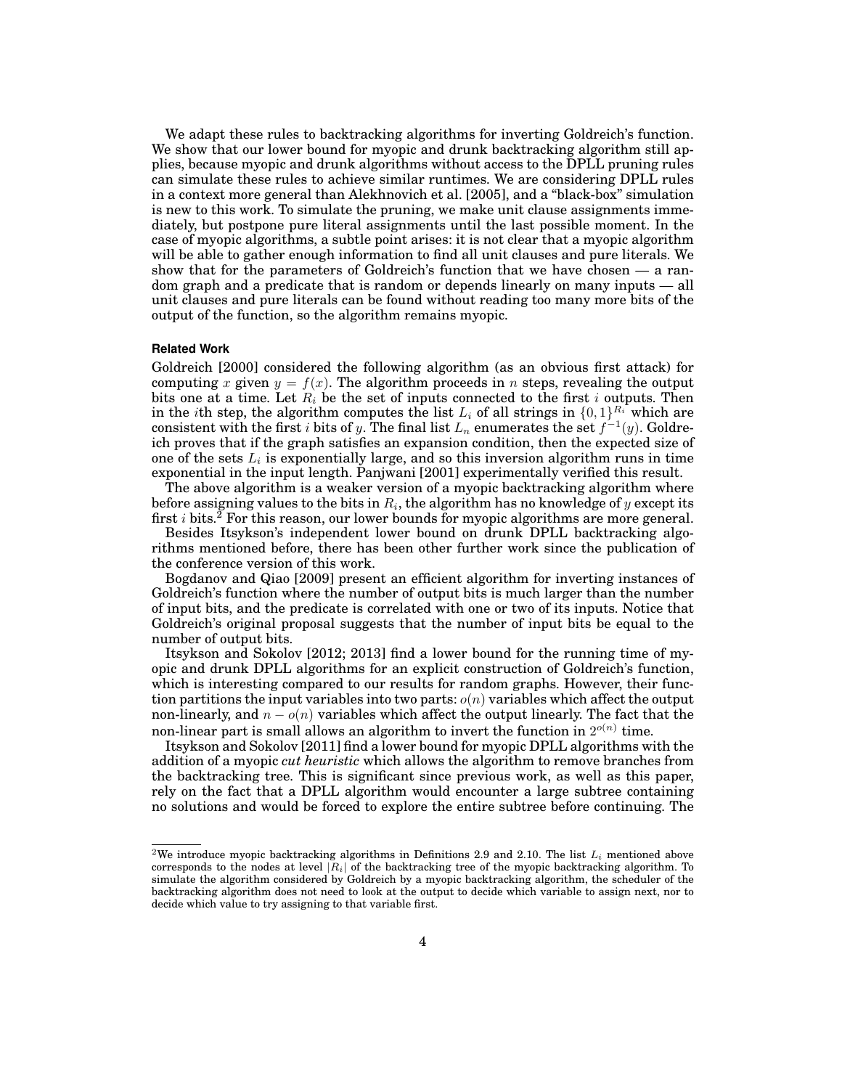We adapt these rules to backtracking algorithms for inverting Goldreich's function. We show that our lower bound for myopic and drunk backtracking algorithm still applies, because myopic and drunk algorithms without access to the DPLL pruning rules can simulate these rules to achieve similar runtimes. We are considering DPLL rules in a context more general than Alekhnovich et al. [2005], and a "black-box" simulation is new to this work. To simulate the pruning, we make unit clause assignments immediately, but postpone pure literal assignments until the last possible moment. In the case of myopic algorithms, a subtle point arises: it is not clear that a myopic algorithm will be able to gather enough information to find all unit clauses and pure literals. We show that for the parameters of Goldreich's function that we have chosen — a random graph and a predicate that is random or depends linearly on many inputs — all unit clauses and pure literals can be found without reading too many more bits of the output of the function, so the algorithm remains myopic.

#### **Related Work**

Goldreich [2000] considered the following algorithm (as an obvious first attack) for computing x given  $y = f(x)$ . The algorithm proceeds in n steps, revealing the output bits one at a time. Let  $R_i$  be the set of inputs connected to the first i outputs. Then in the ith step, the algorithm computes the list  $L_i$  of all strings in  $\{0,1\}^{R_i}$  which are consistent with the first  $i$  bits of  $y.$  The final list  $L_n$  enumerates the set  $f^{-1}(y).$  Goldreich proves that if the graph satisfies an expansion condition, then the expected size of one of the sets  $L_i$  is exponentially large, and so this inversion algorithm runs in time exponential in the input length. Panjwani [2001] experimentally verified this result.

The above algorithm is a weaker version of a myopic backtracking algorithm where before assigning values to the bits in  $R_i,$  the algorithm has no knowledge of  $y$  except its first  $i$  bits.<sup>2</sup> For this reason, our lower bounds for myopic algorithms are more general.

Besides Itsykson's independent lower bound on drunk DPLL backtracking algorithms mentioned before, there has been other further work since the publication of the conference version of this work.

Bogdanov and Qiao [2009] present an efficient algorithm for inverting instances of Goldreich's function where the number of output bits is much larger than the number of input bits, and the predicate is correlated with one or two of its inputs. Notice that Goldreich's original proposal suggests that the number of input bits be equal to the number of output bits.

Itsykson and Sokolov [2012; 2013] find a lower bound for the running time of myopic and drunk DPLL algorithms for an explicit construction of Goldreich's function, which is interesting compared to our results for random graphs. However, their function partitions the input variables into two parts:  $o(n)$  variables which affect the output non-linearly, and  $n - o(n)$  variables which affect the output linearly. The fact that the non-linear part is small allows an algorithm to invert the function in  $2^{o(n)}$  time.

Itsykson and Sokolov [2011] find a lower bound for myopic DPLL algorithms with the addition of a myopic *cut heuristic* which allows the algorithm to remove branches from the backtracking tree. This is significant since previous work, as well as this paper, rely on the fact that a DPLL algorithm would encounter a large subtree containing no solutions and would be forced to explore the entire subtree before continuing. The

<sup>&</sup>lt;sup>2</sup>We introduce myopic backtracking algorithms in Definitions 2.9 and 2.10. The list  $L_i$  mentioned above corresponds to the nodes at level  $|R_i|$  of the backtracking tree of the myopic backtracking algorithm. To simulate the algorithm considered by Goldreich by a myopic backtracking algorithm, the scheduler of the backtracking algorithm does not need to look at the output to decide which variable to assign next, nor to decide which value to try assigning to that variable first.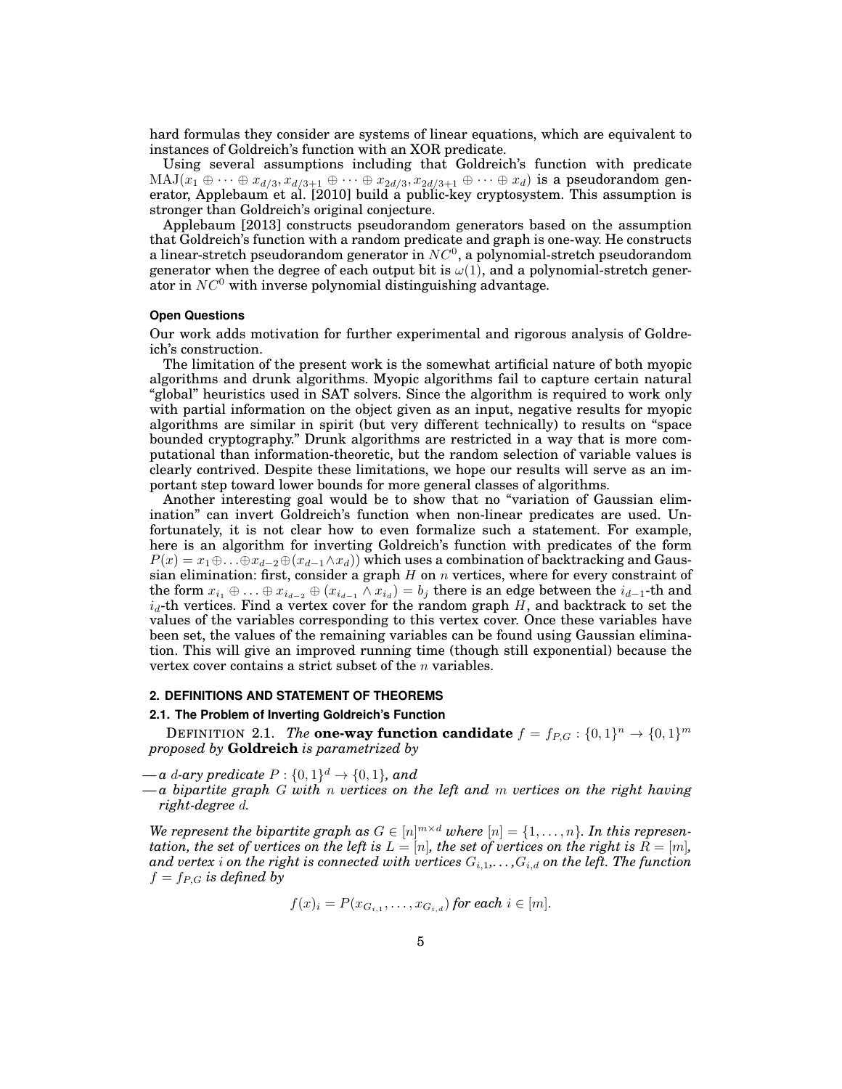hard formulas they consider are systems of linear equations, which are equivalent to instances of Goldreich's function with an XOR predicate.

Using several assumptions including that Goldreich's function with predicate  ${\rm MAJ}(x_1 \oplus \cdots \oplus x_{d/3}, x_{d/3+1} \oplus \cdots \oplus x_{2d/3}, x_{2d/3+1} \oplus \cdots \oplus x_d)$  is a pseudorandom generator, Applebaum et al. [2010] build a public-key cryptosystem. This assumption is stronger than Goldreich's original conjecture.

Applebaum [2013] constructs pseudorandom generators based on the assumption that Goldreich's function with a random predicate and graph is one-way. He constructs a linear-stretch pseudorandom generator in  $NC^0$ , a polynomial-stretch pseudorandom generator when the degree of each output bit is  $\omega(1)$ , and a polynomial-stretch generator in  $NC^0$  with inverse polynomial distinguishing advantage.

## **Open Questions**

Our work adds motivation for further experimental and rigorous analysis of Goldreich's construction.

The limitation of the present work is the somewhat artificial nature of both myopic algorithms and drunk algorithms. Myopic algorithms fail to capture certain natural "global" heuristics used in SAT solvers. Since the algorithm is required to work only with partial information on the object given as an input, negative results for myopic algorithms are similar in spirit (but very different technically) to results on "space bounded cryptography." Drunk algorithms are restricted in a way that is more computational than information-theoretic, but the random selection of variable values is clearly contrived. Despite these limitations, we hope our results will serve as an important step toward lower bounds for more general classes of algorithms.

Another interesting goal would be to show that no "variation of Gaussian elimination" can invert Goldreich's function when non-linear predicates are used. Unfortunately, it is not clear how to even formalize such a statement. For example, here is an algorithm for inverting Goldreich's function with predicates of the form  $P(x) = x_1 \oplus \ldots \oplus x_{d-2} \oplus (x_{d-1} \wedge x_d)$  which uses a combination of backtracking and Gaussian elimination: first, consider a graph  $H$  on  $n$  vertices, where for every constraint of the form  $x_{i_1} \oplus ... \oplus x_{i_{d-2}} \oplus (x_{i_{d-1}} \wedge x_{i_d}) = b_j$  there is an edge between the  $i_{d-1}$ -th and  $i_d$ -th vertices. Find a vertex cover for the random graph H, and backtrack to set the values of the variables corresponding to this vertex cover. Once these variables have been set, the values of the remaining variables can be found using Gaussian elimination. This will give an improved running time (though still exponential) because the vertex cover contains a strict subset of the  $n$  variables.

### **2. DEFINITIONS AND STATEMENT OF THEOREMS**

#### **2.1. The Problem of Inverting Goldreich's Function**

DEFINITION 2.1. The **one-way function candidate**  $f = f_{P,G} : \{0,1\}^n \rightarrow \{0,1\}^m$ *proposed by* **Goldreich** *is parametrized by*

- $-a$  *d*-ary predicate  $P: \{0,1\}^d \rightarrow \{0,1\}$ , and
- *— a bipartite graph* G *with* n *vertices on the left and* m *vertices on the right having right-degree* d*.*

*We represent the bipartite graph as*  $G \in [n]^{m \times d}$  where  $[n] = \{1, \ldots, n\}$ . In this represen*tation, the set of vertices on the left is*  $L = [n]$ *, the set of vertices on the right is*  $R = [m]$ *,* and vertex *i* on the right is connected with vertices  $G_{i,1},\ldots,G_{i,d}$  on the left. The function  $f = f_{P,G}$  *is defined by* 

$$
f(x)_i = P(x_{G_{i,1}},\ldots,x_{G_{i,d}}) \text{ for each } i \in [m].
$$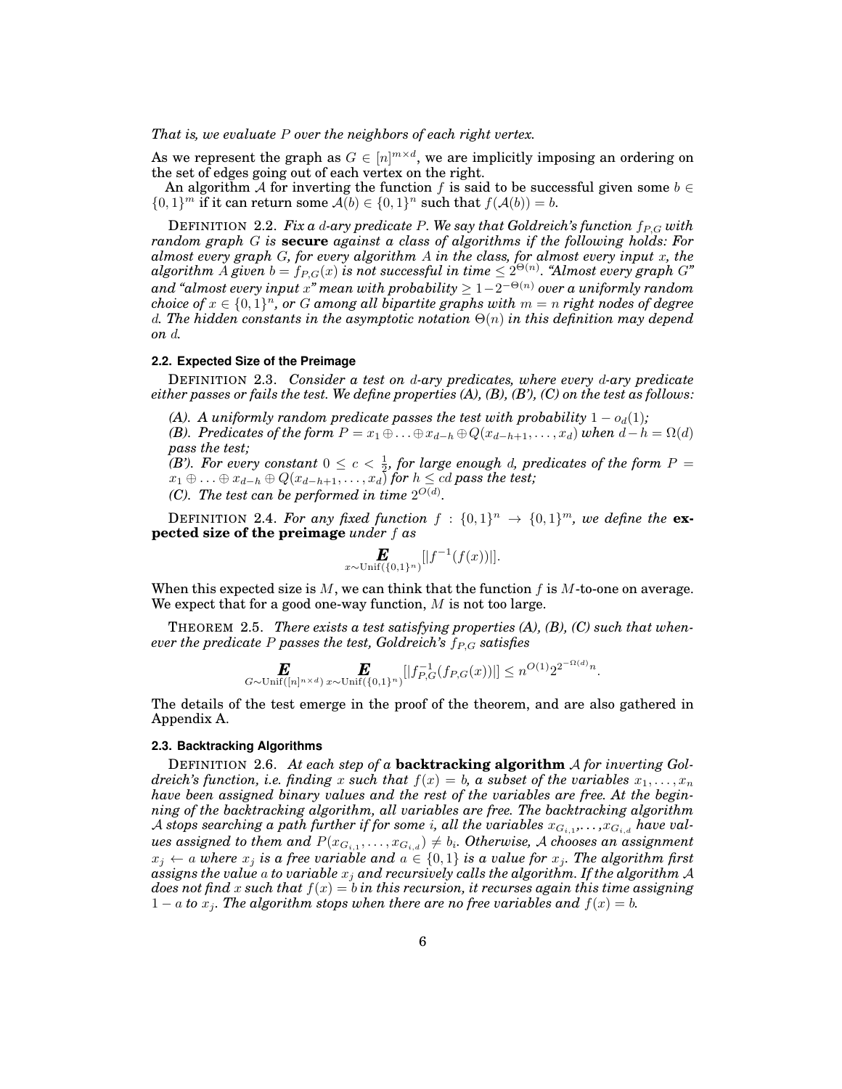*That is, we evaluate* P *over the neighbors of each right vertex.*

As we represent the graph as  $G \in [n]^{m \times d}$ , we are implicitly imposing an ordering on the set of edges going out of each vertex on the right.

An algorithm A for inverting the function f is said to be successful given some  $b \in$  $\{0,1\}^m$  if it can return some  $\mathcal{A}(b) \in \{0,1\}^n$  such that  $f(\mathcal{A}(b)) = b$ .

DEFINITION 2.2. Fix a *d-ary predicate P.* We say that Goldreich's function  $f_{P,G}$  with *random graph* G *is* **secure** *against a class of algorithms if the following holds: For almost every graph* G*, for every algorithm* A *in the class, for almost every input* x*, the*  $a$ lgorithm  $\dot{A}$  given  $b = f_{P,G}(x)$  is not successful in time  $\leq 2^{\Theta(n)}.$  "Almost every graph  $G$ " *and "almost every input* x*" mean with probability* ≥ 1−2 <sup>−</sup>Θ(n) *over a uniformly random choice of*  $x \in \{0,1\}^n$ , or G among all bipartite graphs with  $m = n$  right nodes of degree d. The hidden constants in the asymptotic notation  $\Theta(n)$  in this definition may depend *on* d*.*

## **2.2. Expected Size of the Preimage**

DEFINITION 2.3. *Consider a test on* d*-ary predicates, where every* d*-ary predicate either passes or fails the test. We define properties (A), (B), (B'), (C) on the test as follows:*

*(A). A uniformly random predicate passes the test with probability*  $1 - o_d(1)$ *;* 

*(B). Predicates of the form*  $P = x_1 \oplus \ldots \oplus x_{d-h} \oplus Q(x_{d-h+1}, \ldots, x_d)$  *when*  $d-h = \Omega(d)$ *pass the test;*

*(B'). For every constant*  $0 \leq c < \frac{1}{2}$ , for large enough d, predicates of the form P =  $x_1 \oplus \ldots \oplus x_{d-h} \oplus Q(x_{d-h+1}, \ldots, x_d)$  *for*  $h \leq cd$  *pass the test; (C).* The test can be performed in time  $2^{O(d)}$ .

**DEFINITION 2.4. For any fixed function**  $f : \{0,1\}^n \rightarrow \{0,1\}^m$ , we define the **expected size of the preimage** *under* f *as*

$$
\mathbf{E}_{x \sim \text{Unif}(\{0,1\}^n)}[|f^{-1}(f(x))|].
$$

When this expected size is  $M$ , we can think that the function  $f$  is  $M$ -to-one on average. We expect that for a good one-way function,  $M$  is not too large.

THEOREM 2.5. *There exists a test satisfying properties (A), (B), (C) such that whenever the predicate* P passes the test, Goldreich's  $f_{P,G}$  satisfies

$$
\mathbf{E}_{G \sim \text{Unif}([n]^{n \times d})} \mathbf{E}_{\text{Unif}([0,1]^n)}[|f_{P,G}^{-1}(f_{P,G}(x))|] \leq n^{O(1)} 2^{2^{-\Omega(d)} n}.
$$

The details of the test emerge in the proof of the theorem, and are also gathered in Appendix A.

### **2.3. Backtracking Algorithms**

DEFINITION 2.6. *At each step of a* **backtracking algorithm** A *for inverting Goldreich's function, i.e. finding* x *such that*  $f(x) = b$ , a *subset of the variables*  $x_1, \ldots, x_n$ *have been assigned binary values and the rest of the variables are free. At the beginning of the backtracking algorithm, all variables are free. The backtracking algorithm* A stops searching a path further if for some  $i$ , all the variables  $x_{G_{i,1}},\ldots,x_{G_{i,d}}$  have val $u$ es assigned to them and  $P(x_{G_{i,1}},\ldots,x_{G_{i,d}})\neq b_i.$  Otherwise,  ${\mathcal{A}}$  chooses an assignment  $x_j \leftarrow a$  where  $x_j$  *is a free variable and*  $a \in \{0,1\}$  *is a value for*  $x_j$ *. The algorithm first assigns the value* a *to variable* x<sup>j</sup> *and recursively calls the algorithm. If the algorithm* A *does not find* x *such that* f(x) = b *in this recursion, it recurses again this time assigning*  $1 - a$  *to*  $x_j$ . The algorithm stops when there are no free variables and  $f(x) = b$ .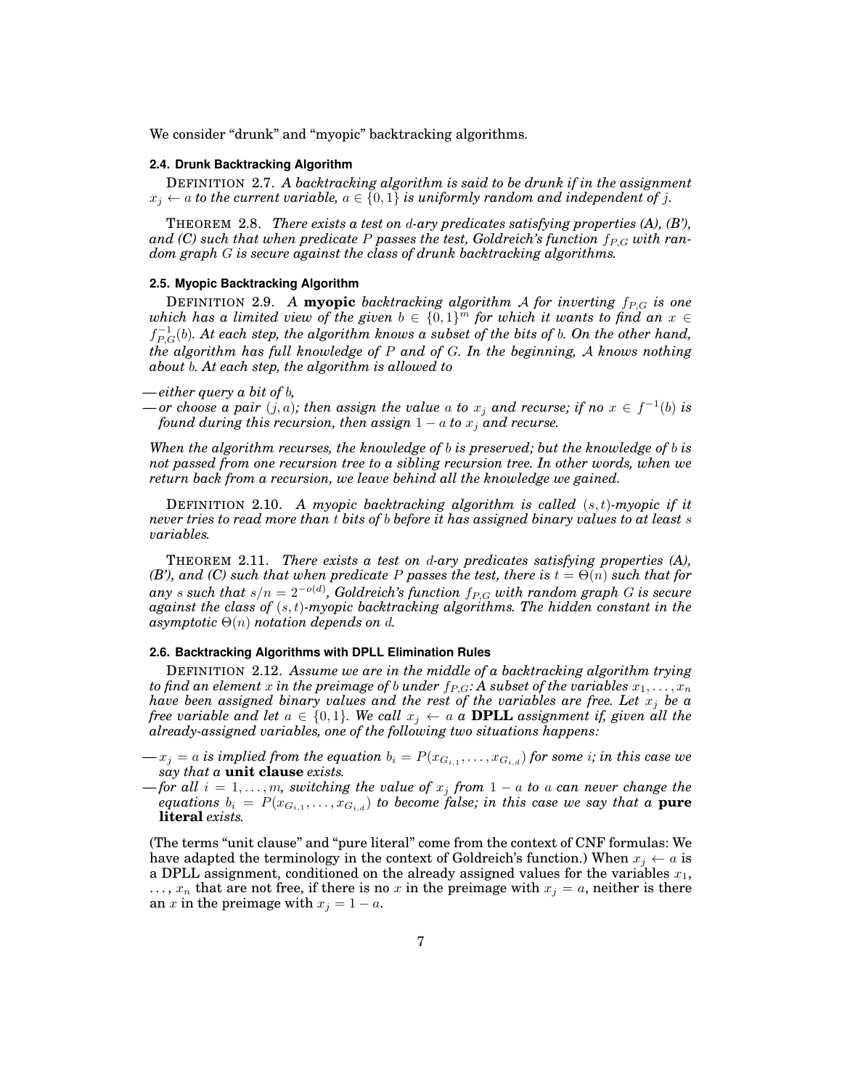We consider "drunk" and "myopic" backtracking algorithms.

#### **2.4. Drunk Backtracking Algorithm**

DEFINITION 2.7. *A backtracking algorithm is said to be drunk if in the assignment*  $x_i \leftarrow a$  *to the current variable,*  $a \in \{0, 1\}$  *is uniformly random and independent of j.* 

THEOREM 2.8. *There exists a test on* d*-ary predicates satisfying properties (A), (B'),* and (C) such that when predicate P passes the test, Goldreich's function  $f_{P,G}$  with ran*dom graph* G *is secure against the class of drunk backtracking algorithms.*

## **2.5. Myopic Backtracking Algorithm**

DEFINITION 2.9. A **myopic** *backtracking algorithm A for inverting*  $f_{P,G}$  *is one* which has a limited view of the given  $b \in \{0,1\}^m$  for which it wants to find an  $x \in$  $f_{P,G}^{-1}(b)$ . At each step, the algorithm knows a subset of the bits of  $b$ . On the other hand, *the algorithm has full knowledge of* P *and of* G*. In the beginning,* A *knows nothing about* b*. At each step, the algorithm is allowed to*

## *— either query a bit of* b*,*

 $\rho$  *— or choose a pair*  $(j, a)$ ; then assign the value a to  $x_j$  and recurse; if no  $x \in f^{-1}(b)$  is *found during this recursion, then assign*  $1 - a$  *to*  $x_j$  *and recurse.* 

*When the algorithm recurses, the knowledge of* b *is preserved; but the knowledge of* b *is not passed from one recursion tree to a sibling recursion tree. In other words, when we return back from a recursion, we leave behind all the knowledge we gained.*

DEFINITION 2.10. *A myopic backtracking algorithm is called* (s, t)*-myopic if it never tries to read more than* t *bits of* b *before it has assigned binary values to at least* s *variables.*

THEOREM 2.11. *There exists a test on* d*-ary predicates satisfying properties (A), (B'), and (C) such that when predicate* P passes the test, there is  $t = \Theta(n)$  such that for  $any\ s\ such\ that\ s/n=2^{{-o(d)}}$ , Goldreich's function  $f_{P,G}$  with random graph G is secure *against the class of* (s, t)*-myopic backtracking algorithms. The hidden constant in the*  $a$ *symptotic*  $\Theta(n)$  *notation depends on d.* 

#### **2.6. Backtracking Algorithms with DPLL Elimination Rules**

DEFINITION 2.12. *Assume we are in the middle of a backtracking algorithm trying to find an element* x *in the preimage of b under*  $f_{P,G}$ *:* A subset of the variables  $x_1, \ldots, x_n$ *have been assigned binary values and the rest of the variables are free. Let* x<sup>j</sup> *be a free variable and let*  $a \in \{0, 1\}$ *. We call*  $x_j \leftarrow a$  *a* **DPLL** *assignment if, given all the already-assigned variables, one of the following two situations happens:*

- $-x_j = a$  is implied from the equation  $b_i = P(x_{G_{i,1}}, \ldots, x_{G_{i,d}})$  for some  $i;$  in this case we *say that a* **unit clause** *exists.*
- *—for all*  $i = 1, \ldots, m$ , switching the value of  $x_j$  from  $1 a$  to a can never change the  $equations\,\,b_i\,=\,P(x_{G_{i,1}},\ldots,x_{G_{i,d}})\,\,to\,\,become\,\,false;\,\,in\,\,this\,\,case\,\,we\,\,say\,\,that\,\,a\,\,pure$ **literal** *exists.*

(The terms "unit clause" and "pure literal" come from the context of CNF formulas: We have adapted the terminology in the context of Goldreich's function.) When  $x_j \leftarrow a$  is a DPLL assignment, conditioned on the already assigned values for the variables  $x_1$ ,  $\ldots$ ,  $x_n$  that are not free, if there is no x in the preimage with  $x_j = a$ , neither is there an x in the preimage with  $x_j = 1 - a$ .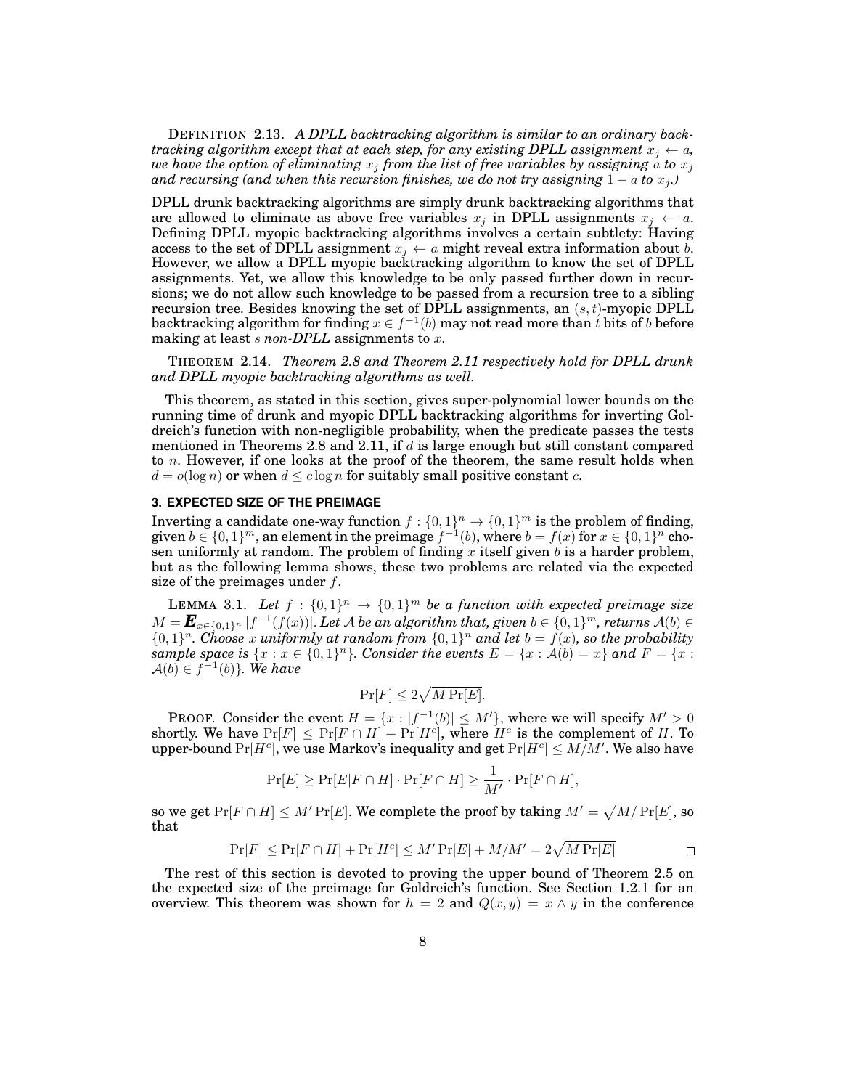DEFINITION 2.13. *A DPLL backtracking algorithm is similar to an ordinary backtracking algorithm except that at each step, for any existing DPLL assignment*  $x_j \leftarrow a$ *, we have the option of eliminating*  $x_j$  *from the list of free variables by assigning*  $\alpha$  *to*  $x_j$ *and recursing (and when this recursion finishes, we do not try assigning*  $1 - a$  *to*  $x_j$ .)

DPLL drunk backtracking algorithms are simply drunk backtracking algorithms that are allowed to eliminate as above free variables  $x_j$  in DPLL assignments  $x_j \leftarrow a$ . Defining DPLL myopic backtracking algorithms involves a certain subtlety: Having access to the set of DPLL assignment  $x_j \leftarrow a$  might reveal extra information about b. However, we allow a DPLL myopic backtracking algorithm to know the set of DPLL assignments. Yet, we allow this knowledge to be only passed further down in recursions; we do not allow such knowledge to be passed from a recursion tree to a sibling recursion tree. Besides knowing the set of DPLL assignments, an  $(s, t)$ -myopic DPLL backtracking algorithm for finding  $x \in f^{-1}(b)$  may not read more than  $t$  bits of  $b$  before making at least *s* non-DPLL assignments to *x*.

THEOREM 2.14. *Theorem 2.8 and Theorem 2.11 respectively hold for DPLL drunk and DPLL myopic backtracking algorithms as well.*

This theorem, as stated in this section, gives super-polynomial lower bounds on the running time of drunk and myopic DPLL backtracking algorithms for inverting Goldreich's function with non-negligible probability, when the predicate passes the tests mentioned in Theorems 2.8 and 2.11, if  $d$  is large enough but still constant compared to  $n$ . However, if one looks at the proof of the theorem, the same result holds when  $d = o(\log n)$  or when  $d \leq c \log n$  for suitably small positive constant c.

## **3. EXPECTED SIZE OF THE PREIMAGE**

Inverting a candidate one-way function  $f: \{0,1\}^n \to \{0,1\}^m$  is the problem of finding, given  $b \in \{0,1\}^m$ , an element in the preimage  $f^{-1}(b)$ , where  $b = f(x)$  for  $x \in \{0,1\}^n$  chosen uniformly at random. The problem of finding  $x$  itself given  $b$  is a harder problem, but as the following lemma shows, these two problems are related via the expected size of the preimages under  $f$ .

LEMMA 3.1. Let  $f : \{0,1\}^n \to \{0,1\}^m$  be a function with expected preimage size  $M = \bm{E}_{x \in \{0,1\}^n}$   $|f^{-1}(f(x))|$ . Let  $\mathcal A$  be an algorithm that, given  $b \in \{0,1\}^m$ , returns  $\mathcal A(b) \in$  $\{0,1\}^n$ . Choose x uniformly at random from  $\{0,1\}^n$  and let  $b = f(x)$ , so the probability  $sample\ space\ is\ \{x:x\in\{0,1\}^n\}.$  Consider the events  $E=\{x:\mathcal{A}(b)=x\}\ and\ F=\{x:\mathcal{A}(b)=x\}$  $\mathcal{A}(b) \in f^{-1}(b)$ . We have

$$
\Pr[F] \le 2\sqrt{M\Pr[E]}.
$$

**PROOF.** Consider the event  $H = \{x : |f^{-1}(b)| \leq M'\}$ , where we will specify  $M' > 0$ shortly. We have  $Pr[F] \leq Pr[F \cap H] + Pr[H^c]$ , where H<sup>c</sup> is the complement of H. To upper-bound  $\Pr[H^c]$ , we use Markov's inequality and get  $\Pr[H^c] \leq M/M'$  . We also have

$$
\Pr[E] \ge \Pr[E|F \cap H] \cdot \Pr[F \cap H] \ge \frac{1}{M'} \cdot \Pr[F \cap H],
$$

so we get  $\Pr[F \cap H] \leq M' \Pr[E]$ . We complete the proof by taking  $M' = \sqrt{M/\Pr[E]}$ , so that

$$
\Pr[F] \le \Pr[F \cap H] + \Pr[H^c] \le M' \Pr[E] + M/M' = 2\sqrt{M \Pr[E]}
$$

The rest of this section is devoted to proving the upper bound of Theorem 2.5 on the expected size of the preimage for Goldreich's function. See Section 1.2.1 for an overview. This theorem was shown for  $h = 2$  and  $Q(x, y) = x \wedge y$  in the conference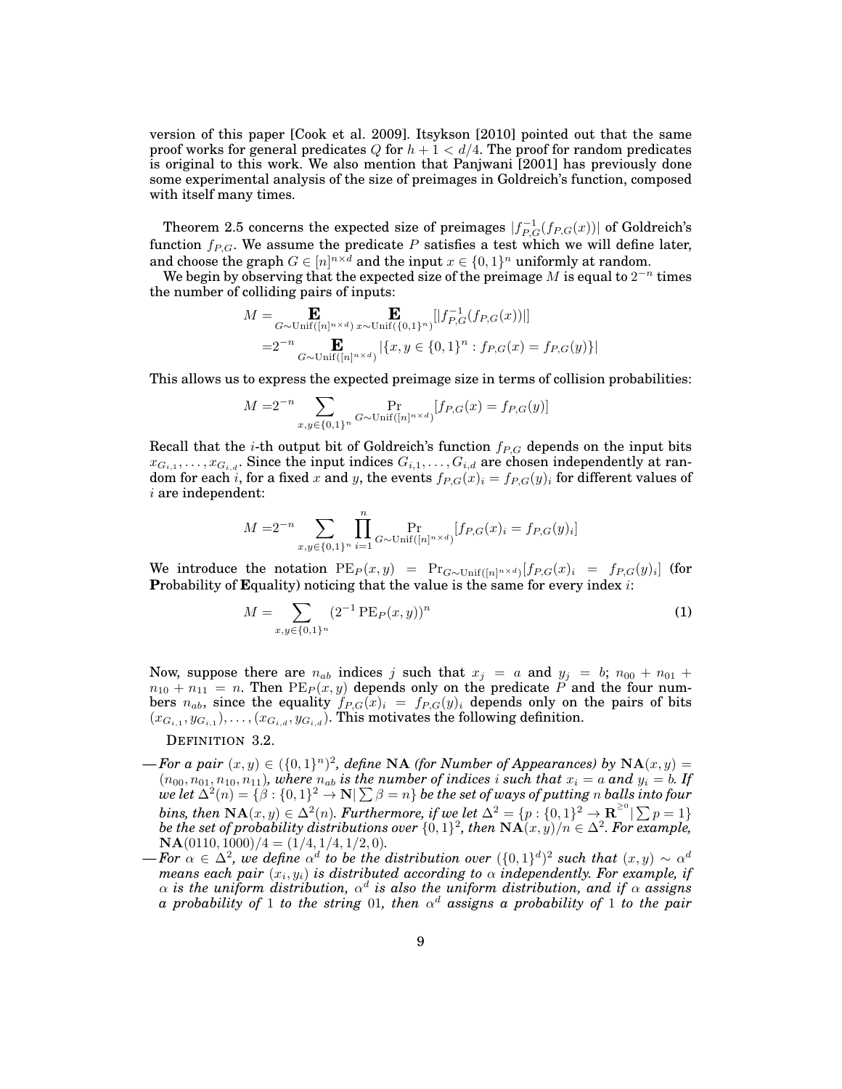version of this paper [Cook et al. 2009]. Itsykson [2010] pointed out that the same proof works for general predicates Q for  $h + 1 < d/4$ . The proof for random predicates is original to this work. We also mention that Panjwani [2001] has previously done some experimental analysis of the size of preimages in Goldreich's function, composed with itself many times.

Theorem 2.5 concerns the expected size of preimages  $|f_{P,G}^{-1}(f_{P,G}(x))|$  of Goldreich's function  $f_{P,G}$ . We assume the predicate P satisfies a test which we will define later, and choose the graph  $G \in [n]^{n \times d}$  and the input  $x \in \{0,1\}^n$  uniformly at random.

We begin by observing that the expected size of the preimage M is equal to  $2^{-n}$  times the number of colliding pairs of inputs:

$$
M = \mathbf{E}_{G \sim \text{Unif}([n]^{n \times d})} \mathbf{E}_{x \sim \text{Unif}(\{0,1\}^n)}[|f_{P,G}^{-1}(f_{P,G}(x))|]
$$
  
=2<sup>-n</sup> 
$$
\mathbf{E}_{G \sim \text{Unif}([n]^{n \times d})}|\{x, y \in \{0,1\}^n : f_{P,G}(x) = f_{P,G}(y)\}|
$$

This allows us to express the expected preimage size in terms of collision probabilities:

$$
M = 2^{-n} \sum_{x,y \in \{0,1\}^n} \Pr_{G \sim \text{Unif}([n]^{n \times d})} [f_{P,G}(x) = f_{P,G}(y)]
$$

Recall that the *i*-th output bit of Goldreich's function  $f_{P,G}$  depends on the input bits  $x_{G_{i,1}},\ldots,x_{G_{i,d}}.$  Since the input indices  $G_{i,1},\ldots,G_{i,d}$  are chosen independently at random for each  $i,$  for a fixed  $x$  and  $y,$  the events  $f_{P,G}(x)_i = f_{P,G}(y)_i$  for different values of i are independent:

$$
M = 2^{-n} \sum_{x,y \in \{0,1\}^n} \prod_{i=1}^n \Pr_{G \sim \text{Unif}([n]^{n \times d})} [f_{P,G}(x)_i = f_{P,G}(y)_i]
$$

We introduce the notation  $PE_P(x, y) = Pr_{G \sim \text{Unif}([n]^{n \times d})}[f_{P,G}(x)_i = f_{P,G}(y)_i]$  (for **P**robability of **E**quality) noticing that the value is the same for every index i:

$$
M = \sum_{x,y \in \{0,1\}^n} (2^{-1} \operatorname{PE}_P(x,y))^n \tag{1}
$$

Now, suppose there are  $n_{ab}$  indices j such that  $x_j = a$  and  $y_j = b$ ;  $n_{00} + n_{01} + b$  $n_{10} + n_{11} = n$ . Then  $PE<sub>P</sub>(x, y)$  depends only on the predicate P and the four numbers  $n_{ab}$ , since the equality  $f_{P,G}(x)_{i} = f_{P,G}(y)_{i}$  depends only on the pairs of bits  $(x_{G_{i,1}}, y_{G_{i,1}}), \ldots, (x_{G_{i,d}}, y_{G_{i,d}})$ . This motivates the following definition.

## DEFINITION 3.2.

- $\rightarrow$  *For a pair*  $(x, y) \in (\{0, 1\}^n)^2$ , define NA (for Number of Appearances) by NA $(x, y)$  =  $(n_{00}, n_{01}, n_{10}, n_{11})$ , where  $n_{ab}$  is the number of indices i such that  $x_i = a$  and  $y_i = b$ . If  $\omega e$  let  $\Delta^2(n) = \{\beta: \{0,1\}^2 \to \mathbf{N} | \sum \beta = n\}$  be the set of ways of putting  $n$  balls into four *bins, then*  $\mathbf{NA}(x, y) \in \Delta^2(n)$ *. Furthermore, if we let*  $\Delta^2 = \{p : \{0, 1\}^2 \to \mathbf{R}^{\geq 0} | \sum p = 1\}$ *be the set of probability distributions over*  $\{0,1\}^2$ , then  $\mathbf{NA}(x,y)/n \in \Delta^2$ . For example,  $\mathbf{NA}(0110, 1000)/4 = (1/4, 1/4, 1/2, 0).$
- $\rho$   *For* α ∈ Δ<sup>2</sup>, we define α<sup>d</sup> to be the distribution over  $({0, 1}^d)^2$  such that  $(x, y) \sim α^{d}$  $m$ eans each pair  $(x_i, y_i)$  is distributed according to  $\alpha$  independently. For example, if  $\alpha$  is the uniform distribution,  $\alpha^d$  is also the uniform distribution, and if  $\alpha$  assigns *a probability of* 1 *to the string* 01*, then* α <sup>d</sup> *assigns a probability of* 1 *to the pair*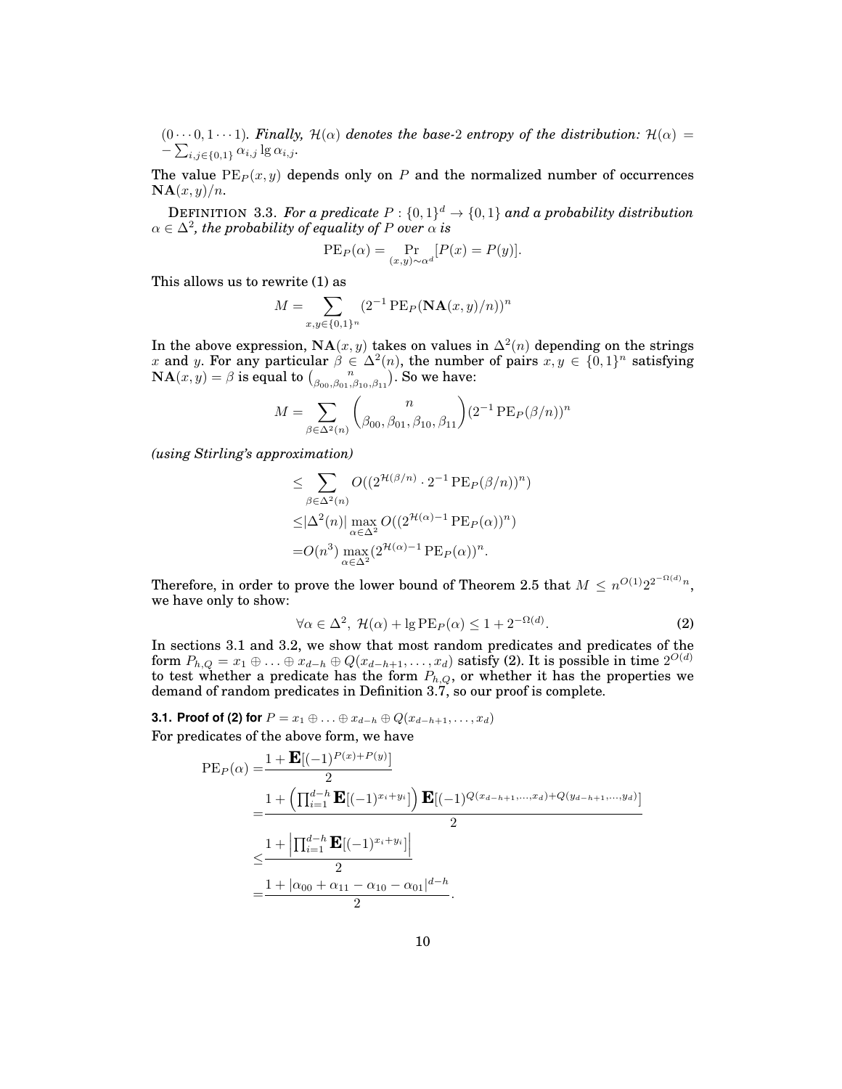$(0 \cdots 0, 1 \cdots 1)$ *. Finally,*  $\mathcal{H}(\alpha)$  *denotes the base-2 entropy of the distribution:*  $\mathcal{H}(\alpha)$  =  $-\sum_{i,j\in\{0,1\}}\alpha_{i,j}\lg\alpha_{i,j}$ .

The value  $PE<sub>P</sub>(x, y)$  depends only on P and the normalized number of occurrences  $\mathbf{NA}(x, y)/n$ .

DEFINITION 3.3. For a predicate  $P: \{0,1\}^d \rightarrow \{0,1\}$  and a probability distribution  $\alpha \in \Delta^2$ , the probability of equality of P over  $\alpha$  is

$$
PE_P(\alpha) = \Pr_{(x,y)\sim \alpha^d} [P(x) = P(y)].
$$

This allows us to rewrite (1) as

$$
M = \sum_{x,y \in \{0,1\}^n} (2^{-1} \operatorname{PE}_P(\mathbf{NA}(x,y)/n))^n
$$

In the above expression,  $NA(x, y)$  takes on values in  $\Delta^2(n)$  depending on the strings x and y. For any particular  $\beta \in \Delta^2(n)$ , the number of pairs  $x, y \in \{0,1\}^n$  satisfying  $\mathbf{NA}(x, y) = \beta$  is equal to  $\binom{n}{\beta_{00}, \beta_{01}, \beta_{10}, \beta_{11}}$ . So we have:

$$
M = \sum_{\beta \in \Delta^2(n)} \binom{n}{\beta_{00}, \beta_{01}, \beta_{10}, \beta_{11}} (2^{-1} \operatorname{PE}_P(\beta/n))^n
$$

*(using Stirling's approximation)*

$$
\leq \sum_{\beta \in \Delta^2(n)} O((2^{\mathcal{H}(\beta/n)} \cdot 2^{-1} \operatorname{PE}_P(\beta/n))^n)
$$
  
\n
$$
\leq |\Delta^2(n)| \max_{\alpha \in \Delta^2} O((2^{\mathcal{H}(\alpha)-1} \operatorname{PE}_P(\alpha))^n)
$$
  
\n=  $O(n^3) \max_{\alpha \in \Delta^2} (2^{\mathcal{H}(\alpha)-1} \operatorname{PE}_P(\alpha))^n$ .

Therefore, in order to prove the lower bound of Theorem 2.5 that  $M \leq n^{O(1)}2^{2^{-\Omega(d)}n}$ , we have only to show:

$$
\forall \alpha \in \Delta^2, \ \mathcal{H}(\alpha) + \lg \mathrm{PE}_P(\alpha) \le 1 + 2^{-\Omega(d)}.\tag{2}
$$

In sections 3.1 and 3.2, we show that most random predicates and predicates of the form  $P_{h,Q}=x_1\oplus\ldots\oplus x_{d-h}\oplus Q(x_{d-h+1},\ldots,x_d)$  satisfy (2). It is possible in time  $2^{O(d)}$ to test whether a predicate has the form  $P_{h,Q}$ , or whether it has the properties we demand of random predicates in Definition 3.7, so our proof is complete.

**3.1. Proof of (2) for**  $P = x_1 \oplus ... \oplus x_{d-h} \oplus Q(x_{d-h+1},...,x_d)$ For predicates of the above form, we have

$$
PE_P(\alpha) = \frac{1 + \mathbf{E}[(-1)^{P(x) + P(y)}]}{2}
$$
  
= 
$$
\frac{1 + \left(\prod_{i=1}^{d-h} \mathbf{E}[(-1)^{x_i + y_i}]\right) \mathbf{E}[(-1)^{Q(x_{d-h+1},...,x_d) + Q(y_{d-h+1},...,y_d)}]}{2}
$$
  
= 
$$
\frac{1 + \left|\prod_{i=1}^{d-h} \mathbf{E}[(-1)^{x_i + y_i}]\right|}{2}
$$
  
= 
$$
\frac{1 + |\alpha_{00} + \alpha_{11} - \alpha_{10} - \alpha_{01}|^{d-h}}{2}.
$$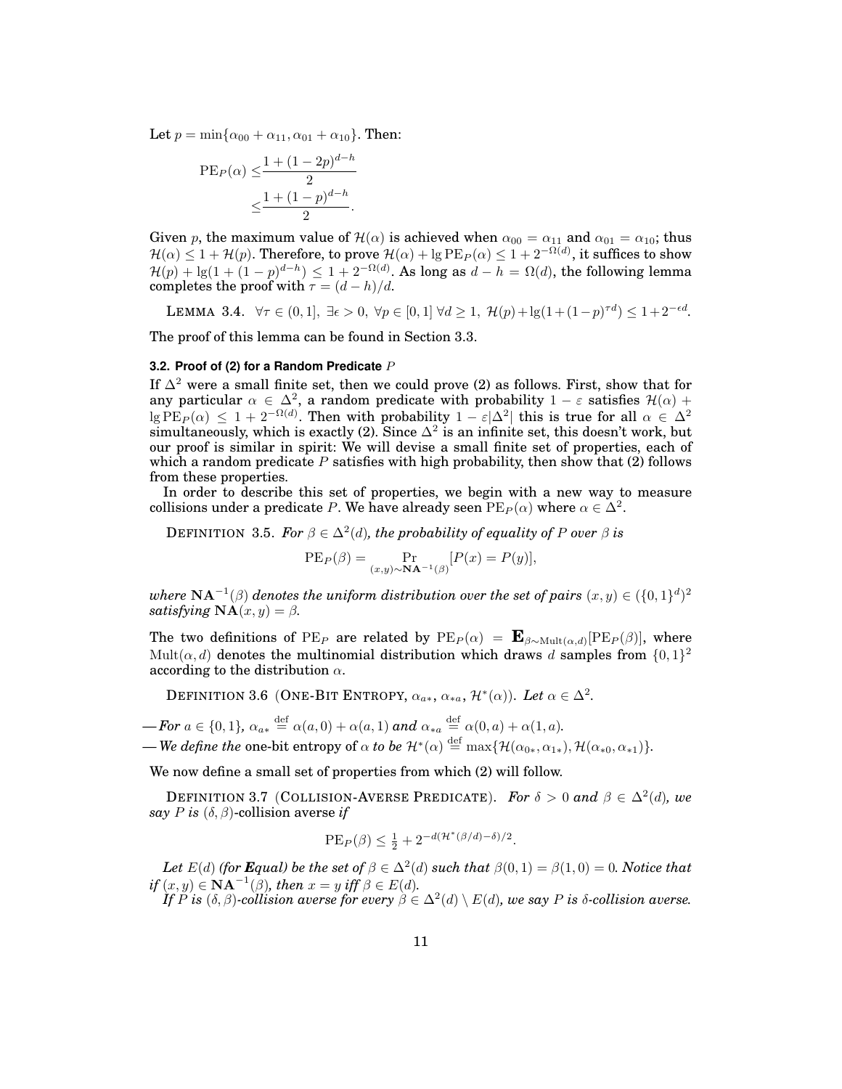Let  $p = \min{\alpha_{00} + \alpha_{11}, \alpha_{01} + \alpha_{10}}$ . Then:

PE<sub>P</sub>(
$$
\alpha
$$
)  $\leq \frac{1 + (1 - 2p)^{d-h}}{2}$   
 $\leq \frac{1 + (1 - p)^{d-h}}{2}$ .

Given p, the maximum value of  $\mathcal{H}(\alpha)$  is achieved when  $\alpha_{00} = \alpha_{11}$  and  $\alpha_{01} = \alpha_{10}$ ; thus  $\mathcal{H}(\alpha)\leq 1+\mathcal{H}(p).$  Therefore, to prove  $\mathcal{H}(\alpha)+\lg\mathrm{PE}_P(\alpha)\leq 1+2^{-\Omega(d)},$  it suffices to show  $\mathcal{H}(p) + \lg(1 + (1-p)^{d-h}) \leq 1 + 2^{-\Omega(d)}$ . As long as  $d - h = \Omega(d)$ , the following lemma completes the proof with  $\tau = (d - h)/d$ .

LEMMA 3.4.  $\forall \tau \in (0,1], \exists \epsilon > 0, \forall p \in [0,1] \forall d \geq 1, \mathcal{H}(p) + \lg(1+(1-p)^{\tau d}) \leq 1+2^{-\epsilon d}$ .

The proof of this lemma can be found in Section 3.3.

#### **3.2. Proof of (2) for a Random Predicate** P

If  $\Delta^2$  were a small finite set, then we could prove (2) as follows. First, show that for any particular  $\alpha \in \Delta^2$ , a random predicate with probability  $1 - \varepsilon$  satisfies  $\mathcal{H}(\alpha)$  +  $\log \mathrm{PE}_P(\alpha) \leq 1+2^{-\Omega(d)}.$  Then with probability  $1-\varepsilon|\Delta^2|$  this is true for all  $\alpha \in \Delta^2$ simultaneously, which is exactly (2). Since  $\Delta^2$  is an infinite set, this doesn't work, but our proof is similar in spirit: We will devise a small finite set of properties, each of which a random predicate  $P$  satisfies with high probability, then show that (2) follows from these properties.

In order to describe this set of properties, we begin with a new way to measure collisions under a predicate P. We have already seen  $\text{PE}_P(\alpha)$  where  $\alpha\in\Delta^2.$ 

DEFINITION 3.5. For  $\beta \in \Delta^2(d)$ , the probability of equality of P over  $\beta$  is

$$
PEP(\beta) = \Pr_{(x,y) \sim \mathbf{NA}^{-1}(\beta)}[P(x) = P(y)],
$$

where  $\mathbf{NA}^{-1}(\beta)$  denotes the uniform distribution over the set of pairs  $(x,y) \in (\{0,1\}^d)^2$ *satisfying*  $\mathbf{NA}(x, y) = \beta$ *.* 

The two definitions of  $PE_P$  are related by  $PE_P(\alpha) = \mathbf{E}_{\beta \sim \text{Mult}(\alpha, d)}[\text{PE}_P(\beta)],$  where Mult $(\alpha, d)$  denotes the multinomial distribution which draws d samples from  $\{0, 1\}^2$ according to the distribution  $\alpha$ .

DEFINITION 3.6 (ONE-BIT ENTROPY,  $\alpha_{a*}$ ,  $\alpha_{*a}$ ,  $\mathcal{H}^*(\alpha)$ ). Let  $\alpha \in \Delta^2$ .

 $\text{I}-\text{For } a \in \{0,1\}, \ \alpha_{a*} \stackrel{\text{def}}{=} \alpha(a,0) + \alpha(a,1) \text{ and } \alpha_{*a} \stackrel{\text{def}}{=} \alpha(0,a) + \alpha(1,a).$ 

 $\rule{1em}{5mm}$ —We define the one-bit entropy of  $\alpha$  to be  $\mathcal{H}^*(\alpha) \stackrel{\text{def}}{=} \max\{\mathcal{H}(\alpha_{0*},\alpha_{1*}),\mathcal{H}(\alpha_{*0},\alpha_{*1})\}.$ 

We now define a small set of properties from which (2) will follow.

DEFINITION 3.7 (COLLISION-AVERSE PREDICATE). For  $\delta > 0$  and  $\beta \in \Delta^2(d)$ , we *say P is*  $(\delta, \beta)$ -collision averse *if* 

$$
PE_P(\beta) \le \frac{1}{2} + 2^{-d(\mathcal{H}^*(\beta/d) - \delta)/2}.
$$

Let  $E(d)$  (for **E**qual) be the set of  $\beta \in \Delta^2(d)$  such that  $\beta(0,1) = \beta(1,0) = 0$ . Notice that  $if(x, y) \in \mathbf{NA}^{-1}(\beta)$ , then  $x = y$  iff  $\beta \in E(d)$ .

*If*  $\overline{P}$  *is* ( $\delta$ , $\beta$ )-collision averse for every  $\beta \in \Delta^2(d) \setminus E(d)$ , we say P is  $\delta$ -collision averse.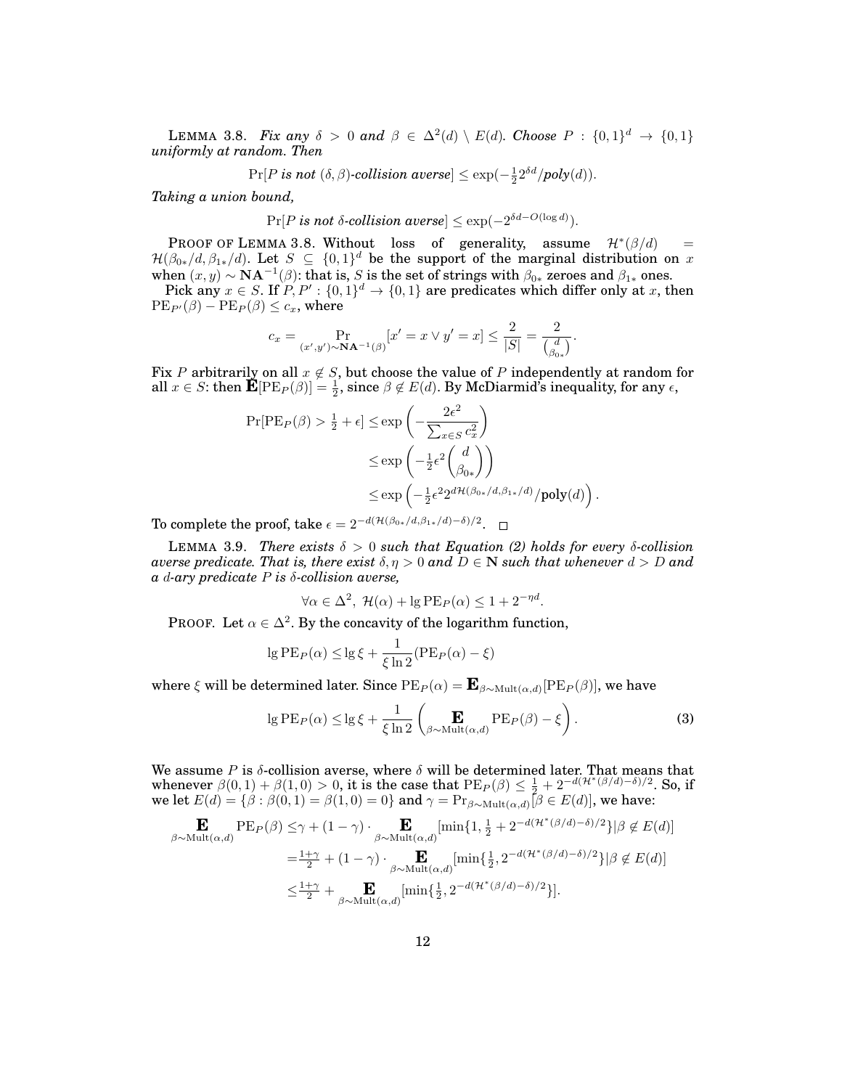LEMMA 3.8. *Fix any*  $\delta > 0$  and  $\beta \in \Delta^2(d) \setminus E(d)$ . Choose  $P : \{0,1\}^d \to \{0,1\}$ *uniformly at random. Then*

$$
\Pr[P \text{ is not } (\delta, \beta)\text{-collision averse}] \le \exp(-\frac{1}{2}2^{\delta d}/poly(d)).
$$

*Taking a union bound,*

$$
\Pr[P \text{ is not } \delta\text{-collision averse}] \le \exp(-2^{\delta d - O(\log d)}).
$$

PROOF OF LEMMA 3.8. Without loss of generality, assume  $\mathcal{H}^*(\beta/d)$  =  $\mathcal{H}(\beta_{0*}/d, \beta_{1*}/d)$ . Let  $S \subseteq \{0,1\}^d$  be the support of the marginal distribution on x when  $(x, y) \sim \mathbf{NA}^{-1}(\beta)$ : that is, S is the set of strings with  $\beta_{0*}$  zeroes and  $\beta_{1*}$  ones.

Pick any  $x \in S$ . If  $P, P' : \{0,1\}^d \to \{0,1\}$  are predicates which differ only at x, then  $PE_{P'}(\beta) - PE_{P}(\beta) \leq c_x$ , where

$$
c_x = \Pr_{(x',y') \sim \mathbf{NA}^{-1}(\beta)}[x' = x \lor y' = x] \le \frac{2}{|S|} = \frac{2}{\binom{d}{\beta_{0*}}}.
$$

Fix P arbitrarily on all  $x \notin S$ , but choose the value of P independently at random for all  $x \in S$ : then  $\mathbf{\tilde{E}}[\text{PE}_P(\beta)] = \frac{1}{2}$ , since  $\beta \notin E(d)$ . By McDiarmid's inequality, for any  $\epsilon$ ,

$$
\Pr[\text{PE}_P(\beta) > \frac{1}{2} + \epsilon] \le \exp\left(-\frac{2\epsilon^2}{\sum_{x \in S} c_x^2}\right)
$$
  

$$
\le \exp\left(-\frac{1}{2}\epsilon^2 \binom{d}{\beta_{0*}}\right)
$$
  

$$
\le \exp\left(-\frac{1}{2}\epsilon^2 2^{d\mathcal{H}(\beta_{0*}/d,\beta_{1*}/d)} / \text{poly}(d)\right).
$$

To complete the proof, take  $\epsilon = 2^{-d(\mathcal{H}(\beta_{0*}/d,\beta_{1*}/d)-\delta)/2}$ .

LEMMA 3.9. *There exists*  $\delta > 0$  *such that Equation (2) holds for every*  $\delta$ -collision *averse predicate. That is, there exist*  $\delta, \eta > 0$  *and*  $D \in \mathbb{N}$  *such that whenever*  $d > D$  *and a* d*-ary predicate* P *is* δ*-collision averse,*

$$
\forall \alpha \in \Delta^2, \ \mathcal{H}(\alpha) + \lg PE_P(\alpha) \le 1 + 2^{-\eta d}.
$$

PROOF. Let  $\alpha \in \Delta^2$ . By the concavity of the logarithm function,

$$
\lg PE_P(\alpha) \le \lg \xi + \frac{1}{\xi \ln 2} (PE_P(\alpha) - \xi)
$$

where  $\xi$  will be determined later. Since  $\text{PE}_P(\alpha) = \mathbf{E}_{\beta \sim \text{Mult}(\alpha, d)}[\text{PE}_P(\beta)],$  we have

$$
\lg PE_P(\alpha) \le \lg \xi + \frac{1}{\xi \ln 2} \left( \mathbf{E}_{\beta \sim \text{Mult}(\alpha, d)} PE_P(\beta) - \xi \right). \tag{3}
$$

We assume P is  $\delta$ -collision averse, where  $\delta$  will be determined later. That means that whenever  $\beta(0,1)+\beta(1,0) > 0$ , it is the case that  $PE_P(\beta) \leq \frac{1}{2} + 2^{-d(\mathcal{H}^*(\beta/d)-\delta)/2}$ . So, if we let  $E(d) = \{\beta : \beta(0,1) = \beta(1,0) = 0\}$  and  $\gamma = \Pr_{\beta \sim \text{Mult}(\alpha,d)}[\beta \in E(d)]$ , we have:

$$
\mathbf{E}_{\beta \sim \text{Mult}(\alpha,d)} \text{PE}_P(\beta) \leq \gamma + (1 - \gamma) \cdot \mathop{\mathbf{E}}_{\beta \sim \text{Mult}(\alpha,d)} [\min\{1, \frac{1}{2} + 2^{-d(\mathcal{H}^*(\beta/d) - \delta)/2}\} | \beta \notin E(d)]
$$
\n
$$
= \frac{1 + \gamma}{2} + (1 - \gamma) \cdot \mathop{\mathbf{E}}_{\beta \sim \text{Mult}(\alpha,d)} [\min\{\frac{1}{2}, 2^{-d(\mathcal{H}^*(\beta/d) - \delta)/2}\} | \beta \notin E(d)]
$$
\n
$$
\leq \frac{1 + \gamma}{2} + \mathop{\mathbf{E}}_{\beta \sim \text{Mult}(\alpha,d)} [\min\{\frac{1}{2}, 2^{-d(\mathcal{H}^*(\beta/d) - \delta)/2}\}].
$$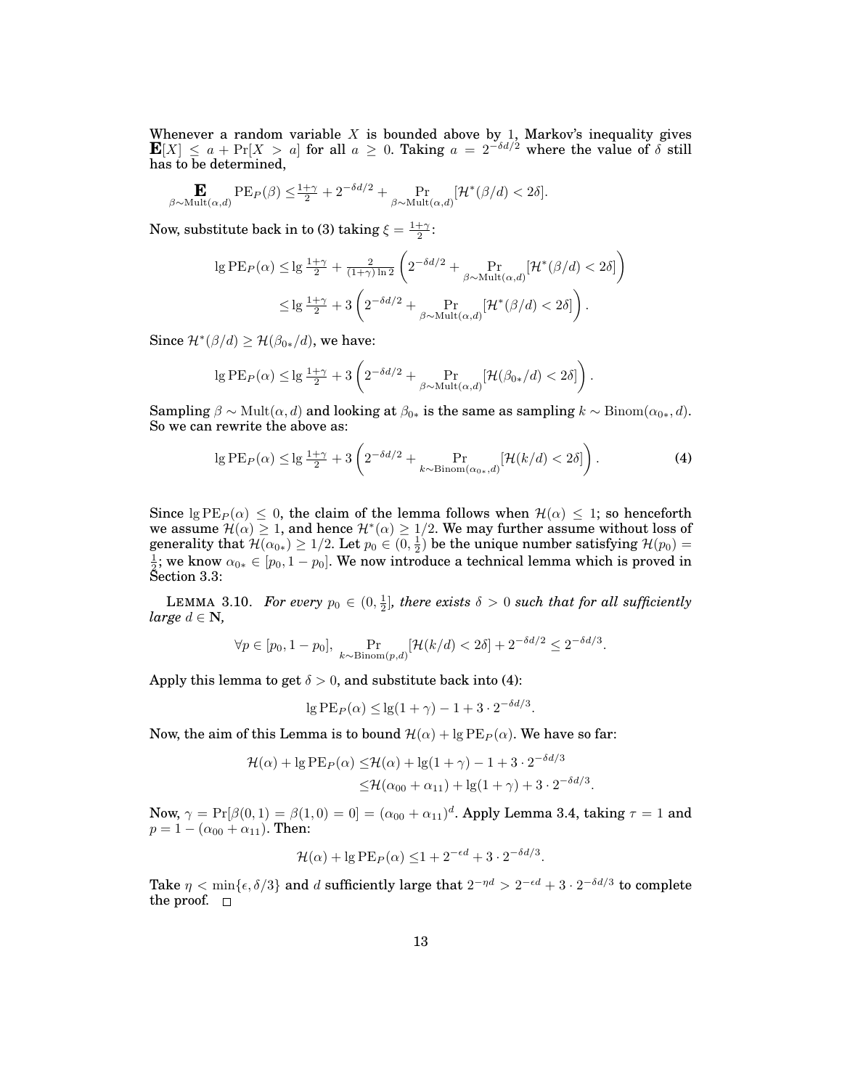Whenever a random variable X is bounded above by 1, Markov's inequality gives  $\mathbf{E}[X] \leq a + \Pr[X > a]$  for all  $a \geq 0$ . Taking  $a = 2^{-\delta d/2}$  where the value of  $\delta$  still has to be determined,

$$
\mathbf{E}_{\beta \sim \text{Mult}(\alpha,d)} \text{PE}_P(\beta) \leq \frac{1+\gamma}{2} + 2^{-\delta d/2} + \Pr_{\beta \sim \text{Mult}(\alpha,d)} [\mathcal{H}^*(\beta/d) < 2\delta].
$$

Now, substitute back in to (3) taking  $\xi = \frac{1+\gamma}{2}$ :

$$
\begin{split} \lg \mathrm{PE}_P(\alpha) \leq & \lg \frac{1+\gamma}{2} + \frac{2}{(1+\gamma)\ln 2} \left( 2^{-\delta d/2} + \Pr_{\beta \sim \mathrm{Mult}(\alpha, d)} [\mathcal{H}^*(\beta/d) < 2\delta] \right) \\ &\leq & \lg \frac{1+\gamma}{2} + 3 \left( 2^{-\delta d/2} + \Pr_{\beta \sim \mathrm{Mult}(\alpha, d)} [\mathcal{H}^*(\beta/d) < 2\delta] \right). \end{split}
$$

Since  $\mathcal{H}^*(\beta/d) \geq \mathcal{H}(\beta_{0*}/d)$ , we have:

$$
\lg PE_P(\alpha) \le \lg \frac{1+\gamma}{2} + 3 \left( 2^{-\delta d/2} + \Pr_{\beta \sim \text{Mult}(\alpha, d)}[\mathcal{H}(\beta_{0*}/d) < 2\delta] \right).
$$

Sampling  $\beta \sim \text{Mult}(\alpha, d)$  and looking at  $\beta_{0*}$  is the same as sampling  $k \sim \text{Binom}(\alpha_{0*}, d)$ . So we can rewrite the above as:

$$
\lg PE_P(\alpha) \le \lg \frac{1+\gamma}{2} + 3 \left( 2^{-\delta d/2} + \Pr_{k \sim \text{Binom}(\alpha_0, d)}[\mathcal{H}(k/d) < 2\delta] \right). \tag{4}
$$

Since  $\lg PE_P(\alpha) \leq 0$ , the claim of the lemma follows when  $\mathcal{H}(\alpha) \leq 1$ ; so henceforth we assume  $\mathcal{H}(\alpha) \geq 1$ , and hence  $\mathcal{H}^*(\alpha) \geq 1/2$ . We may further assume without loss of generality that  $\mathcal{H}(\alpha_{0*}) \geq 1/2$ . Let  $p_0 \in (0, \frac{1}{2})$  be the unique number satisfying  $\mathcal{H}(p_0) =$  $\frac{1}{2}$ ; we know  $\alpha_{0*}\in [p_0,1-p_0].$  We now introduce a technical lemma which is proved in Section 3.3:

LEMMA 3.10. For every  $p_0 \in (0, \frac{1}{2}]$ , there exists  $\delta > 0$  such that for all sufficiently *large*  $d \in \mathbb{N}$ ,

$$
\forall p \in [p_0, 1-p_0], \Pr_{k \sim \text{Binom}(p,d)}[\mathcal{H}(k/d) < 2\delta] + 2^{-\delta d/2} \leq 2^{-\delta d/3}.
$$

Apply this lemma to get  $\delta > 0$ , and substitute back into (4):

$$
\lg PE_P(\alpha) \le \lg(1+\gamma) - 1 + 3 \cdot 2^{-\delta d/3}.
$$

Now, the aim of this Lemma is to bound  $\mathcal{H}(\alpha) + \lg \mathrm{PE}_P(\alpha)$ . We have so far:

$$
\mathcal{H}(\alpha) + \lg \mathrm{PE}_P(\alpha) \le \mathcal{H}(\alpha) + \lg(1+\gamma) - 1 + 3 \cdot 2^{-\delta d/3}
$$
  

$$
\le \mathcal{H}(\alpha_{00} + \alpha_{11}) + \lg(1+\gamma) + 3 \cdot 2^{-\delta d/3}.
$$

Now,  $\gamma = \Pr[\beta(0,1) = \beta(1,0) = 0] = (\alpha_{00} + \alpha_{11})^d$ . Apply Lemma 3.4, taking  $\tau = 1$  and  $p = 1 - (\alpha_{00} + \alpha_{11})$ . Then:

$$
\mathcal{H}(\alpha) + \lg \mathrm{PE}_P(\alpha) \le 1 + 2^{-\epsilon d} + 3 \cdot 2^{-\delta d/3}.
$$

Take  $\eta < \min\{\epsilon,\delta/3\}$  and  $d$  sufficiently large that  $2^{-\eta d} > 2^{-\epsilon d} + 3 \cdot 2^{-\delta d/3}$  to complete the proof.  $\square$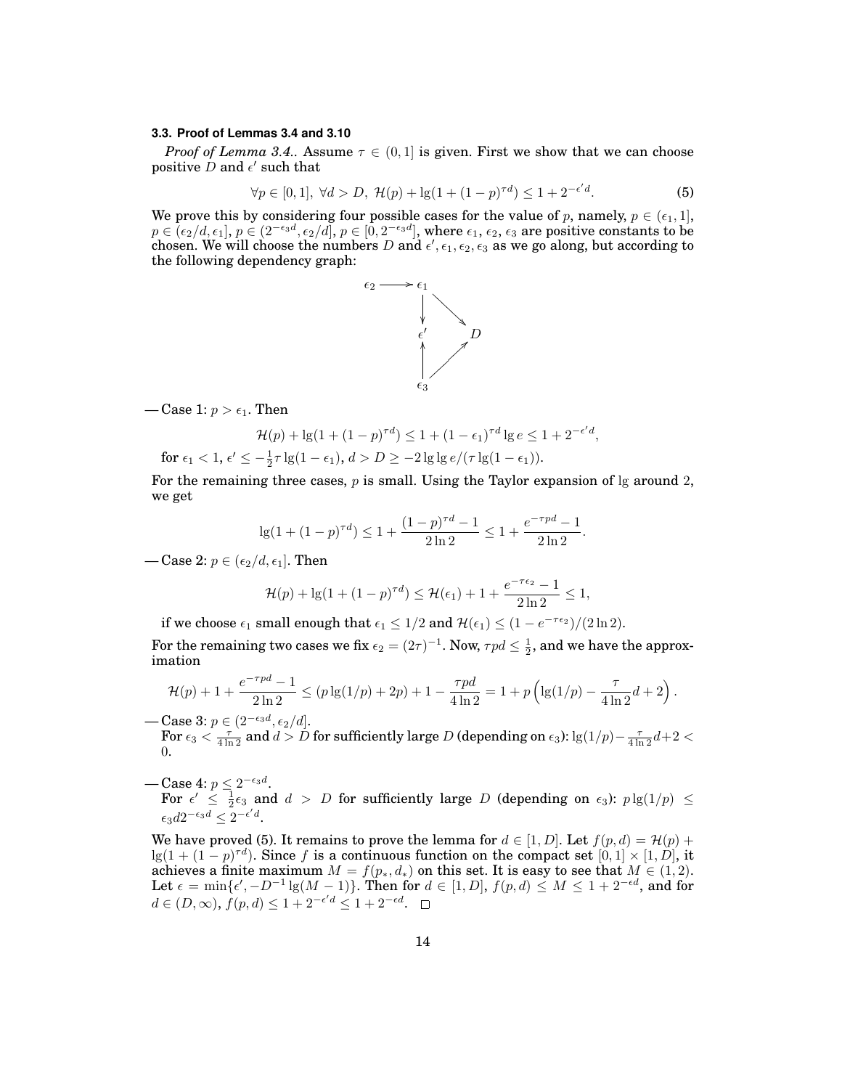#### **3.3. Proof of Lemmas 3.4 and 3.10**

*Proof of Lemma 3.4..* Assume  $\tau \in (0, 1]$  is given. First we show that we can choose positive D and  $\epsilon'$  such that

$$
\forall p \in [0, 1], \ \forall d > D, \ \mathcal{H}(p) + \lg(1 + (1 - p)^{\tau d}) \le 1 + 2^{-\epsilon' d}.\tag{5}
$$

We prove this by considering four possible cases for the value of p, namely,  $p \in (\epsilon_1, 1]$ ,  $p\in (\epsilon_2/d,\epsilon_1],\,p\in (2^{-\epsilon_3d},\epsilon_2/d],\,p\in [0,2^{-\epsilon_3d}],$  where  $\epsilon_1,\,\epsilon_2,\,\epsilon_3$  are positive constants to be chosen. We will choose the numbers  $D$  and  $\epsilon', \epsilon_1, \epsilon_2, \epsilon_3$  as we go along, but according to the following dependency graph:



— Case 1:  $p > \epsilon_1$ . Then

$$
\mathcal{H}(p) + \lg(1 + (1 - p)^{\tau d}) \le 1 + (1 - \epsilon_1)^{\tau d} \lg e \le 1 + 2^{-\epsilon' d},
$$
  
for  $\epsilon_1 < 1$ ,  $\epsilon' \le -\frac{1}{2}\tau \lg(1 - \epsilon_1)$ ,  $d > D \ge -2 \lg \lg e/(\tau \lg(1 - \epsilon_1))$ .

For the remaining three cases,  $p$  is small. Using the Taylor expansion of  $\lg$  around 2, we get

$$
\lg(1 + (1 - p)^{\tau d}) \le 1 + \frac{(1 - p)^{\tau d} - 1}{2 \ln 2} \le 1 + \frac{e^{-\tau p d} - 1}{2 \ln 2}.
$$

— Case 2:  $p \in (\epsilon_2/d, \epsilon_1]$ . Then

$$
\mathcal{H}(p) + \lg(1 + (1 - p)^{\tau d}) \le \mathcal{H}(\epsilon_1) + 1 + \frac{e^{-\tau \epsilon_2} - 1}{2 \ln 2} \le 1,
$$

if we choose  $\epsilon_1$  small enough that  $\epsilon_1 \leq 1/2$  and  $\mathcal{H}(\epsilon_1) \leq (1 - e^{-\tau \epsilon_2})/(2 \ln 2)$ .

For the remaining two cases we fix  $\epsilon_2 = (2\tau)^{-1}$ . Now,  $\tau pd \leq \frac{1}{2}$ , and we have the approximation

$$
\mathcal{H}(p) + 1 + \frac{e^{-\tau pd} - 1}{2 \ln 2} \le (p \lg(1/p) + 2p) + 1 - \frac{\tau pd}{4 \ln 2} = 1 + p \left( \lg(1/p) - \frac{\tau}{4 \ln 2} d + 2 \right).
$$

— Case 3:  $p \in (2^{-\epsilon_3 d}, \epsilon_2/d].$ For  $\epsilon_3<\frac{\tau}{4\ln2}$  and  $d>D$  for sufficiently large  $D$  (depending on  $\epsilon_3$ ): lg $(1/p)-\frac{\tau}{4\ln2}d+2<\frac{\tau}{2}$ 0.

— Case 4:  $p \leq 2^{-\epsilon_3 d}$ .

For  $\epsilon' \leq \frac{1}{2}\epsilon_3$  and  $d > D$  for sufficiently large D (depending on  $\epsilon_3$ ):  $p \lg(1/p) \leq$  $\epsilon_3 d2^{-\epsilon_3 d} \leq 2^{-\epsilon' d}.$ 

We have proved (5). It remains to prove the lemma for  $d \in [1, D]$ . Let  $f(p, d) = \mathcal{H}(p) +$  $\lg(1+(1-p)^{\tau d})$ . Since f is a continuous function on the compact set  $[0,1] \times [1,D]$ , it achieves a finite maximum  $M = f(p_*, d_*)$  on this set. It is easy to see that  $M \in (1, 2)$ . Let  $\epsilon = \min\{\epsilon', -D^{-1}\lg(M-1)\}\)$ . Then for  $d \in [1, D], f(p, d) \leq M \leq 1 + 2^{-\epsilon d}$ , and for  $d \in (D, \infty), f(p, d) \leq 1 + 2^{-\epsilon' d} \leq 1 + 2^{-\epsilon d}.$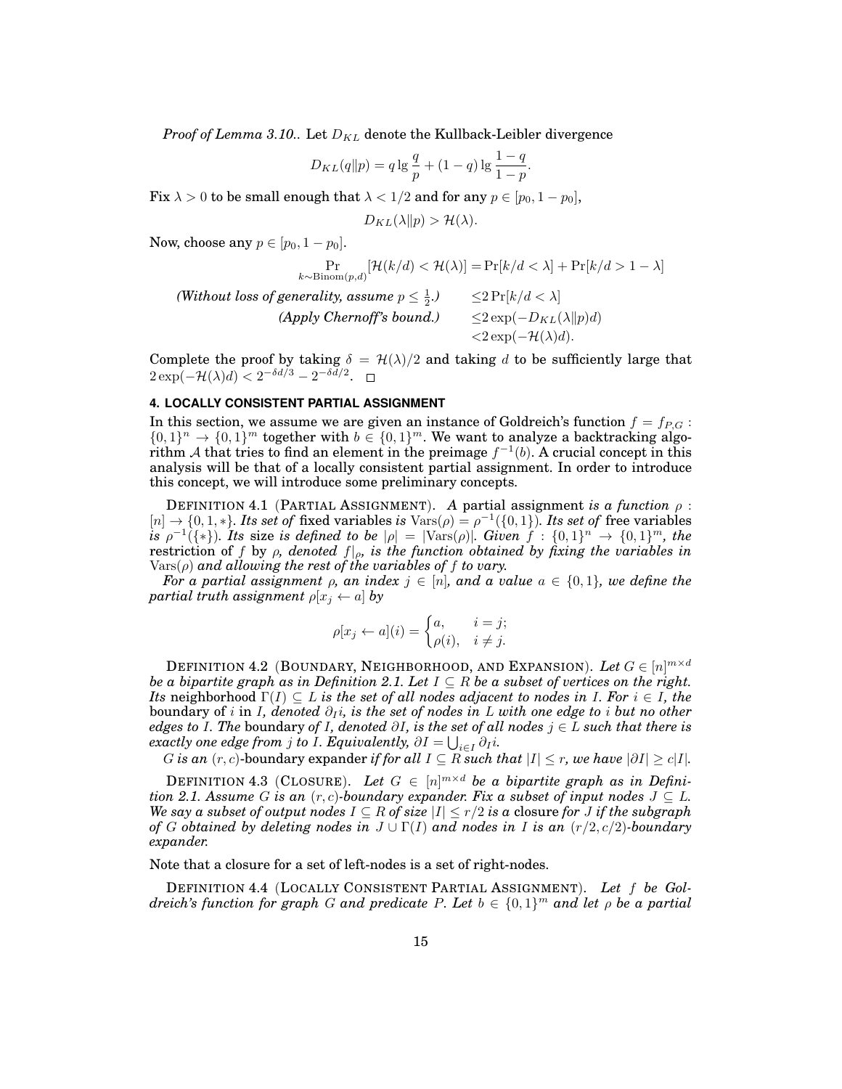*Proof of Lemma 3.10..* Let  $D_{KL}$  denote the Kullback-Leibler divergence

$$
D_{KL}(q||p) = q \lg \frac{q}{p} + (1-q) \lg \frac{1-q}{1-p}.
$$

Fix  $\lambda > 0$  to be small enough that  $\lambda < 1/2$  and for any  $p \in [p_0, 1 - p_0]$ ,

$$
D_{KL}(\lambda \| p) > \mathcal{H}(\lambda).
$$

Now, choose any  $p \in [p_0, 1-p_0]$ .

$$
\Pr_{k \sim \text{Binom}(p,d)}[\mathcal{H}(k/d) < \mathcal{H}(\lambda)] = \Pr[k/d < \lambda] + \Pr[k/d > 1 - \lambda]
$$
\n(Without loss of generality, assume  $p \leq \frac{1}{2}$ .)

\n
$$
\leq 2 \Pr[k/d < \lambda]
$$
\n(Apply Chernoff's bound.)

\n
$$
\leq 2 \exp(-D_{KL}(\lambda || p)d)
$$
\n
$$
< 2 \exp(-\mathcal{H}(\lambda)d).
$$

Complete the proof by taking  $\delta = \mathcal{H}(\lambda)/2$  and taking d to be sufficiently large that  $2 \exp(-\mathcal{H}(\lambda)d) < 2^{-\delta d/3} - 2^{-\delta d/2}.$ 

## **4. LOCALLY CONSISTENT PARTIAL ASSIGNMENT**

In this section, we assume we are given an instance of Goldreich's function  $f = f_{P,G}$ :  $\{0,1\}^n \to \{0,1\}^m$  together with  $b \in \{0,1\}^m$ . We want to analyze a backtracking algorithm A that tries to find an element in the preimage  $f^{-1}(b)$ . A crucial concept in this analysis will be that of a locally consistent partial assignment. In order to introduce this concept, we will introduce some preliminary concepts.

DEFINITION 4.1 (PARTIAL ASSIGNMENT). *A* partial assignment *is a function* ρ :  $[n] \to \{0, 1, *\}$ . Its set of fixed variables is  $\text{Vars}(\rho) = \rho^{-1}(\{0, 1\})$ . Its set of free variables  $i$ *s*  $\rho^{-1}(\{*\})$ . Its size *is defined to be*  $|\rho| = |\text{Vars}(\rho)|$ . Given  $f : \{0,1\}^n \to \{0,1\}^m$ , the restriction of f by  $\rho$ , denoted  $f|_{\rho}$ , is the function obtained by fixing the variables in  $\text{Vars}(\rho)$  and allowing the rest of the variables of f to vary.

*For a partial assignment*  $\rho$ *, an index*  $j \in [n]$ *, and a value*  $a \in \{0,1\}$ *, we define the partial truth assignment*  $\rho[x_j \leftarrow a]$  *by* 

$$
\rho[x_j \leftarrow a](i) = \begin{cases} a, & i = j; \\ \rho(i), & i \neq j. \end{cases}
$$

DEFINITION 4.2 (BOUNDARY, NEIGHBORHOOD, AND EXPANSION). Let  $G \in [n]^{m \times d}$ *be a bipartite graph as in Definition 2.1. Let*  $I \subseteq R$  *be a subset of vertices on the right. Its* neighborhood  $\Gamma(I) \subseteq L$  *is the set of all nodes adjacent to nodes in I. For*  $i \in I$ *, the* boundary of *i* in *I*, denoted  $\partial_I i$ , is the set of nodes in *L* with one edge to *i* but no other *edges to* I*. The* boundary *of* I*, denoted* ∂I*, is the set of all nodes* j ∈ L *such that there is*  $\emph{exactly one edge from $j$ to $I$. Equivalently, $\partial I = \bigcup_{i \in I} \partial_I i$.}$ 

G is an  $(r, c)$ -boundary expander *if for all*  $I \subseteq R$  *such that*  $|I| \leq r$ , we have  $|\partial I| \geq c|I|$ .

DEFINITION 4.3 (CLOSURE). Let  $G \in [n]^{m \times d}$  be a bipartite graph as in Defini*tion 2.1. Assume* G *is an*  $(r, c)$ *-boundary expander. Fix a subset of input nodes*  $J \subseteq L$ *. We say a subset of output nodes*  $I \subseteq R$  *of size*  $|I| \leq r/2$  *is a closure for J if the subgraph of* G *obtained by deleting nodes in* J ∪ Γ(I) *and nodes in* I *is an* (r/2, c/2)*-boundary expander.*

Note that a closure for a set of left-nodes is a set of right-nodes.

DEFINITION 4.4 (LOCALLY CONSISTENT PARTIAL ASSIGNMENT). *Let* f *be Goldreich's function for graph* G *and predicate* P*. Let* b ∈ {0, 1} <sup>m</sup> *and let* ρ *be a partial*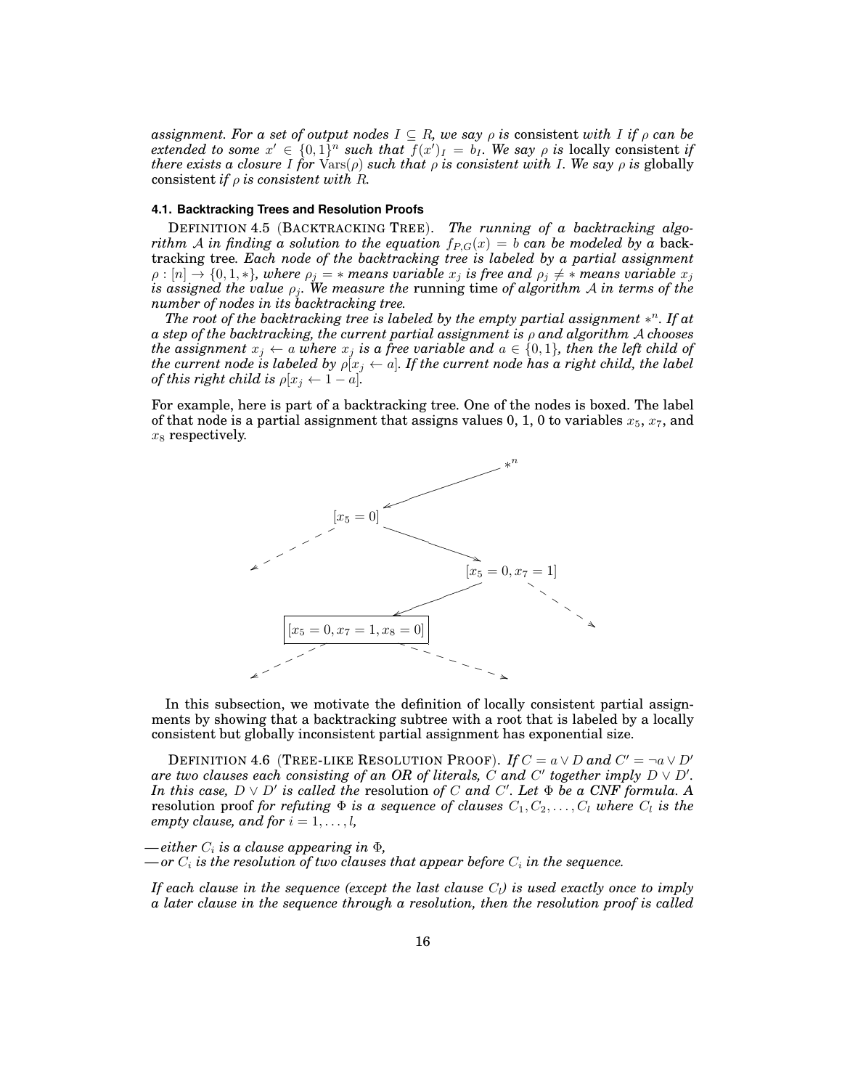*assignment. For a set of output nodes*  $I \subseteq R$ *, we say*  $\rho$  *is consistent with*  $I$  *if*  $\rho$  *can be extended to some*  $x' \in \{0,1\}^n$  *such that*  $f(x')_I = b_I$ . We say  $\rho$  *is* locally consistent *if there exists a closure* I for  $\text{Vars}(\rho)$  *such that*  $\rho$  *is consistent with* I. We say  $\rho$  *is* globally consistent *if*  $\rho$  *is consistent with*  $R$ *.* 

#### **4.1. Backtracking Trees and Resolution Proofs**

DEFINITION 4.5 (BACKTRACKING TREE). *The running of a backtracking algorithm* A *in finding a solution to the equation*  $f_{P,G}(x) = b$  *can be modeled by a back*tracking tree*. Each node of the backtracking tree is labeled by a partial assignment*  $\rho:[n]\rightarrow \{0,1,*\},$  where  $\rho_j=*$  means variable  $x_j$  is free and  $\rho_j\neq *$  means variable  $x_j$ *is assigned the value*  $\rho_j$ *. We measure the <code>running</code> time of algorithm*  ${\mathcal{A}}$  *in terms of the number of nodes in its backtracking tree.*

*The root of the backtracking tree is labeled by the empty partial assignment* ∗ <sup>n</sup>*. If at a step of the backtracking, the current partial assignment is* ρ *and algorithm* A *chooses the assignment*  $x_j \leftarrow a$  *where*  $x_j$  *is a free variable and*  $a \in \{0,1\}$ *, then the left child of the current node is labeled by*  $\rho[x_j \leftarrow a]$ . If the current node has a right child, the label *of this right child is*  $\rho[x_i \leftarrow 1 - a]$ .

For example, here is part of a backtracking tree. One of the nodes is boxed. The label of that node is a partial assignment that assigns values 0, 1, 0 to variables  $x_5$ ,  $x_7$ , and  $x_8$  respectively.



In this subsection, we motivate the definition of locally consistent partial assignments by showing that a backtracking subtree with a root that is labeled by a locally consistent but globally inconsistent partial assignment has exponential size.

DEFINITION 4.6 (TREE-LIKE RESOLUTION PROOF). *If*  $C = a \vee D$  and  $C' = \neg a \vee D'$ are two clauses each consisting of an OR of literals,  $\dot{C}$  and  $C'$  together imply  $D \vee D'.$ *In this case,*  $D \vee D'$  *is called the resolution of* C *and* C'. Let  $\Phi$  *be a CNF formula.* A resolution proof *for refuting*  $\Phi$  *is a sequence of clauses*  $C_1, C_2, \ldots, C_l$  *where*  $C_l$  *is the empty clause, and for*  $i = 1, \ldots, l$ *,* 

 $-either C<sub>i</sub>$  *is a clause appearing in*  $\Phi$ *,* 

 $\boldsymbol{\mathrm{d}}$  *— or*  $C_i$  *is the resolution of two clauses that appear before*  $C_i$  *in the sequence.* 

*If each clause in the sequence (except the last clause*  $C_l$ ) is used exactly once to imply *a later clause in the sequence through a resolution, then the resolution proof is called*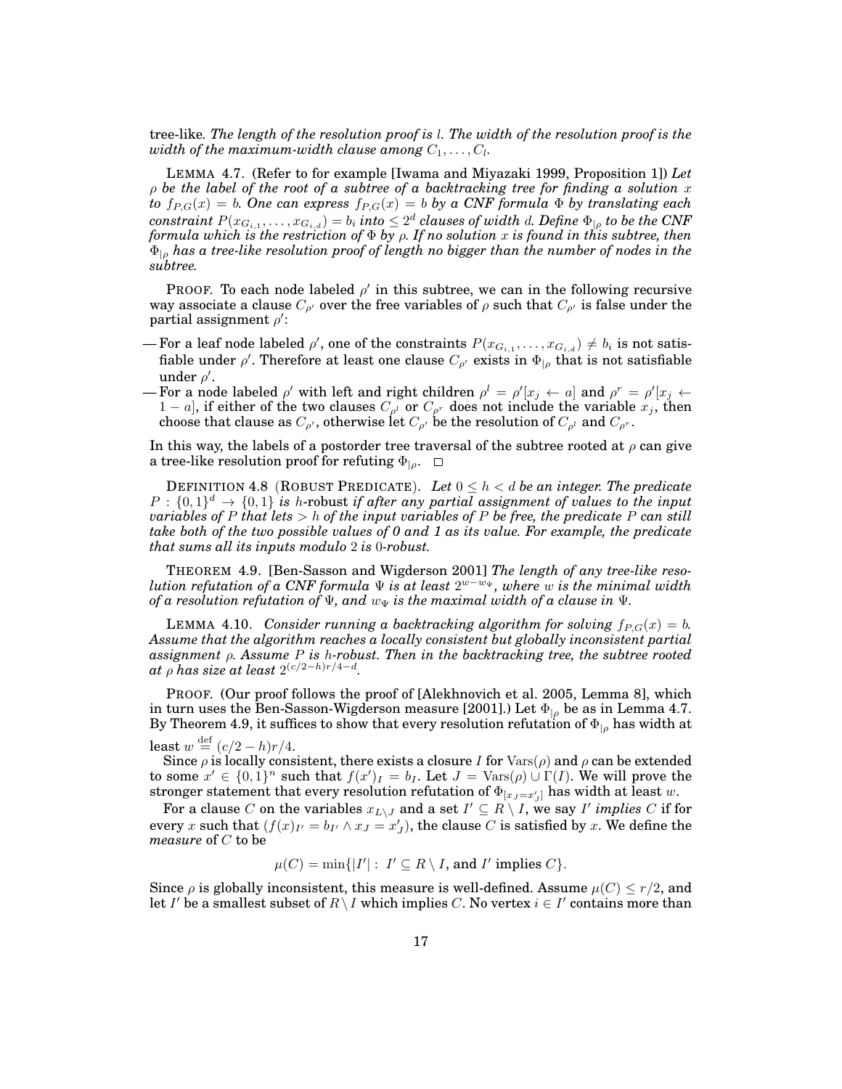tree-like*. The length of the resolution proof is* l*. The width of the resolution proof is the* width of the maximum-width clause among  $C_1, \ldots, C_l.$ 

LEMMA 4.7. (Refer to for example [Iwama and Miyazaki 1999, Proposition 1]) *Let* ρ *be the label of the root of a subtree of a backtracking tree for finding a solution* x *to*  $f_{P,G}(x) = b$ *. One can express*  $f_{P,G}(x) = b$  *by a CNF formula*  $\Phi$  *by translating each*  $\textit{constraint}\ P(x_{G_{i,1}},\ldots,x_{G_{i,d}})=b_i\ \textit{into}\leq 2^d\ \textit{clauses}\ \textit{of width}\ d.\ \textit{Define}\ \Phi_{| \rho}\ \textit{to}\ be\ the\ CNF$ *formula which is the restriction of* Φ *by* ρ*. If no solution* x *is found in this subtree, then* Φ|<sup>ρ</sup> *has a tree-like resolution proof of length no bigger than the number of nodes in the subtree.*

PROOF. To each node labeled  $\rho'$  in this subtree, we can in the following recursive way associate a clause  $C_{\rho'}$  over the free variables of  $\rho$  such that  $C_{\rho'}$  is false under the partial assignment  $\rho'$ :

- For a leaf node labeled  $\rho'$ , one of the constraints  $P(x_{G_{i,1}},\ldots,x_{G_{i,d}}) \neq b_i$  is not satisfiable under  $\rho'$ . Therefore at least one clause  $C_{\rho'}$  exists in  $\Phi_{|\rho}$  that is not satisfiable under  $\rho'$ .
- For a node labeled  $\rho'$  with left and right children  $\rho^l = \rho'[x_j \leftarrow a]$  and  $\rho^r = \rho'[x_j \leftarrow a]$  $1 - a$ ], if either of the two clauses  $C_{\rho^l}$  or  $C_{\rho^r}$  does not include the variable  $x_j$ , then choose that clause as  $C_{\rho'}$ , otherwise let  $C_{\rho'}$  be the resolution of  $C_{\rho^l}$  and  $C_{\rho^r}.$

In this way, the labels of a postorder tree traversal of the subtree rooted at  $\rho$  can give a tree-like resolution proof for refuting  $\Phi_{|_0}$ .  $\Box$ 

DEFINITION 4.8 (ROBUST PREDICATE). Let  $0 \leq h \leq d$  be an integer. The predicate  $P: \{0,1\}^d \to \{0,1\}$  is h-robust if after any partial assignment of values to the input *variables of* P *that lets* > h *of the input variables of* P *be free, the predicate* P *can still take both of the two possible values of 0 and 1 as its value. For example, the predicate that sums all its inputs modulo* 2 *is* 0*-robust.*

THEOREM 4.9. [Ben-Sasson and Wigderson 2001] *The length of any tree-like resolution refutation of a CNF formula* Ψ *is at least* 2 <sup>w</sup>−w<sup>Ψ</sup> *, where* w *is the minimal width of a resolution refutation of*  $\Psi$ *, and*  $w_{\Psi}$  *is the maximal width of a clause in*  $\Psi$ *.* 

LEMMA 4.10. *Consider running a backtracking algorithm for solving*  $f_{P,G}(x) = b$ . *Assume that the algorithm reaches a locally consistent but globally inconsistent partial assignment* ρ*. Assume* P *is* h*-robust. Then in the backtracking tree, the subtree rooted*  $at$   $\rho$  has size at least  $2^{(c/2-h)r/4-d}$ .

PROOF. (Our proof follows the proof of [Alekhnovich et al. 2005, Lemma 8], which in turn uses the Ben-Sasson-Wigderson measure [2001].) Let  $\Phi_{\vert \rho}$  be as in Lemma 4.7. By Theorem 4.9, it suffices to show that every resolution refutation of  $\Phi_{|\rho}$  has width at

least  $w \stackrel{\text{def}}{=} (c/2 - h)r/4$ .

Since  $\rho$  is locally consistent, there exists a closure I for  $\text{Vars}(\rho)$  and  $\rho$  can be extended to some  $x' \in \{0,1\}^n$  such that  $f(x')_I = b_I$ . Let  $J = \text{Vars}(\rho) \cup \Gamma(I)$ . We will prove the stronger statement that every resolution refutation of  $\Phi_{[x_J=x_J']}$  has width at least  $w.$ 

For a clause  $C$  on the variables  $x_{L\setminus J}$  and a set  $I'\subseteq R\setminus I,$  we say  $I'$  *implies*  $C$  if for every x such that  $(f(x)_{I'} = b_{I'} \wedge x_J = x_J')$ , the clause  $C$  is satisfied by x. We define the *measure* of C to be

 $\mu(C) = \min\{|I'| : I' \subseteq R \setminus I$ , and I' implies C}.

Since  $\rho$  is globally inconsistent, this measure is well-defined. Assume  $\mu(C) \leq r/2$ , and let I' be a smallest subset of  $R\setminus I$  which implies C. No vertex  $i\in I'$  contains more than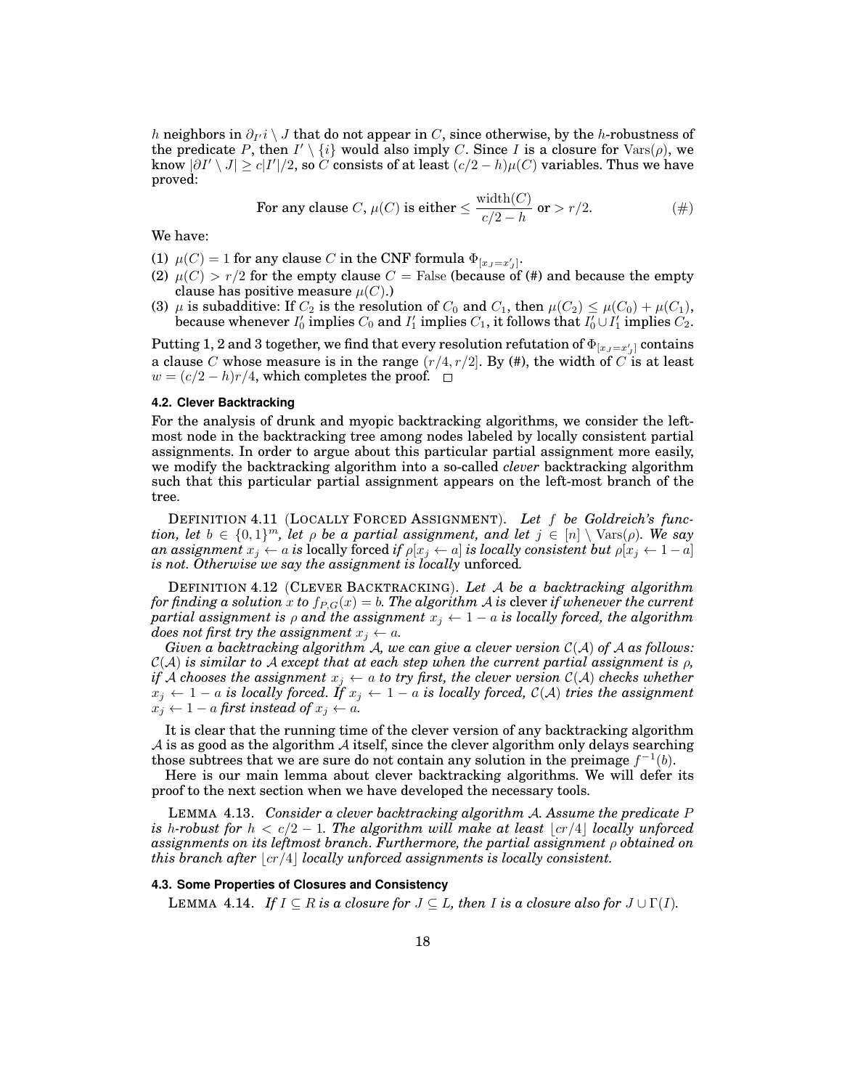$h$  neighbors in  $\partial_{I'}i \setminus J$  that do not appear in  $C,$  since otherwise, by the  $h$ -robustness of the predicate P, then  $I' \setminus \{i\}$  would also imply C. Since I is a closure for  $\text{Vars}(\rho)$ , we know  $|\partial I' \setminus J| \geq c|I'|/2$ , so  $\widetilde{C}$  consists of at least  $(c/2 - h)\mu(C)$  variables. Thus we have proved:

For any clause C, 
$$
\mu(C)
$$
 is either  $\leq \frac{\text{width}(C)}{c/2 - h}$  or  $> r/2$ .  $(#)$ 

We have:

- (1)  $\mu(C) = 1$  for any clause  $C$  in the CNF formula  $\Phi_{[x_J = x'_J]}$ .
- (2)  $\mu$ (C) >  $r/2$  for the empty clause C = False (because of (#) and because the empty clause has positive measure  $\mu(C)$ .)
- (3)  $\mu$  is subadditive: If  $C_2$  is the resolution of  $C_0$  and  $C_1$ , then  $\mu(C_2) \leq \mu(C_0) + \mu(C_1)$ , because whenever  $I'_0$  implies  $C_0$  and  $I'_1$  implies  $C_1$ , it follows that  $I'_0\cup I'_1$  implies  $C_2$ .

Putting 1, 2 and 3 together, we find that every resolution refutation of  $\Phi_{[x_J=x_J']}$  contains a clause C whose measure is in the range  $(r/4, r/2]$ . By (#), the width of C is at least  $w = (c/2 - h)r/4$ , which completes the proof.

#### **4.2. Clever Backtracking**

For the analysis of drunk and myopic backtracking algorithms, we consider the leftmost node in the backtracking tree among nodes labeled by locally consistent partial assignments. In order to argue about this particular partial assignment more easily, we modify the backtracking algorithm into a so-called *clever* backtracking algorithm such that this particular partial assignment appears on the left-most branch of the tree.

DEFINITION 4.11 (LOCALLY FORCED ASSIGNMENT). *Let* f *be Goldreich's function, let*  $b \in \{0,1\}^m$ , let  $\rho$  *be a partial assignment, and let*  $j \in [n] \setminus \text{Vars}(\rho)$ *. We say an assignment*  $x_i \leftarrow a$  *is* locally forced *if*  $\rho[x_i \leftarrow a]$  *is locally consistent but*  $\rho[x_i \leftarrow 1 - a]$ *is not. Otherwise we say the assignment is locally* unforced*.*

DEFINITION 4.12 (CLEVER BACKTRACKING). *Let* A *be a backtracking algorithm for finding a solution* x to  $f_{P,G}(x) = b$ . The algorithm A is clever if whenever the current *partial assignment is*  $\rho$  *and the assignment*  $x_j \leftarrow 1 - a$  *is locally forced, the algorithm does not first try the assignment*  $x_j \leftarrow a$ *.* 

*Given a backtracking algorithm* A*, we can give a clever version* C(A) *of* A *as follows:*  $\mathcal{C}(\mathcal{A})$  *is similar to*  $\mathcal{A}$  *except that at each step when the current partial assignment is*  $\rho$ , *if* A chooses the assignment  $x_i \leftarrow a$  to try first, the clever version  $C(A)$  checks whether  $x_j$  ← 1 – a is locally forced. If  $x_j$  ← 1 – a is locally forced,  $\mathcal{C}(\mathcal{A})$  tries the assignment  $x_j \leftarrow 1 - a$  *first instead of*  $x_j \leftarrow a$ *.* 

It is clear that the running time of the clever version of any backtracking algorithm  $\mathcal A$  is as good as the algorithm  $\mathcal A$  itself, since the clever algorithm only delays searching those subtrees that we are sure do not contain any solution in the preimage  $f^{-1}(b)$ .

Here is our main lemma about clever backtracking algorithms. We will defer its proof to the next section when we have developed the necessary tools.

LEMMA 4.13. *Consider a clever backtracking algorithm* A*. Assume the predicate* P *is* h-robust for  $h < c/2 - 1$ . The algorithm will make at least  $|cr/4|$  locally unforced *assignments on its leftmost branch. Furthermore, the partial assignment* ρ *obtained on this branch after*  $\lfloor c r/4 \rfloor$  *locally unforced assignments is locally consistent.* 

## **4.3. Some Properties of Closures and Consistency**

**LEMMA** 4.14. If  $I \subseteq R$  is a closure for  $J \subseteq L$ , then I is a closure also for  $J \cup \Gamma(I)$ .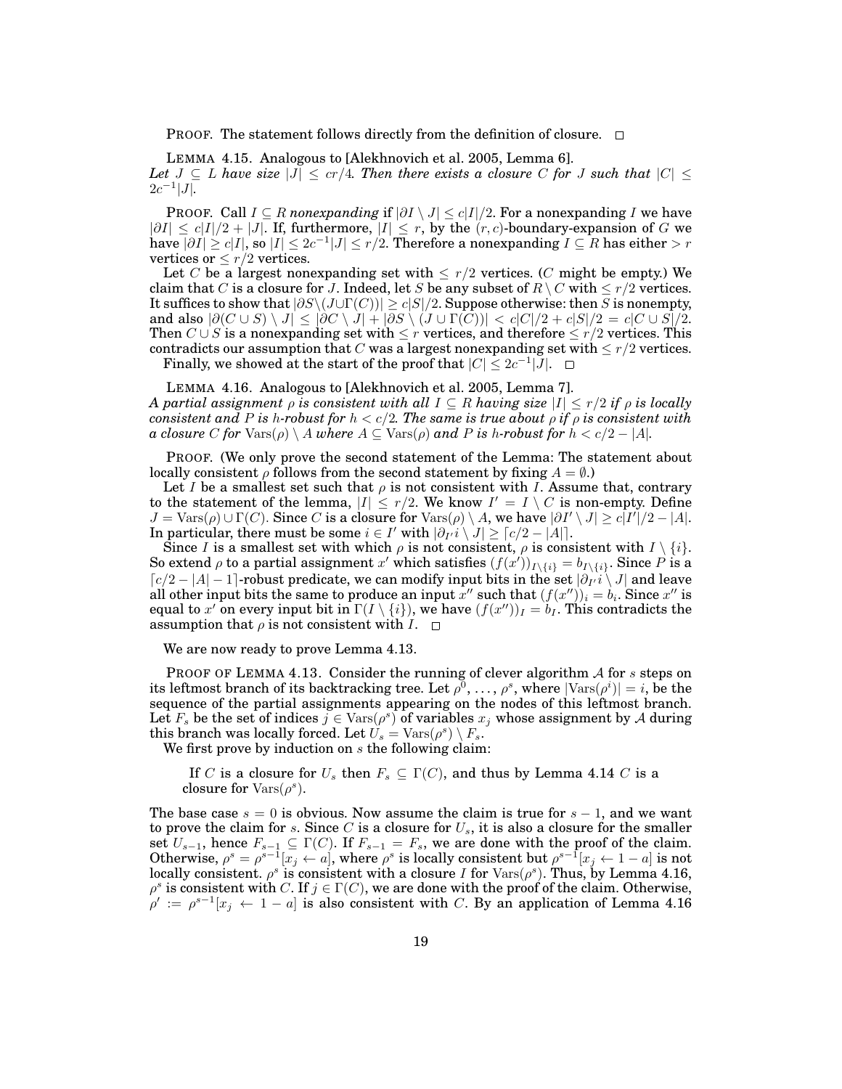PROOF. The statement follows directly from the definition of closure.  $\Box$ 

LEMMA 4.15. Analogous to [Alekhnovich et al. 2005, Lemma 6]. *Let*  $J \subseteq L$  *have size*  $|J| \leq cr/4$ *. Then there exists a closure* C for J such that  $|C| \leq$  $2c^{-1}|J|$ .

PROOF. Call  $I \subseteq R$  *nonexpanding* if  $|\partial I \setminus J| \le c|I|/2$ . For a nonexpanding I we have  $|\partial I| \leq c|I|/2 + |J|$ . If, furthermore,  $|I| \leq r$ , by the  $(r, c)$ -boundary-expansion of G we have  $|\partial I|\geq c|I|,$  so  $|I|\leq 2c^{-1}|J|\leq r/2.$  Therefore a nonexpanding  $I\subseteq R$  has either  $>r$ vertices or  $\leq r/2$  vertices.

Let C be a largest nonexpanding set with  $\leq r/2$  vertices. (C might be empty.) We claim that C is a closure for J. Indeed, let S be any subset of  $R \setminus C$  with  $\leq r/2$  vertices. It suffices to show that  $|\partial S\backslash(J\cup \Gamma(C))|\geq c|S|/2.$  Suppose otherwise: then  $S$  is nonempty, and also  $|\partial(C \cup S) \setminus J| \leq |\partial C \setminus J| + |\partial S \setminus (J \cup \Gamma(C))| < c|C|/2 + c|S|/2 = c|C \cup S|/2.$ Then  $C \cup S$  is a nonexpanding set with  $\leq r$  vertices, and therefore  $\leq r/2$  vertices. This contradicts our assumption that C was a largest nonexpanding set with  $\leq r/2$  vertices. Finally, we showed at the start of the proof that  $|C| \leq 2c^{-1}|\overline{J}|$ .

LEMMA 4.16. Analogous to [Alekhnovich et al. 2005, Lemma 7]. *A partial assignment*  $\rho$  *is consistent with all*  $I \subseteq R$  *having size*  $|I| \leq r/2$  *if*  $\rho$  *is locally consistent and* P *is* h-robust for  $h < c/2$ . The same is true about  $\rho$  *if*  $\rho$  *is consistent with a closure* C *for*  $\text{Vars}(\rho) \setminus A$  *where*  $A \subseteq \text{Vars}(\rho)$  *and* P *is* h-robust *for*  $h < c/2 - |A|$ *.* 

PROOF. (We only prove the second statement of the Lemma: The statement about locally consistent  $\rho$  follows from the second statement by fixing  $A = \emptyset$ .)

Let I be a smallest set such that  $\rho$  is not consistent with I. Assume that, contrary to the statement of the lemma,  $|I| \leq r/2$ . We know  $I' = I \setminus C$  is non-empty. Define  $J = \text{Vars}(\rho) \cup \Gamma(C)$ . Since C is a closure for  $\text{Vars}(\rho) \setminus A$ , we have  $|\partial I' \setminus J| \ge c|I'|/2 - |A|$ . In particular, there must be some  $i \in I'$  with  $|\partial_I i \setminus J| \geq \lceil c/2 - |A| \rceil.$ 

Since I is a smallest set with which  $\rho$  is not consistent,  $\rho$  is consistent with  $I \setminus \{i\}$ . So extend  $\rho$  to a partial assignment x' which satisfies  $(f(x'))_{I\setminus\{i\}} = b_{I\setminus\{i\}}$ . Since P is a  $\lceil c/2 - |A| - 1$ ]-robust predicate, we can modify input bits in the set  $\lvert \partial_{I'}i \setminus J \rvert$  and leave all other input bits the same to produce an input  $x''$  such that  $(f(x''))_i = b_i.$  Since  $x''$  is equal to  $x'$  on every input bit in  $\Gamma(I\setminus\{i\}),$  we have  $(f(x''))_I=\tilde{b}_I.$  This contradicts the assumption that  $\rho$  is not consistent with  $I. \square$ 

We are now ready to prove Lemma 4.13.

PROOF OF LEMMA 4.13. Consider the running of clever algorithm  $A$  for s steps on its leftmost branch of its backtracking tree. Let  $\rho^0, \ldots, \rho^s$ , where  $|\text{Vars}(\rho^i)| = i$ , be the sequence of the partial assignments appearing on the nodes of this leftmost branch. Let  $F_s$  be the set of indices  $j \in \text{Vars}(\rho^s)$  of variables  $x_j$  whose assignment by A during this branch was locally forced. Let  $\hat{U_s} = \text{Vars}(\rho^s) \setminus F_s.$ 

We first prove by induction on  $s$  the following claim:

If C is a closure for  $U_s$  then  $F_s \subseteq \Gamma(C)$ , and thus by Lemma 4.14 C is a closure for  $\text{Vars}(\rho^s)$ .

The base case  $s = 0$  is obvious. Now assume the claim is true for  $s - 1$ , and we want to prove the claim for s. Since C is a closure for  $U_s$ , it is also a closure for the smaller set  $U_{s-1}$ , hence  $F_{s-1} \subseteq \Gamma(C)$ . If  $F_{s-1} = F_s$ , we are done with the proof of the claim. Otherwise,  $\rho^s = \rho^{s-1}[x_j \leftarrow a]$ , where  $\rho^s$  is locally consistent but  $\rho^{s-1}[x_j \leftarrow 1-a]$  is not locally consistent.  $\rho^s$  is consistent with a closure I for  $\text{Vars}(\rho^s)$ . Thus, by Lemma 4.16,  $\rho^s$  is consistent with C. If  $j \in \Gamma(C)$ , we are done with the proof of the claim. Otherwise,  $\rho' := \rho^{s-1}[x_j \leftarrow 1-a]$  is also consistent with C. By an application of Lemma 4.16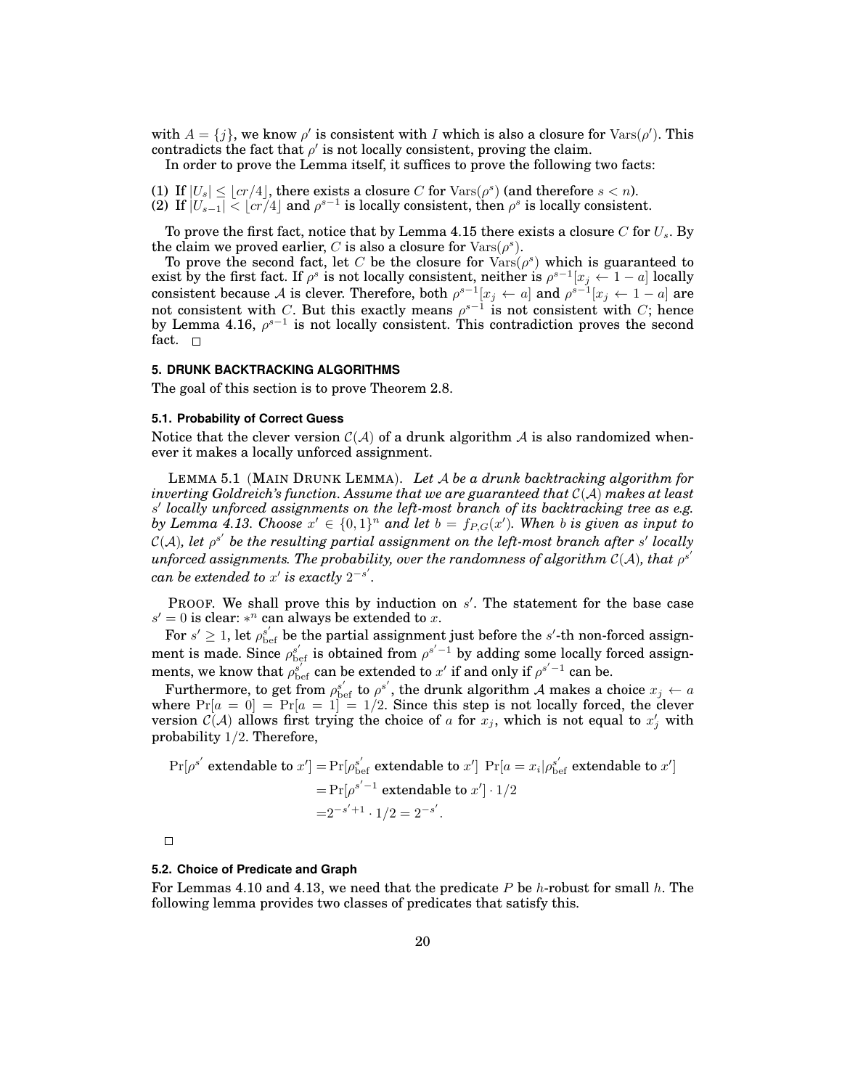with  $A = \{j\}$ , we know  $\rho'$  is consistent with I which is also a closure for  $\text{Vars}(\rho')$ . This contradicts the fact that  $\rho'$  is not locally consistent, proving the claim.

In order to prove the Lemma itself, it suffices to prove the following two facts:

(1) If  $|U_s| \leq |cr/4|$ , there exists a closure C for  $\text{Vars}(\rho^s)$  (and therefore  $s < n$ ). (2) If  $|U_{s-1}| < [c\bar{r}/4]$  and  $\rho^{s-1}$  is locally consistent, then  $\rho^s$  is locally consistent.

To prove the first fact, notice that by Lemma 4.15 there exists a closure C for  $U_s$ . By the claim we proved earlier, C is also a closure for  $\text{Vars}(\rho^s)$ .

To prove the second fact, let C be the closure for  $\text{Var}(p^s)$  which is guaranteed to exist by the first fact. If  $\rho^s$  is not locally consistent, neither is  $\rho^{s-1}[x_j \leftarrow 1-a]$  locally consistent because A is clever. Therefore, both  $\rho^{s-1}[x_j \leftarrow a]$  and  $\rho^{s-1}[x_j \leftarrow 1-a]$  are not consistent with C. But this exactly means  $\rho^{s-1}$  is not consistent with C; hence by Lemma 4.16,  $\rho^{s-1}$  is not locally consistent. This contradiction proves the second fact.  $\square$ 

## **5. DRUNK BACKTRACKING ALGORITHMS**

The goal of this section is to prove Theorem 2.8.

## **5.1. Probability of Correct Guess**

Notice that the clever version  $C(\mathcal{A})$  of a drunk algorithm  $\mathcal{A}$  is also randomized whenever it makes a locally unforced assignment.

LEMMA 5.1 (MAIN DRUNK LEMMA). *Let* A *be a drunk backtracking algorithm for inverting Goldreich's function. Assume that we are guaranteed that* C(A) *makes at least* s 0 *locally unforced assignments on the left-most branch of its backtracking tree as e.g. by Lemma 4.13. Choose*  $x' \in \{0,1\}^n$  *and let*  $b = f_{P,G}(x')$ . When *b is given as input to*  $\mathcal{C}(\mathcal{A}),$  let  $\rho^{s'}$  be the resulting partial assignment on the left-most branch after  $s'$  locally  $\mu$ nforced assignments. The probability, over the randomness of algorithm  $\mathcal{C}(\mathcal{A}),$  that  $\rho^s$  $\prime$  $can$  be extended to  $x'$  is exactly  $2^{-s'}$ .

PROOF. We shall prove this by induction on  $s'$ . The statement for the base case  $s' = 0$  is clear: \*<sup>n</sup> can always be extended to x.

For  $s' \geq 1$ , let  $\rho^{s'}_\text{bef}$  be the partial assignment just before the  $s'$ -th non-forced assignment is made. Since  $\rho_{\text{bef}}^{s'}$  is obtained from  $\rho^{s'-1}$  by adding some locally forced assignments, we know that  $\rho_{\text{bef}}^{s'}$  can be extended to  $x'$  if and only if  $\rho^{s'-1}$  can be.

Furthermore, to get from  $\rho^{s'}_{\text{bef}}$  to  $\rho^{s'}$ , the drunk algorithm A makes a choice  $x_j \leftarrow a$ where  $Pr[a = 0] = Pr[a = 1] = 1/2$ . Since this step is not locally forced, the clever version  $\mathcal{C}(\mathcal{A})$  allows first trying the choice of a for  $x_j$ , which is not equal to  $x'_j$  with probability 1/2. Therefore,

$$
\Pr[\rho^{s'} \text{ extendable to } x'] = \Pr[\rho^{s'}_{\text{bef}} \text{ extendable to } x'] \Pr[a = x_i | \rho^{s'}_{\text{bef}} \text{ extendable to } x']
$$

$$
= \Pr[\rho^{s'-1} \text{ extendable to } x'] \cdot 1/2
$$

$$
= 2^{-s'+1} \cdot 1/2 = 2^{-s'}.
$$

 $\Box$ 

#### **5.2. Choice of Predicate and Graph**

For Lemmas 4.10 and 4.13, we need that the predicate P be h-robust for small h. The following lemma provides two classes of predicates that satisfy this.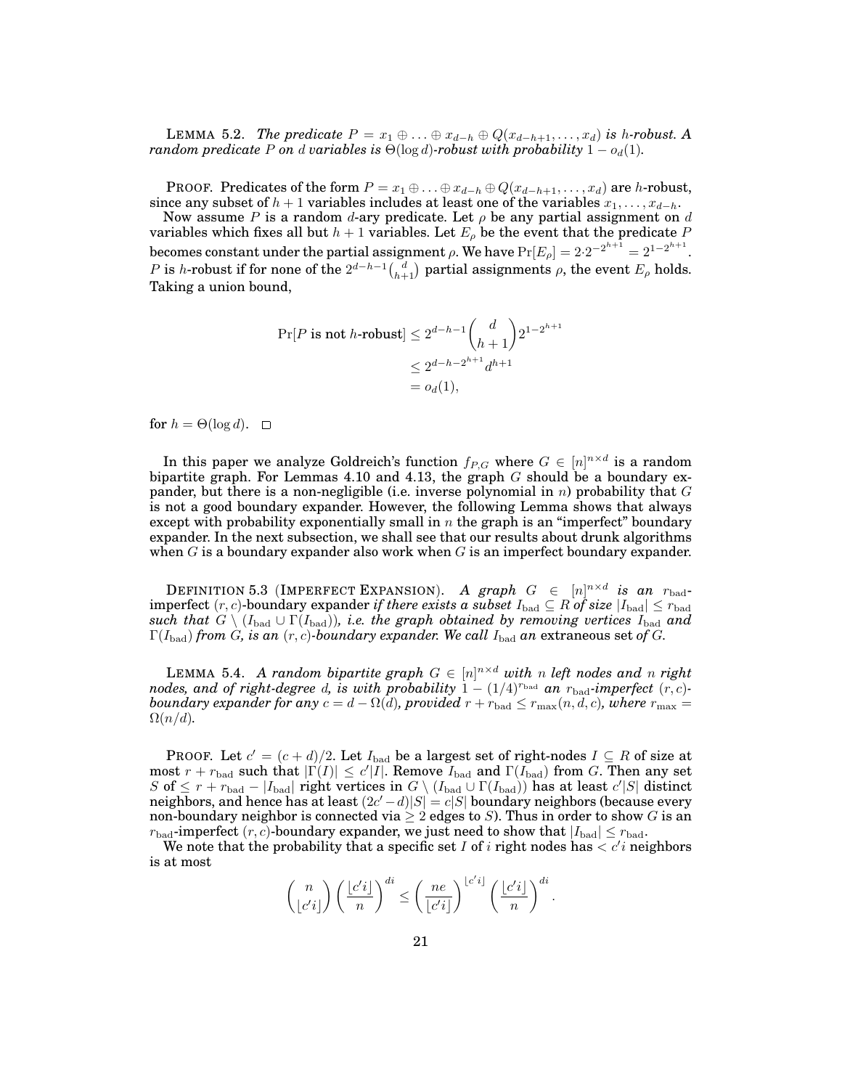LEMMA 5.2. *The predicate*  $P = x_1 \oplus ... \oplus x_{d-h} \oplus Q(x_{d-h+1},...,x_d)$  *is h-robust.* A *random predicate* P *on* d *variables* is  $\Theta(\log d)$ *-robust with probability*  $1 - o_d(1)$ *.* 

PROOF. Predicates of the form  $P = x_1 \oplus \ldots \oplus x_{d-h} \oplus Q(x_{d-h+1}, \ldots, x_d)$  are h-robust, since any subset of  $h + 1$  variables includes at least one of the variables  $x_1, \ldots, x_{d-h}$ .

Now assume P is a random d-ary predicate. Let  $\rho$  be any partial assignment on d variables which fixes all but  $h + 1$  variables. Let  $E_{\rho}$  be the event that the predicate P becomes constant under the partial assignment  $\rho.$  We have  $\Pr[E_\rho]=2{\cdot}2^{-2^{h+1}}=2^{1-2^{h+1}}.$  $P$  is h-robust if for none of the  $2^{d-h-1}\binom{d}{h+1}$  partial assignments  $\rho$ , the event  $E_\rho$  holds. Taking a union bound,

$$
\Pr[P \text{ is not } h\text{-robust}] \le 2^{d-h-1} \binom{d}{h+1} 2^{1-2^{h+1}}
$$

$$
\le 2^{d-h-2^{h+1}} d^{h+1}
$$

$$
= o_d(1),
$$

for  $h = \Theta(\log d)$ .  $\Box$ 

In this paper we analyze Goldreich's function  $f_{P,G}$  where  $G \in [n]^{n \times d}$  is a random bipartite graph. For Lemmas 4.10 and 4.13, the graph  $G$  should be a boundary expander, but there is a non-negligible (i.e. inverse polynomial in  $n$ ) probability that  $G$ is not a good boundary expander. However, the following Lemma shows that always except with probability exponentially small in  $n$  the graph is an "imperfect" boundary expander. In the next subsection, we shall see that our results about drunk algorithms when  $G$  is a boundary expander also work when  $G$  is an imperfect boundary expander.

DEFINITION 5.3 (IMPERFECT EXPANSION). *A graph G*  $\in$   $[n]^{n \times d}$  *is an*  $r_{\text{bad}}$ imperfect  $(r, c)$ -boundary expander *if there exists a subset*  $I_{bad} \subseteq R$  *of size*  $|I_{bad}| \le r_{bad}$ *such that*  $G \setminus (I_{bad} \cup \Gamma(I_{bad}))$ *, i.e. the graph obtained by removing vertices*  $I_{bad}$  *and*  $\Gamma(I_{bad})$  *from G*, *is an* (*r*, *c*)*-boundary expander. We call*  $I_{bad}$  *an* extraneous set of *G*.

LEMMA 5.4. *A random bipartite graph*  $G \in [n]^{n \times d}$  *with n left nodes and n right nodes, and of right-degree d, is with probability*  $1 - (1/4)^{r_{bad}}$  *an*  $r_{bad}$ *-imperfect*  $(r, c)$ *boundary expander for any*  $c = d - \Omega(d)$ *, provided*  $r + r_{bad} \leq r_{max}(n, d, c)$ *, where*  $r_{max} =$  $\Omega(n/d)$ .

PROOF. Let  $c' = (c + d)/2$ . Let  $I_{bad}$  be a largest set of right-nodes  $I \subseteq R$  of size at most  $r + r_{bad}$  such that  $|\Gamma(I)| \leq c'|I|$ . Remove  $I_{bad}$  and  $\Gamma(I_{bad})$  from G. Then any set  $S$  of  $\leq$   $r + r_{\rm bad} - |I_{\rm bad}|$  right vertices in  $G \setminus (I_{\rm bad} \cup \Gamma(I_{\rm bad}))$  has at least  $c'|S|$  distinct neighbors, and hence has at least  $(2c'-d)|S|=c|S|$  boundary neighbors (because every non-boundary neighbor is connected via  $\geq 2$  edges to S). Thus in order to show G is an  $r_{bad}$ -imperfect  $(r, c)$ -boundary expander, we just need to show that  $|I_{bad}| \leq r_{bad}$ .

We note that the probability that a specific set I of i right nodes has  $\langle c'i$  neighbors is at most

$$
\binom{n}{\lfloor c'i\rfloor}\left(\frac{\lfloor c'i\rfloor}{n}\right)^{di}\leq \left(\frac{ne}{\lfloor c'i\rfloor}\right)^{\lfloor c'i\rfloor}\left(\frac{\lfloor c'i\rfloor}{n}\right)^{di}.
$$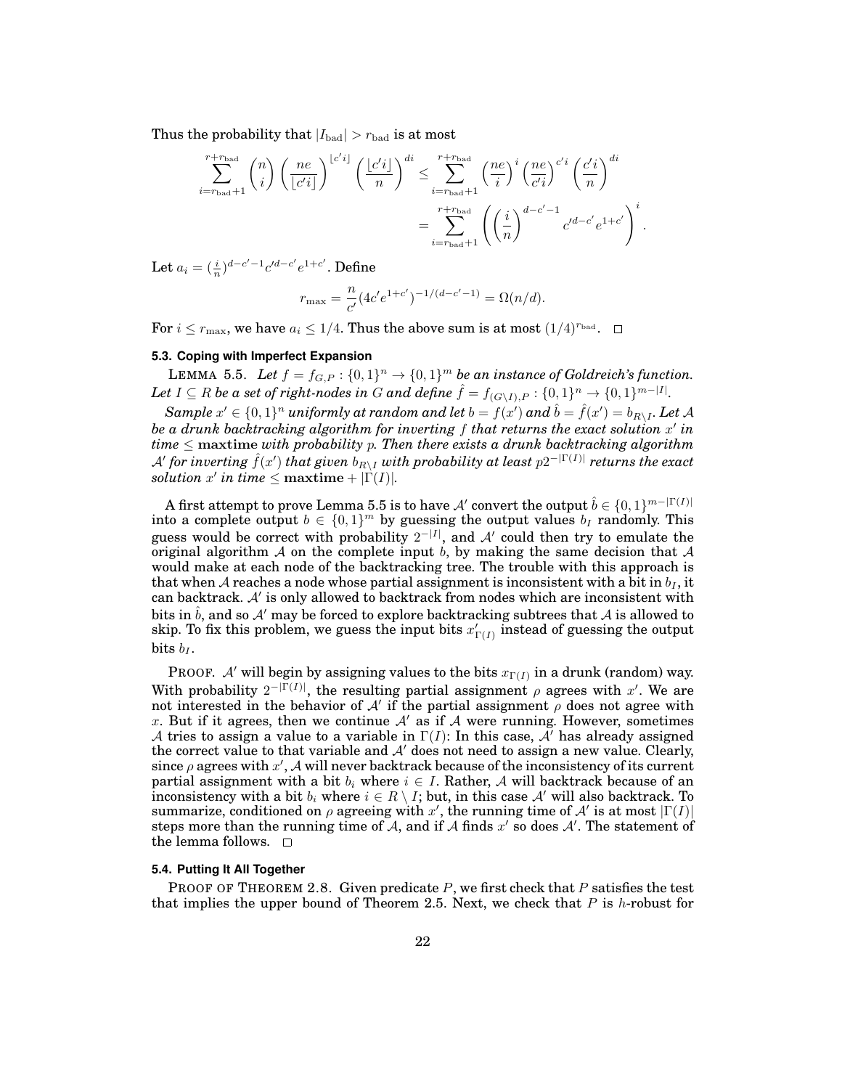Thus the probability that  $|I_{bad}| > r_{bad}$  is at most

$$
\sum_{i=r_{\text{bad}}+1}^{r+r_{\text{bad}}}\binom{n}{i}\left(\frac{ne}{\lfloor c'i\rfloor}\right)^{\lfloor c'i\rfloor}\left(\frac{\lfloor c'i\rfloor}{n}\right)^{di} \leq \sum_{i=r_{\text{bad}}+1}^{r+r_{\text{bad}}}\left(\frac{ne}{i}\right)^i\left(\frac{ne}{c'i}\right)^{c'i}\left(\frac{c'i}{n}\right)^{di}
$$

$$
=\sum_{i=r_{\text{bad}}+1}^{r+r_{\text{bad}}}\left(\left(\frac{i}{n}\right)^{d-c'-1}c'^{d-c'}e^{1+c'}\right)^i.
$$

Let  $a_i = (\frac{i}{n})^{d-c'-1}c'^{d-c'}e^{1+c'}$ . Define

$$
r_{\max} = \frac{n}{c'} (4c'e^{1+c'})^{-1/(d-c'-1)} = \Omega(n/d).
$$

For  $i \leq r_{\text{max}}$ , we have  $a_i \leq 1/4$ . Thus the above sum is at most  $(1/4)^{r_{\text{bad}}}$ .  $\Box$ 

## **5.3. Coping with Imperfect Expansion**

LEMMA 5.5. Let  $f = f_{G,P} : \{0,1\}^n \to \{0,1\}^m$  be an instance of Goldreich's function. Let  $I \subseteq R$  be a set of right-nodes in G and define  $\hat{f} = f_{(G \setminus I), P} : \{0, 1\}^n \to \{0, 1\}^{m - |I|}$ .

 $Sample\ x' \in \{0,1\}^n$  uniformly at random and let  $b=f(x')$  and  $\hat{b}=\hat{f}(x')=b_{R\setminus I}.$  Let A *be a drunk backtracking algorithm for inverting* f *that returns the exact solution* x 0 *in time* ≤ maxtime *with probability* p*. Then there exists a drunk backtracking algorithm*  ${\cal A}'$  for inverting  $\hat{f}(x')$  that given  $b_{R\setminus I}$  with probability at least  $p2^{-|\Gamma(I)|}$  returns the exact  $solution \ x' \ in \ time \leq \textrm{maxtime} + |\Gamma(I)|.$ 

A first attempt to prove Lemma 5.5 is to have  $\mathcal{A}'$  convert the output  $\hat{b} \in \{0,1\}^{m-|\Gamma(I)|}$ into a complete output  $b \in \{0,1\}^m$  by guessing the output values  $b_I$  randomly. This guess would be correct with probability  $2^{-|I|}$ , and A' could then try to emulate the original algorithm A on the complete input b, by making the same decision that A would make at each node of the backtracking tree. The trouble with this approach is that when A reaches a node whose partial assignment is inconsistent with a bit in  $b_I$ , it can backtrack.  $A'$  is only allowed to backtrack from nodes which are inconsistent with bits in  $\hat{b}$ , and so A' may be forced to explore backtracking subtrees that A is allowed to skip. To fix this problem, we guess the input bits  $x'_{\Gamma(I)}$  instead of guessing the output bits  $b_I$ .

PROOF. A' will begin by assigning values to the bits  $x_{\Gamma(I)}$  in a drunk (random) way. With probability  $2^{-|\Gamma(I)|}$ , the resulting partial assignment  $\rho$  agrees with x'. We are not interested in the behavior of  $A'$  if the partial assignment  $\rho$  does not agree with x. But if it agrees, then we continue  $A'$  as if A were running. However, sometimes A tries to assign a value to a variable in  $\Gamma(I)$ : In this case, A' has already assigned the correct value to that variable and  $A'$  does not need to assign a new value. Clearly, since  $\rho$  agrees with  $x'$ , A will never backtrack because of the inconsistency of its current partial assignment with a bit  $b_i$  where  $i \in I$ . Rather, A will backtrack because of an inconsistency with a bit  $b_i$  where  $i \in R \setminus I$ ; but, in this case A' will also backtrack. To summarize, conditioned on  $\rho$  agreeing with x', the running time of A' is at most  $|\Gamma(I)|$ steps more than the running time of A, and if A finds  $x'$  so does A'. The statement of the lemma follows.  $\square$ 

## **5.4. Putting It All Together**

**PROOF OF THEOREM 2.8. Given predicate P, we first check that P satisfies the test** that implies the upper bound of Theorem 2.5. Next, we check that P is h-robust for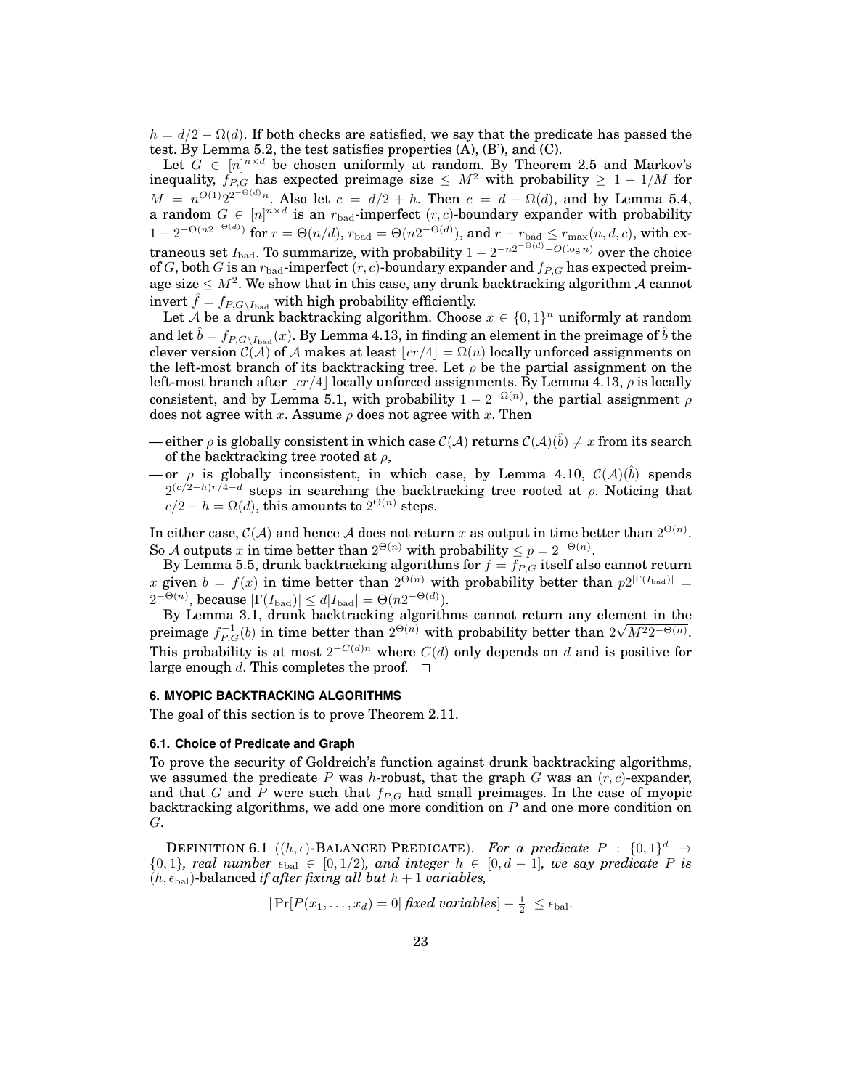$h = d/2 - \Omega(d)$ . If both checks are satisfied, we say that the predicate has passed the test. By Lemma 5.2, the test satisfies properties (A), (B'), and (C).

Let  $G \in [n]^{n \times d}$  be chosen uniformly at random. By Theorem 2.5 and Markov's inequality,  $f_{P,G}$  has expected preimage size  $\leq M^2$  with probability  $\geq 1 - 1/M$  for  $M = n^{O(1)}2^{2^{-\Theta(d)}n}$ . Also let  $c = d/2 + h$ . Then  $c = d - \Omega(d)$ , and by Lemma 5.4, a random  $G \in [n]^{n \times d}$  is an  $r_{bad}$ -imperfect  $(r, c)$ -boundary expander with probability  $1-2^{-\Theta(n2^{-\Theta(d)})}$  for  $r=\Theta(n/d),$   $r_{\rm bad}=\Theta(n2^{-\Theta(d)}),$  and  $r+r_{\rm bad}\leq r_{\rm max}(n,d,c),$  with extraneous set  $I_{\rm bad}$ . To summarize, with probability  $1-2^{-n2^{-\Theta(d)}+O(\log n)}$  over the choice of G, both G is an  $r_{bad}$ -imperfect  $(r, c)$ -boundary expander and  $f_{P,G}$  has expected preimage size  $\leq M^2.$  We show that in this case, any drunk backtracking algorithm  ${\cal A}$  cannot invert  $\hat{f} = f_{P,G\setminus I_{bad}}$  with high probability efficiently.

Let A be a drunk backtracking algorithm. Choose  $x \in \{0,1\}^n$  uniformly at random and let  $\hat{b} = f_{P,G\setminus I_{bad}}(x)$ . By Lemma 4.13, in finding an element in the preimage of  $\hat{b}$  the clever version  $C(A)$  of A makes at least  $\lfloor cr/4 \rfloor = \Omega(n)$  locally unforced assignments on the left-most branch of its backtracking tree. Let  $\rho$  be the partial assignment on the left-most branch after  $\lfloor c r/4 \rfloor$  locally unforced assignments. By Lemma 4.13,  $\rho$  is locally consistent, and by Lemma 5.1, with probability  $1 - 2^{-\Omega(n)}$ , the partial assignment  $\rho$ does not agree with x. Assume  $\rho$  does not agree with x. Then

- either  $\rho$  is globally consistent in which case  $\mathcal{C}(\mathcal{A})$  returns  $\mathcal{C}(\mathcal{A})(\hat{b}) \neq x$  from its search of the backtracking tree rooted at  $\rho$ ,
- or  $\rho$  is globally inconsistent, in which case, by Lemma 4.10,  $\mathcal{C}(\mathcal{A})(\hat{b})$  spends  $2^{(c/2-h)r/4-d}$  steps in searching the backtracking tree rooted at  $\rho$ . Noticing that  $c/2 - h = \Omega(d)$ , this amounts to  $2^{\Theta(n)}$  steps.

In either case,  $\mathcal{C}(\mathcal{A})$  and hence  $\mathcal A$  does not return x as output in time better than  $2^{\Theta(n)}$ . So A outputs x in time better than  $2^{\Theta(n)}$  with probability  $\leq p = 2^{-\Theta(n)}$ .

By Lemma 5.5, drunk backtracking algorithms for  $f = \overline{f_{P,G}}$  itself also cannot return x given  $b = f(x)$  in time better than  $2^{\Theta(n)}$  with probability better than  $p2^{|\Gamma(I_{bad})|} =$  $2^{-\Theta(n)}$ , because  $|\Gamma(I_{bad})| \le d|I_{bad}| = \Theta(n2^{-\Theta(d)}).$ 

By Lemma 3.1, drunk backtracking algorithms cannot return any element in the by Lemma 3.1, arunk backtracking algorithms cannot return any element preimage  $f_{P,G}^{-1}(b)$  in time better than  $2^{\Theta(n)}$  with probability better than  $2\sqrt{n}$  $M^22^{-\Theta(n)}$ . This probability is at most  $2^{-C(d)n}$  where  $C(d)$  only depends on d and is positive for large enough d. This completes the proof.  $\Box$ 

### **6. MYOPIC BACKTRACKING ALGORITHMS**

The goal of this section is to prove Theorem 2.11.

#### **6.1. Choice of Predicate and Graph**

To prove the security of Goldreich's function against drunk backtracking algorithms, we assumed the predicate P was h-robust, that the graph G was an  $(r, c)$ -expander, and that G and P were such that  $f_{P,G}$  had small preimages. In the case of myopic backtracking algorithms, we add one more condition on  $P$  and one more condition on G.

DEFINITION 6.1  $((h, \epsilon)$ -BALANCED PREDICATE). For a predicate  $P : \{0,1\}^d \rightarrow$  $\{0, 1\}$ , real number  $\epsilon_{\text{bal}} \in [0, 1/2)$ , and integer  $h \in [0, d-1]$ , we say predicate P is  $(h, \epsilon_{\text{bal}})$ -balanced *if after fixing all but*  $h + 1$  *variables,* 

$$
|\Pr[P(x_1, ..., x_d) = 0|
$$
 fixed variables $]-\frac{1}{2}| \le \epsilon_{\text{bal}}.$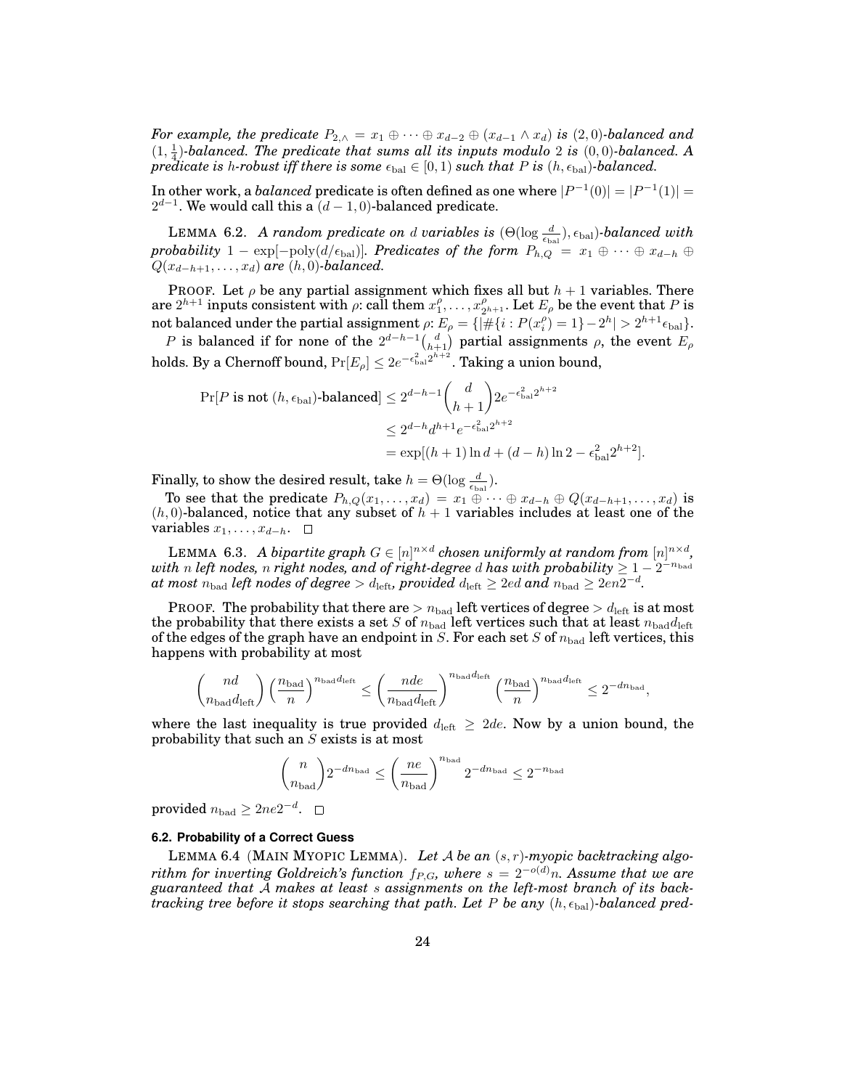*For example, the predicate*  $P_{2,\wedge} = x_1 \oplus \cdots \oplus x_{d-2} \oplus (x_{d-1} \wedge x_d)$  *is* (2,0)*-balanced and*  $(1, \frac{1}{4})$ *-balanced. The predicate that sums all its inputs modulo* 2 *is*  $(0, 0)$ *-balanced.* A *predicate is* h-robust iff there is some  $\epsilon_{\text{bal}} \in [0, 1)$  *such that* P is  $(h, \epsilon_{\text{bal}})$ -balanced.

In other work, a *balanced* predicate is often defined as one where  $|P^{-1}(0)| = |P^{-1}(1)| =$  $2^{d-1}$ . We would call this a  $(d-1,0)$ -balanced predicate.

LEMMA 6.2. *A random predicate on d variables is*  $(\Theta(\log \frac{d}{\epsilon_{bal}}), \epsilon_{bal})$ -balanced with *probability*  $1 - \exp[-\text{poly}(d/\epsilon_{bal})]$ *. Predicates of the form*  $P_{h,Q} = x_1 \oplus \cdots \oplus x_{d-h} \oplus$  $Q(x_{d-h+1}, \ldots, x_d)$  *are*  $(h, 0)$ *-balanced.* 

PROOF. Let  $\rho$  be any partial assignment which fixes all but  $h + 1$  variables. There  $\text{are } 2^{h+1} \text{ inputs consistent with } \rho \text{: call them } x_1^{\rho}, \ldots, x_{2^{h+1}}^{\rho}.$  Let  $E_{\rho}$  be the event that  $P$  is not balanced under the partial assignment  $\rho: E_\rho = \{\vert\# \{i: P(x_i^\rho)=1\}-2^h\vert>2^{h+1}\epsilon_{\rm bal}\}.$ 

P is balanced if for none of the  $2^{d-h-1} {d \choose h+1}$  partial assignments  $\rho$ , the event  $E_{\rho}$ holds. By a Chernoff bound,  $\Pr[E_\rho] \leq 2e^{-\epsilon_{\rm bal}^2 2^{h+2}}.$  Taking a union bound,

$$
\Pr[P \text{ is not } (h, \epsilon_{\text{bal}}) \text{-balanced}] \le 2^{d-h-1} \binom{d}{h+1} 2e^{-\epsilon_{\text{bal}}^2 2^{h+2}}
$$
  

$$
\le 2^{d-h} d^{h+1} e^{-\epsilon_{\text{bal}}^2 2^{h+2}}
$$
  

$$
= \exp[(h+1) \ln d + (d-h) \ln 2 - \epsilon_{\text{bal}}^2 2^{h+2}].
$$

Finally, to show the desired result, take  $h = \Theta(\log \frac{d}{\epsilon_{\text{bal}}}).$ 

To see that the predicate  $P_{h,Q}(x_1,\ldots,x_d) = x_1 \oplus \cdots \oplus x_{d-h} \oplus Q(x_{d-h+1},\ldots,x_d)$  is  $(h, 0)$ -balanced, notice that any subset of  $h + 1$  variables includes at least one of the variables  $x_1, \ldots, x_{d-h}$ . □

LEMMA 6.3. *A bipartite graph*  $G \in [n]^{n \times d}$  chosen uniformly at random from  $[n]^{n \times d}$ ,  $with\ n\ left\ nodes,\ n\ right\ nodes,\ and\ of\ right\ degree\ d\ has\ with\ probability \geq 1-2^{-n_{\mathrm{bad}}}$  $a$ t most  $n_{\rm bad}$  left nodes of degree  $> d_{\rm left}$ , provided  $d_{\rm left} \geq 2ed$  and  $n_{\rm bad} \geq 2en2^{-d}$ .

PROOF. The probability that there are  $> n_{bad}$  left vertices of degree  $> d_{left}$  is at most the probability that there exists a set S of  $n_{\text{bad}}$  left vertices such that at least  $n_{\text{bad}}d_{\text{left}}$ of the edges of the graph have an endpoint in S. For each set S of  $n_{bad}$  left vertices, this happens with probability at most

$$
\binom{nd}{n_{\mathrm{bad}}d_{\mathrm{left}}}\left(\frac{n_{\mathrm{bad}}}{n}\right)^{n_{\mathrm{bad}}d_{\mathrm{left}}}\leq \left(\frac{nde}{n_{\mathrm{bad}}d_{\mathrm{left}}}\right)^{n_{\mathrm{bad}}d_{\mathrm{left}}}\left(\frac{n_{\mathrm{bad}}}{n}\right)^{n_{\mathrm{bad}}d_{\mathrm{left}}}\leq 2^{-d n_{\mathrm{bad}}},\right.\right.
$$

where the last inequality is true provided  $d_{\text{left}} \geq 2de$ . Now by a union bound, the probability that such an S exists is at most

$$
\binom{n}{n_\mathrm{bad}}2^{-dn_\mathrm{bad}}\leq \left(\frac{ne}{n_\mathrm{bad}}\right)^{n_\mathrm{bad}}2^{-dn_\mathrm{bad}}\leq 2^{-n_\mathrm{bad}}
$$

provided  $n_{\rm bad} \geq 2ne2^{-d}$ .

## **6.2. Probability of a Correct Guess**

LEMMA 6.4 (MAIN MYOPIC LEMMA). *Let* A *be an* (s, r)*-myopic backtracking algorithm for inverting Goldreich's function*  $f_{P,G}$ *, where*  $s = 2^{-o(d)}n$ *. Assume that we are guaranteed that* A *makes at least* s *assignments on the left-most branch of its backtracking tree before it stops searching that path. Let*  $P$  *be any*  $(h, \epsilon_{bal})$ *-balanced pred-*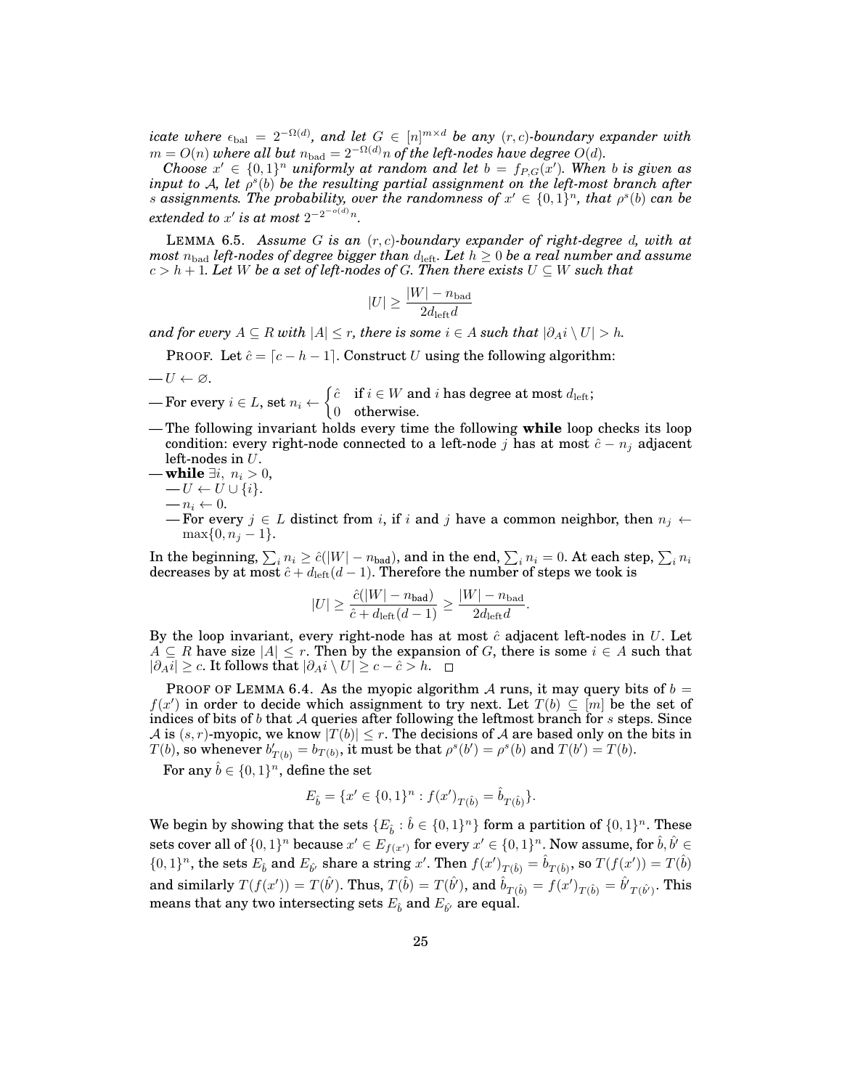*icate where*  $\epsilon_{\text{bal}} = 2^{-\Omega(d)}$ , and let  $G \in [n]^{m \times d}$  be any  $(r, c)$ -boundary expander with  $m = O(n)$  where all but  $n_{\mathrm{bad}} = 2^{-\Omega(d)} n$  of the left-nodes have degree  $O(d)$ .

*Choose*  $x' \in \{0,1\}^n$  *uniformly at random and let*  $b = f_{P,G}(x')$ *. When b is given as input to A, let*  $\rho^s(b)$  *be the resulting partial assignment on the left-most branch after s* assignments. The probability, over the randomness of  $x' \in \{0,1\}^n$ , that  $\rho^{s}(b)$  can be  $\emph{extended to $x'$ is at most $2^{-2^{-o(d)}n}$}.$ 

LEMMA 6.5. *Assume* G *is an* (r, c)*-boundary expander of right-degree* d*, with at most*  $n_{\text{bad}}$  *left-nodes of degree bigger than*  $d_{\text{left}}$ . Let  $h \geq 0$  be a real number and assume  $c > h + 1$ *. Let* W be a set of left-nodes of G. Then there exists  $U \subseteq W$  such that

$$
|U| \ge \frac{|W| - n_{\text{bad}}}{2d_{\text{left}}d}
$$

*and for every*  $A ⊆ R$  *with*  $|A| ≤ r$ *, there is some*  $i ∈ A$  *such that*  $|\partial_A i \setminus U| > h$ *.* 

PROOF. Let  $\hat{c} = [c - h - 1]$ . Construct U using the following algorithm:

$$
\qquad\qquad -U\leftarrow\varnothing.
$$

 $\text{For every } i \in L \text{, set } n_i \leftarrow \begin{cases} \hat{c} & \text{if } i \in W \text{ and } i \text{ has degree at most } d_{\text{left}}; \\ 0 & \text{otherwise.} \end{cases}$ 0 otherwise.

- The following invariant holds every time the following **while** loop checks its loop condition: every right-node connected to a left-node j has at most  $\hat{c} - n_j$  adjacent left-nodes in  $U$ .
- **while**  $\exists i, n_i > 0$ ,  $-U \leftarrow U \cup \{i\}.$  $- n_i \leftarrow 0.$

— For every  $j \in L$  distinct from i, if i and j have a common neighbor, then  $n_j \leftarrow$  $\max\{0, n_i - 1\}.$ 

In the beginning,  $\sum_i n_i \geq \hat{c}(|W|-n_{\text{bad}})$ , and in the end,  $\sum_i n_i = 0.$  At each step,  $\sum_i n_i$ decreases by at most  $\hat{c}+d_{\text{left}}(d-1).$  Therefore the number of steps we took is

$$
|U| \ge \frac{\hat{c}(|W| - n_{\text{bad}})}{\hat{c} + d_{\text{left}}(d - 1)} \ge \frac{|W| - n_{\text{bad}}}{2d_{\text{left}}d}.
$$

By the loop invariant, every right-node has at most  $\hat{c}$  adjacent left-nodes in U. Let  $A \subseteq R$  have size  $|A| \leq r$ . Then by the expansion of G, there is some  $i \in A$  such that  $|\partial_A i| \geq c$ . It follows that  $|\partial_A i \setminus U| \geq c - \hat{c} > h$ . □

PROOF OF LEMMA 6.4. As the myopic algorithm A runs, it may query bits of  $b =$  $f(x')$  in order to decide which assignment to try next. Let  $T(b) \subseteq [m]$  be the set of indices of bits of b that  $A$  queries after following the leftmost branch for s steps. Since A is  $(s, r)$ -myopic, we know  $|T(b)| \leq r$ . The decisions of A are based only on the bits in  $T(b)$ , so whenever  $b'_{T(b)} = b_{T(b)}$ , it must be that  $\rho^{s}(b') = \rho^{s}(b)$  and  $T(b') = T(b)$ .

For any  $\hat{b} \in \{0,1\}^n,$  define the set

$$
E_{\hat{b}} = \{x' \in \{0, 1\}^n : f(x')_{T(\hat{b})} = \hat{b}_{T(\hat{b})}\}.
$$

We begin by showing that the sets  $\{E_{\hat{b}} : \hat{b} \in \{0,1\}^n\}$  form a partition of  $\{0,1\}^n$ . These sets cover all of  $\{0,1\}^n$  because  $x'\in E_{f(x')}$  for every  $x'\in \{0,1\}^n.$  Now assume, for  $\hat{b},\hat{b'}\in$  $\{0,1\}^n$ , the sets  $E_{\hat{b}}$  and  $E_{\hat{b'}}$  share a string x'. Then  $f(x')_{T(\hat{b})} = \hat{b}_{T(\hat{b})}$ , so  $T(f(x')) = T(\hat{b})$ and similarly  $T(f(x')) = T(\hat{b'})$ . Thus,  $T(\hat{b}) = T(\hat{b'})$ , and  $\hat{b}_{T(\hat{b})} = f(x')_{T(\hat{b})} = \hat{b'}_{T(\hat{b'})}$ . This means that any two intersecting sets  $E_{\hat{b}}$  and  $E_{\hat{b'}}$  are equal.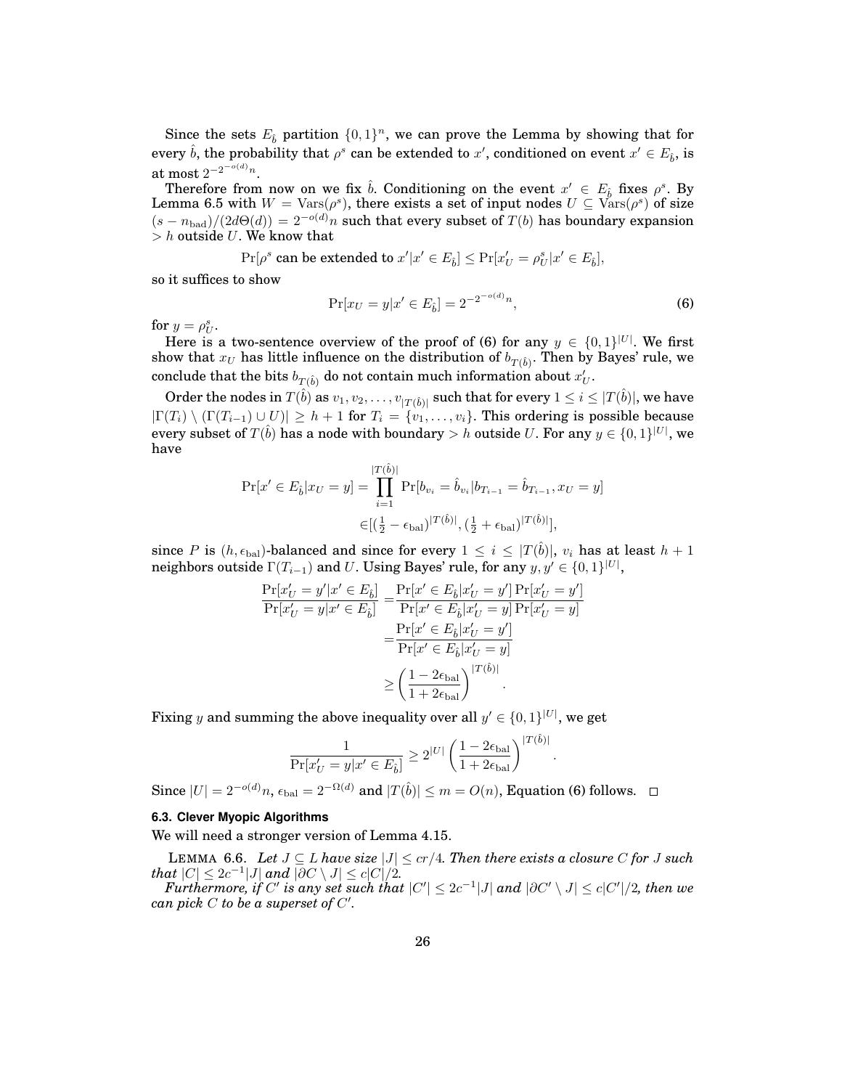Since the sets  $E_{\hat{b}}$  partition  $\{0, 1\}^n$ , we can prove the Lemma by showing that for every  $\hat{b}$ , the probability that  $\rho^s$  can be extended to  $x'$ , conditioned on event  $x' \in E_{\hat{b}}$ , is at most  $2^{-2^{-o(d)}n}$ .

Therefore from now on we fix  $\hat{b}$ . Conditioning on the event  $x' \in E_{\hat{b}}$  fixes  $\rho^s$ . By Lemma 6.5 with  $W = \text{Vars}(\rho^s)$ , there exists a set of input nodes  $U \subseteq \text{Vars}(\rho^s)$  of size  $(s - n_{bad})/(2d\Theta(d)) = 2^{-o(d)}n$  such that every subset of  $T(b)$  has boundary expansion  $> h$  outside U. We know that

 $\Pr[\rho^s \text{ can be extended to } x'| x' \in E_{\hat{b}}] \leq \Pr[x'_U = \rho^s_U | x' \in E_{\hat{b}}],$ 

so it suffices to show

$$
\Pr[x_U = y | x' \in E_{\hat{b}}] = 2^{-2^{-o(d)}n},\tag{6}
$$

.

for  $y = \rho_U^s$ .

Here is a two-sentence overview of the proof of (6) for any  $y \in \{0,1\}^{|U|}$ . We first show that  $x_U$  has little influence on the distribution of  $b_{T(\hat{b})}.$  Then by Bayes' rule, we conclude that the bits  $b_{T(\hat{b})}$  do not contain much information about  $x'_U.$ 

Order the nodes in  $T(\hat{b})$  as  $v_1,v_2,\ldots,v_{|T(\hat{b})|}$  such that for every  $1\leq i\leq |T(\hat{b})|,$  we have  $|\Gamma(T_i) \setminus (\Gamma(T_{i-1}) \cup U)| \geq h + 1$  for  $T_i = \{v_1, \ldots, v_i\}$ . This ordering is possible because every subset of  $T(\hat{b})$  has a node with boundary  $>h$  outside  $U.$  For any  $y\in\{0,1\}^{|U|},$  we have

$$
\Pr[x' \in E_{\hat{b}}|x_U = y] = \prod_{i=1}^{|T(\hat{b})|} \Pr[b_{v_i} = \hat{b}_{v_i}|b_{T_{i-1}} = \hat{b}_{T_{i-1}}, x_U = y]
$$

$$
\in [(\frac{1}{2} - \epsilon_{bal})^{|T(\hat{b})|}, (\frac{1}{2} + \epsilon_{bal})^{|T(\hat{b})|}],
$$

since P is  $(h, \epsilon_{bal})$ -balanced and since for every  $1 \leq i \leq |T(\hat{b})|$ ,  $v_i$  has at least  $h + 1$ neighbors outside  $\Gamma(T_{i-1})$  and  $U.$  Using Bayes' rule, for any  $y,y'\in\{0,1\}^{|U|},$ 

$$
\frac{\Pr[x'_U = y'|x' \in E_{\hat{b}}]}{\Pr[x'_U = y|x' \in E_{\hat{b}}]} = \frac{\Pr[x' \in E_{\hat{b}}|x'_U = y'] \Pr[x'_U = y']}{\Pr[x' \in E_{\hat{b}}|x'_U = y] \Pr[x'_U = y]} \n= \frac{\Pr[x' \in E_{\hat{b}}|x'_U = y']}{\Pr[x' \in E_{\hat{b}}|x'_U = y]} \n\ge \left(\frac{1 - 2\epsilon_{\text{bal}}}{1 + 2\epsilon_{\text{bal}}}\right)^{|T(\hat{b})|}.
$$

Fixing  $y$  and summing the above inequality over all  $y' \in \{0,1\}^{|U|}$ , we get

$$
\frac{1}{\Pr[x'_U = y | x' \in E_{\hat{b}}]} \geq 2^{|U|} \left(\frac{1 - 2\epsilon_{\text{bal}}}{1 + 2\epsilon_{\text{bal}}}\right)^{|T(\hat{b})|}
$$

Since  $|U| = 2^{-o(d)}n$ ,  $\epsilon_{\text{bal}} = 2^{-\Omega(d)}$  and  $|T(\hat{b})| \le m = O(n)$ , Equation (6) follows.

## **6.3. Clever Myopic Algorithms**

We will need a stronger version of Lemma 4.15.

LEMMA 6.6. Let  $J ⊆ L$  *have size*  $|J| ≤ cr/4$ . Then there exists a closure  $C$  for  $J$  such *that*  $|C| \leq 2c^{-1}|J|$  *and*  $|\partial C \setminus J| \leq c|C|/2$ .

 $\pmb{Furthermore, if $C'$ is any set such that $|C'| \leq 2c^{-1}|J|$ and $|\partial C' \setminus J| \leq c|C'|/2$, then we$ *can pick*  $C$  *to be a superset of*  $C'$ .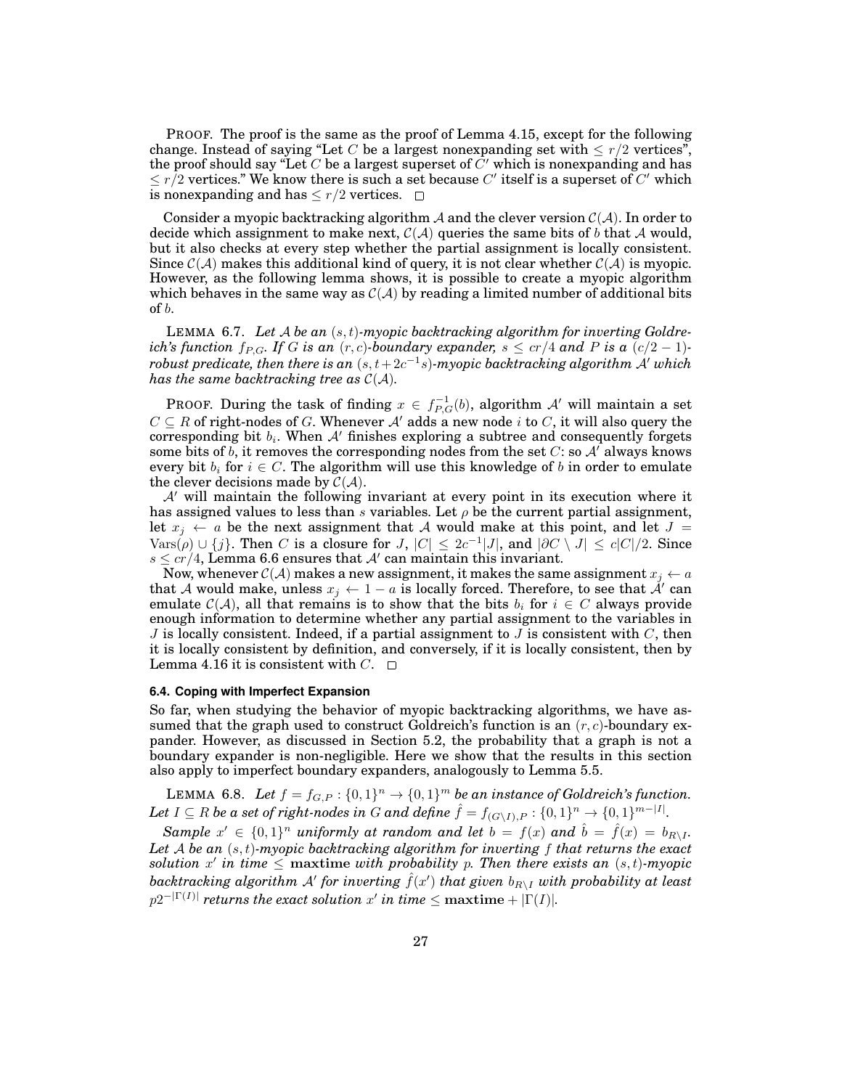PROOF. The proof is the same as the proof of Lemma 4.15, except for the following change. Instead of saying "Let C be a largest nonexpanding set with  $\leq r/2$  vertices", the proof should say "Let C be a largest superset of  $C'$  which is nonexpanding and has  $\leq r/2$  vertices." We know there is such a set because C' itself is a superset of C' which is nonexpanding and has  $\leq r/2$  vertices.  $\Box$ 

Consider a myopic backtracking algorithm A and the clever version  $C(\mathcal{A})$ . In order to decide which assignment to make next,  $C(\mathcal{A})$  queries the same bits of b that A would, but it also checks at every step whether the partial assignment is locally consistent. Since  $C(\mathcal{A})$  makes this additional kind of query, it is not clear whether  $C(\mathcal{A})$  is myopic. However, as the following lemma shows, it is possible to create a myopic algorithm which behaves in the same way as  $\mathcal{C}(\mathcal{A})$  by reading a limited number of additional bits of b.

LEMMA 6.7. *Let* A *be an* (s, t)*-myopic backtracking algorithm for inverting Goldreich's function*  $f_{P,G}$ *. If* G *is an*  $(r, c)$ *-boundary expander,*  $s \leq cr/4$  *and* P *is a*  $(c/2 - 1)$ *-* $\alpha$ robust predicate, then there is an  $(s, t+2c^{-1}s)$ -myopic backtracking algorithm  $\mathcal{A}'$  which *has the same backtracking tree as*  $C(A)$ *.* 

PROOF. During the task of finding  $x \in f_{P,G}^{-1}(b)$ , algorithm  $\mathcal{A}'$  will maintain a set  $C \subseteq R$  of right-nodes of G. Whenever A' adds a new node i to C, it will also query the corresponding bit  $b_i$ . When  $A'$  finishes exploring a subtree and consequently forgets some bits of b, it removes the corresponding nodes from the set  $C$ : so  $A'$  always knows every bit  $b_i$  for  $i \in C$ . The algorithm will use this knowledge of b in order to emulate the clever decisions made by  $\mathcal{C}(\mathcal{A})$ .

 $\mathcal{A}'$  will maintain the following invariant at every point in its execution where it has assigned values to less than s variables. Let  $\rho$  be the current partial assignment, let  $x_j \leftarrow a$  be the next assignment that A would make at this point, and let  $J =$  $\text{Vars}(\rho) \cup \{j\}$ . Then C is a closure for  $J, |C| \leq 2c^{-1}|J|$ , and  $|\partial C \setminus J| \leq c|C|/2$ . Since  $s \leq c r/4$ , Lemma 6.6 ensures that A' can maintain this invariant.

Now, whenever  $C(A)$  makes a new assignment, it makes the same assignment  $x_j \leftarrow a$ that A would make, unless  $x_j \leftarrow 1 - a$  is locally forced. Therefore, to see that  $\AA'$  can emulate  $C(\mathcal{A})$ , all that remains is to show that the bits  $b_i$  for  $i \in C$  always provide enough information to determine whether any partial assignment to the variables in J is locally consistent. Indeed, if a partial assignment to J is consistent with  $C$ , then it is locally consistent by definition, and conversely, if it is locally consistent, then by Lemma 4.16 it is consistent with  $C. \square$ 

#### **6.4. Coping with Imperfect Expansion**

So far, when studying the behavior of myopic backtracking algorithms, we have assumed that the graph used to construct Goldreich's function is an  $(r, c)$ -boundary expander. However, as discussed in Section 5.2, the probability that a graph is not a boundary expander is non-negligible. Here we show that the results in this section also apply to imperfect boundary expanders, analogously to Lemma 5.5.

LEMMA 6.8. Let  $f = f_{G,P} : \{0,1\}^n \to \{0,1\}^m$  be an instance of Goldreich's function. Let  $I \subseteq R$  be a set of right-nodes in G and define  $\hat{f} = f_{(G \setminus I), P} : \{0, 1\}^n \to \{0, 1\}^{m - |I|}$ .

Sample  $x' \in \{0,1\}^n$  *uniformly at random and let*  $b = f(x)$  *and*  $\hat{b} = \hat{f}(x) = b_{R\setminus I}$ *. Let* A *be an* (s, t)*-myopic backtracking algorithm for inverting* f *that returns the exact* solution x' in time  $\leq$  maxtime with probability p. Then there exists an  $(s, t)$ -myopic  $\emph{backtracking algorithm}$   $\emph{A}^\prime$  for inverting  $\hat{f}(x^\prime)$  that given  $\emph{b}_{R\setminus I}$  with probability at least  $p2^{-|\Gamma(I)|}$  returns the exact solution  $x'$  in time  $\leq$  maxtime  $+|\Gamma(I)|$ *.*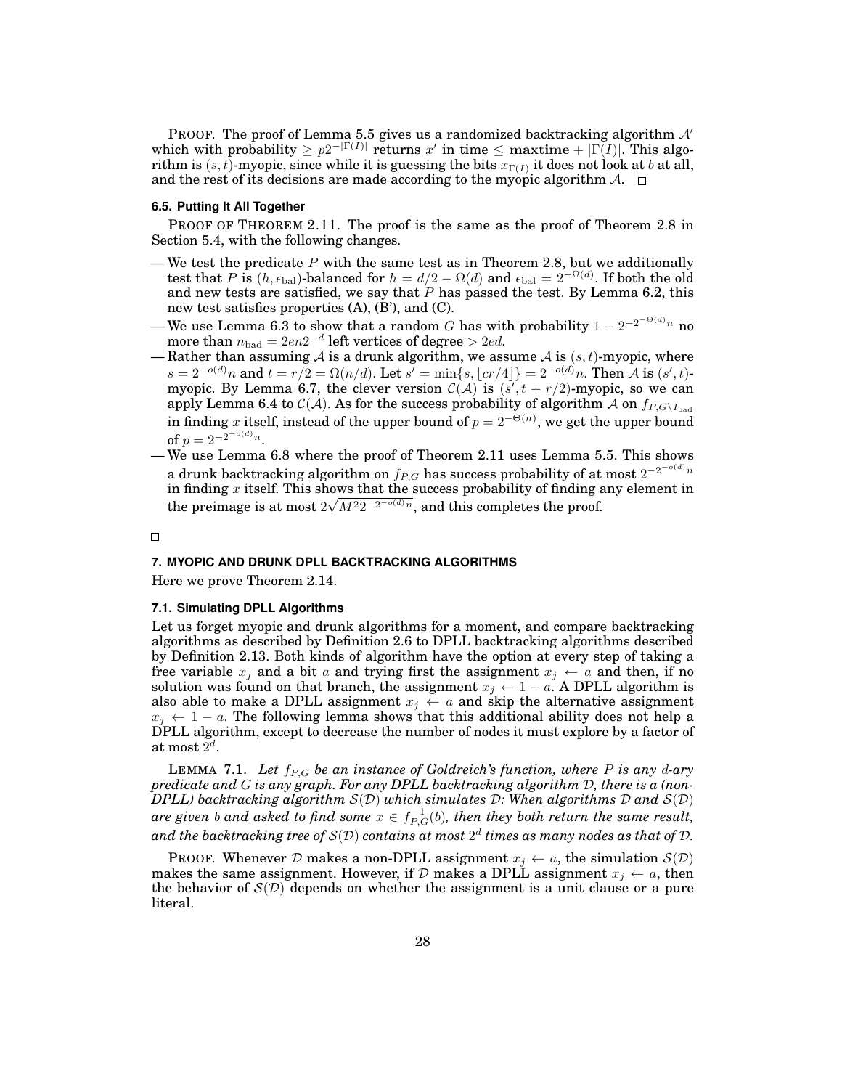PROOF. The proof of Lemma 5.5 gives us a randomized backtracking algorithm  $A'$ which with probability  $\geq p2^{-|\Gamma(I)|}$  returns  $x'$  in time  $\leq$  maxtime  $+ |\Gamma(I)|$ . This algorithm is  $(s,t)$ -myopic, since while it is guessing the bits  $x_{\Gamma(I)}$  it does not look at  $b$  at all, and the rest of its decisions are made according to the myopic algorithm  $\mathcal{A}$ .  $\Box$ 

#### **6.5. Putting It All Together**

PROOF OF THEOREM 2.11. The proof is the same as the proof of Theorem 2.8 in Section 5.4, with the following changes.

- We test the predicate  $P$  with the same test as in Theorem 2.8, but we additionally test that P is  $(h, \epsilon_{bal})$ -balanced for  $h = d/2 - \Omega(d)$  and  $\epsilon_{bal} = 2^{-\Omega(d)}$ . If both the old and new tests are satisfied, we say that  $P$  has passed the test. By Lemma 6.2, this new test satisfies properties (A), (B'), and (C).
- We use Lemma 6.3 to show that a random G has with probability  $1 2^{-2^{-\Theta(d)}n}$  no more than  $n_{\rm bad}=2en2^{-d}$  left vertices of degree  $>2ed.$
- Rather than assuming A is a drunk algorithm, we assume A is  $(s, t)$ -myopic, where  $s = 2^{-o(d)}n$  and  $t = r/2 = \Omega(n/d)$ . Let  $s' = \min\{s, \lfloor cr/4 \rfloor\} = 2^{-o(d)}n$ . Then A is  $(s', t)$ myopic. By Lemma 6.7, the clever version  $\mathcal{C}(\mathcal{A})$  is  $(s', t + r/2)$ -myopic, so we can apply Lemma 6.4 to  $\mathcal{C}(\mathcal{A})$ . As for the success probability of algorithm A on  $f_{P,G\setminus I_{\text{bad}}}$ in finding x itself, instead of the upper bound of  $p = 2^{-\Theta(n)}$ , we get the upper bound of  $p = 2^{-2^{-o(d)}n}$ .
- We use Lemma 6.8 where the proof of Theorem 2.11 uses Lemma 5.5. This shows a drunk backtracking algorithm on  $f_{P,G}$  has success probability of at most  $2^{-2^{-o(d)}n}$ in finding x itself. This shows that the success probability of finding any element in the preimage is at most  $2\sqrt{M^22^{-2^{-o(d)}n}}$ , and this completes the proof.

 $\Box$ 

#### **7. MYOPIC AND DRUNK DPLL BACKTRACKING ALGORITHMS**

Here we prove Theorem 2.14.

#### **7.1. Simulating DPLL Algorithms**

Let us forget myopic and drunk algorithms for a moment, and compare backtracking algorithms as described by Definition 2.6 to DPLL backtracking algorithms described by Definition 2.13. Both kinds of algorithm have the option at every step of taking a free variable  $x_j$  and a bit a and trying first the assignment  $x_j \leftarrow a$  and then, if no solution was found on that branch, the assignment  $x_j \leftarrow 1 - a$ . A DPLL algorithm is also able to make a DPLL assignment  $x_j \leftarrow a$  and skip the alternative assignment  $x_j \leftarrow 1 - a$ . The following lemma shows that this additional ability does not help a DPLL algorithm, except to decrease the number of nodes it must explore by a factor of  $\hbox{at most}\ 2^d.$ 

LEMMA 7.1. Let  $f_{P,G}$  be an instance of Goldreich's function, where P is any d-ary *predicate and* G *is any graph. For any DPLL backtracking algorithm* D*, there is a (non-DPLL) backtracking algorithm* S(D) *which simulates* D*: When algorithms* D *and* S(D)  $\emph{are given $b$ and asked to find some $x\in f^{-1}_{P,G}(b)$, then they both return the same result,}$ and the backtracking tree of  $\mathcal{S}(\mathcal{D})$  contains at most  $2^d$  times as many nodes as that of  $\mathcal{D}.$ 

PROOF. Whenever D makes a non-DPLL assignment  $x_i \leftarrow a$ , the simulation  $S(\mathcal{D})$ makes the same assignment. However, if D makes a DPLL assignment  $x_i \leftarrow a$ , then the behavior of  $\mathcal{S}(D)$  depends on whether the assignment is a unit clause or a pure literal.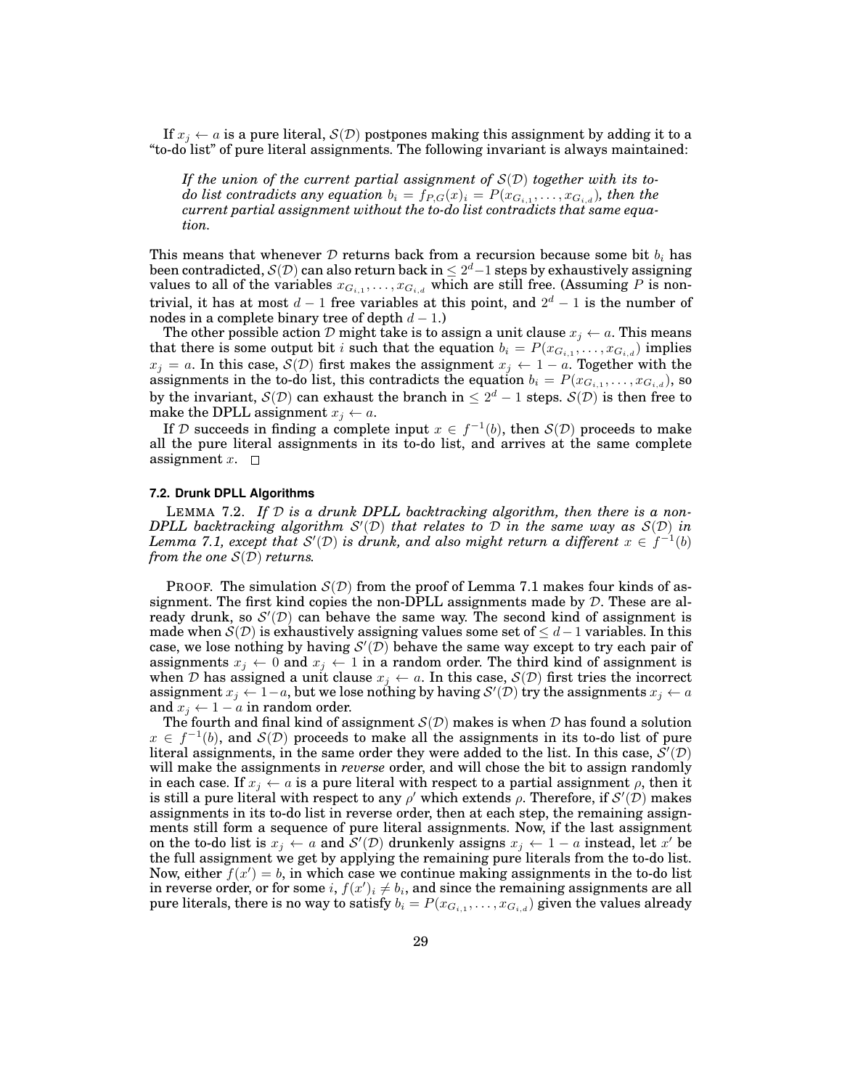If  $x_j \leftarrow a$  is a pure literal,  $\mathcal{S}(\mathcal{D})$  postpones making this assignment by adding it to a "to-do list" of pure literal assignments. The following invariant is always maintained:

*If the union of the current partial assignment of* S(D) *together with its to* $do$  list contradicts any equation  $b_i = f_{P,G}(x)_i = P(x_{G_{i,1}}, \ldots, x_{G_{i,d}})$ , then the *current partial assignment without the to-do list contradicts that same equation.*

This means that whenever D returns back from a recursion because some bit  $b_i$  has been contradicted,  $\mathcal{S}(\mathcal{D})$  can also return back in  $\leq 2^d-1$  steps by exhaustively assigning values to all of the variables  $x_{G_{i,1}},\ldots,x_{G_{i,d}}$  which are still free. (Assuming  $P$  is nontrivial, it has at most  $d-1$  free variables at this point, and  $2^d-1$  is the number of nodes in a complete binary tree of depth  $d - 1$ .)

The other possible action D might take is to assign a unit clause  $x_i \leftarrow a$ . This means that there is some output bit i such that the equation  $b_i = P(x_{G_{i,1}}, \ldots, x_{G_{i,d}})$  implies  $x_j = a$ . In this case,  $\mathcal{S}(\mathcal{D})$  first makes the assignment  $x_j \leftarrow 1 - a$ . Together with the assignments in the to-do list, this contradicts the equation  $b_i = P(x_{G_{i,1}}, \ldots, x_{G_{i,d}})$ , so by the invariant,  $\mathcal{S}(\mathcal{D})$  can exhaust the branch in  $\leq 2^d - 1$  steps.  $\mathcal{S}(\mathcal{D})$  is then free to make the DPLL assignment  $x_i \leftarrow a$ .

If D succeeds in finding a complete input  $x \in f^{-1}(b)$ , then  $\mathcal{S}(\mathcal{D})$  proceeds to make all the pure literal assignments in its to-do list, and arrives at the same complete assignment x.  $\square$ 

#### **7.2. Drunk DPLL Algorithms**

LEMMA 7.2. *If* D *is a drunk DPLL backtracking algorithm, then there is a non-*DPLL backtracking algorithm  $S'(\mathcal{D})$  that relates to  $\mathcal D$  *in the same way as*  $S(\mathcal{D})$  *in* Lemma 7.1, except that  $\mathcal{S}'(\mathcal{D})$  is drunk, and also might return a different  $x \in f^{-1}(b)$ *from the one* S(D) *returns.*

**PROOF.** The simulation  $S(D)$  from the proof of Lemma 7.1 makes four kinds of assignment. The first kind copies the non-DPLL assignments made by  $D$ . These are already drunk, so  $\mathcal{S}'(\mathcal{D})$  can behave the same way. The second kind of assignment is made when  $S(\mathcal{D})$  is exhaustively assigning values some set of  $\leq d-1$  variables. In this case, we lose nothing by having  $\mathcal{S}'(\mathcal{D})$  behave the same way except to try each pair of assignments  $x_j \leftarrow 0$  and  $x_j \leftarrow 1$  in a random order. The third kind of assignment is when D has assigned a unit clause  $x_j \leftarrow a$ . In this case,  $\mathcal{S}(\mathcal{D})$  first tries the incorrect assignment  $x_j \leftarrow 1-a,$  but we lose nothing by having  $\mathcal{S}'(\mathcal{D})$  try the assignments  $x_j \leftarrow a$ and  $x_j \leftarrow 1 - a$  in random order.

The fourth and final kind of assignment  $S(D)$  makes is when D has found a solution  $x \in f^{-1}(b)$ , and  $\mathcal{S}(\mathcal{D})$  proceeds to make all the assignments in its to-do list of pure literal assignments, in the same order they were added to the list. In this case,  $\overline{\mathcal{S}}'(\mathcal{D})$ will make the assignments in *reverse* order, and will chose the bit to assign randomly in each case. If  $x_i \leftarrow a$  is a pure literal with respect to a partial assignment  $\rho$ , then it is still a pure literal with respect to any  $\rho'$  which extends  $\rho$ . Therefore, if  $\mathcal{S}'(\mathcal{D})$  makes assignments in its to-do list in reverse order, then at each step, the remaining assignments still form a sequence of pure literal assignments. Now, if the last assignment on the to-do list is  $x_j \leftarrow a$  and  $\mathcal{S}'(\mathcal{D})$  drunkenly assigns  $x_j \leftarrow 1 - a$  instead, let  $x'$  be the full assignment we get by applying the remaining pure literals from the to-do list. Now, either  $f(x') = b$ , in which case we continue making assignments in the to-do list in reverse order, or for some  $i, f(x')_i \neq b_i$ , and since the remaining assignments are all pure literals, there is no way to satisfy  $b_i = P(x_{G_{i,1}}, \dots, x_{G_{i,d}})$  given the values already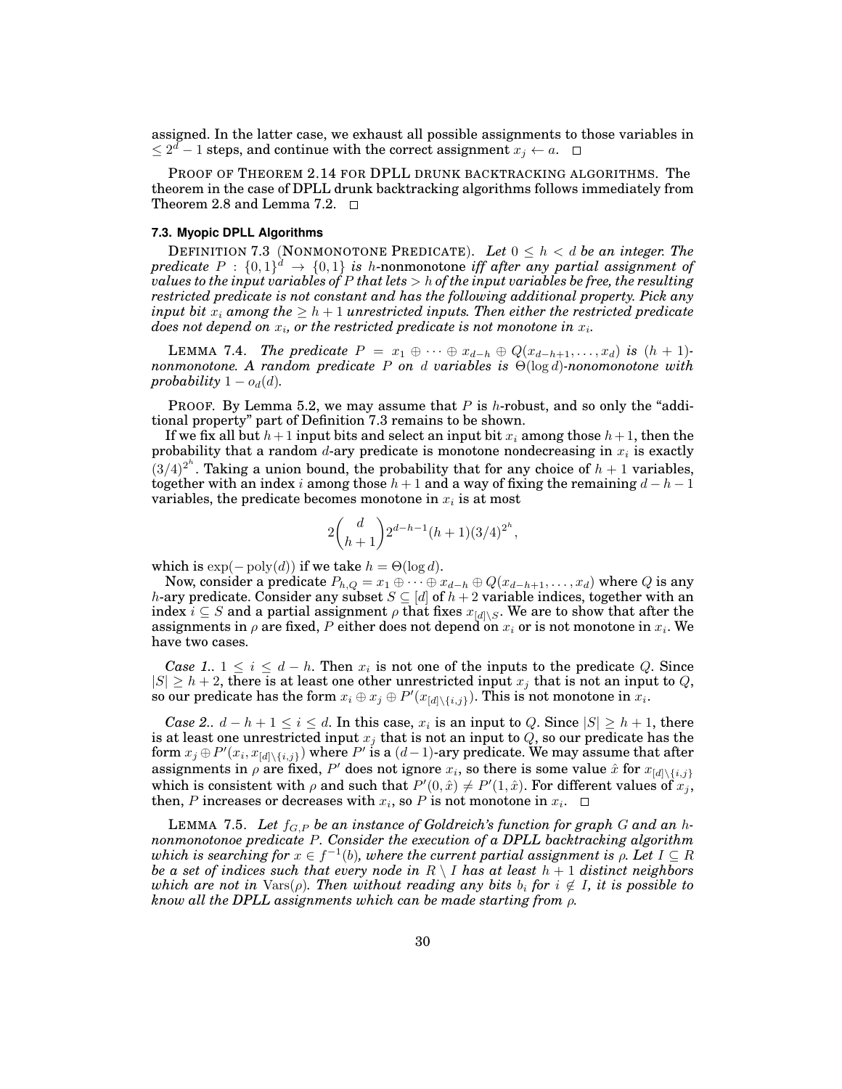assigned. In the latter case, we exhaust all possible assignments to those variables in  $\leq 2^d-1$  steps, and continue with the correct assignment  $x_j \leftarrow a$ .

PROOF OF THEOREM 2.14 FOR DPLL DRUNK BACKTRACKING ALGORITHMS. The theorem in the case of DPLL drunk backtracking algorithms follows immediately from Theorem 2.8 and Lemma 7.2.  $\Box$ 

#### **7.3. Myopic DPLL Algorithms**

DEFINITION 7.3 (NONMONOTONE PREDICATE). Let  $0 \leq h < d$  be an integer. The  $predicate P : \{0,1\}^d \rightarrow \{0,1\}$  is h-nonmonotone *iff after any partial assignment of values to the input variables of* P *that lets* > h *of the input variables be free, the resulting restricted predicate is not constant and has the following additional property. Pick any input bit*  $x_i$  *among the*  $\geq h+1$  *unrestricted inputs. Then either the restricted predicate*  $\emph{does not depend on $x_i$, or the restricted predicate is not monotone in $x_i$.}$ 

LEMMA 7.4. *The predicate*  $P = x_1 \oplus \cdots \oplus x_{d-h} \oplus Q(x_{d-h+1},...,x_d)$  *is*  $(h + 1)$ *nonmonotone. A random predicate* P *on* d *variables is* Θ(log d)*-nonomonotone with probability*  $1 - o_d(d)$ *.* 

**PROOF.** By Lemma 5.2, we may assume that P is h-robust, and so only the "additional property" part of Definition 7.3 remains to be shown.

If we fix all but  $h+1$  input bits and select an input bit  $x_i$  among those  $h+1$ , then the probability that a random d-ary predicate is monotone nondecreasing in  $x_i$  is exactly  $(3/4)^{2<sup>h</sup>}$ . Taking a union bound, the probability that for any choice of  $h + 1$  variables, together with an index i among those  $h + 1$  and a way of fixing the remaining  $d - h - 1$ variables, the predicate becomes monotone in  $x_i$  is at most

$$
2\binom{d}{h+1}2^{d-h-1}(h+1)(3/4)^{2^h},
$$

which is  $\exp(-\text{poly}(d))$  if we take  $h = \Theta(\log d)$ .

Now, consider a predicate  $P_{h,Q} = x_1 \oplus \cdots \oplus x_{d-h} \oplus Q(x_{d-h+1}, \ldots, x_d)$  where Q is any h-ary predicate. Consider any subset  $S \subseteq [d]$  of  $h + 2$  variable indices, together with an index  $i \subseteq S$  and a partial assignment  $\rho$  that fixes  $x_{[d] \setminus S}$ . We are to show that after the assignments in  $\rho$  are fixed,  $P$  either does not depend on  $x_i$  or is not monotone in  $x_i.$  We have two cases.

*Case 1..*  $1 \leq i \leq d - h$ . Then  $x_i$  is not one of the inputs to the predicate Q. Since  $|S| \geq h+2$ , there is at least one other unrestricted input  $x_j$  that is not an input to  $Q$ , so our predicate has the form  $x_i \oplus x_j \oplus P'(x_{[d] \setminus \{i,j\}}).$  This is not monotone in  $x_i.$ 

*Case 2..*  $d - h + 1 \leq i \leq d$ . In this case,  $x_i$  is an input to Q. Since  $|S| \geq h + 1$ , there is at least one unrestricted input  $x_j$  that is not an input to  $Q$ , so our predicate has the form  $x_j \oplus P'(x_i, x_{[d] \setminus \{i,j\}})$  where  $P'$  is a  $(d-1)$ -ary predicate. We may assume that after assignments in  $\rho$  are fixed,  $P'$  does not ignore  $x_i$ , so there is some value  $\hat{x}$  for  $x_{[d] \setminus \{i,j\}}$ which is consistent with  $\rho$  and such that  $P'(0, \hat{x}) \neq P'(1, \hat{x})$ . For different values of  $x_j$ , then, P increases or decreases with  $x_i$ , so P is not monotone in  $x_i$ .

LEMMA 7.5. Let  $f_{G,P}$  be an instance of Goldreich's function for graph G and an h*nonmonotonoe predicate* P*. Consider the execution of a DPLL backtracking algorithm*  $which$  is searching for  $x\in f^{-1}(b),$  where the current partial assignment is  $\rho.$  Let  $I\subseteq R$ *be a set of indices such that every node in*  $R \setminus I$  *has at least*  $h + 1$  *distinct neighbors which are not in*  $\text{Vars}(\rho)$ *. Then without reading any bits*  $b_i$  *for*  $i \notin I$ *, it is possible to know all the DPLL assignments which can be made starting from* ρ*.*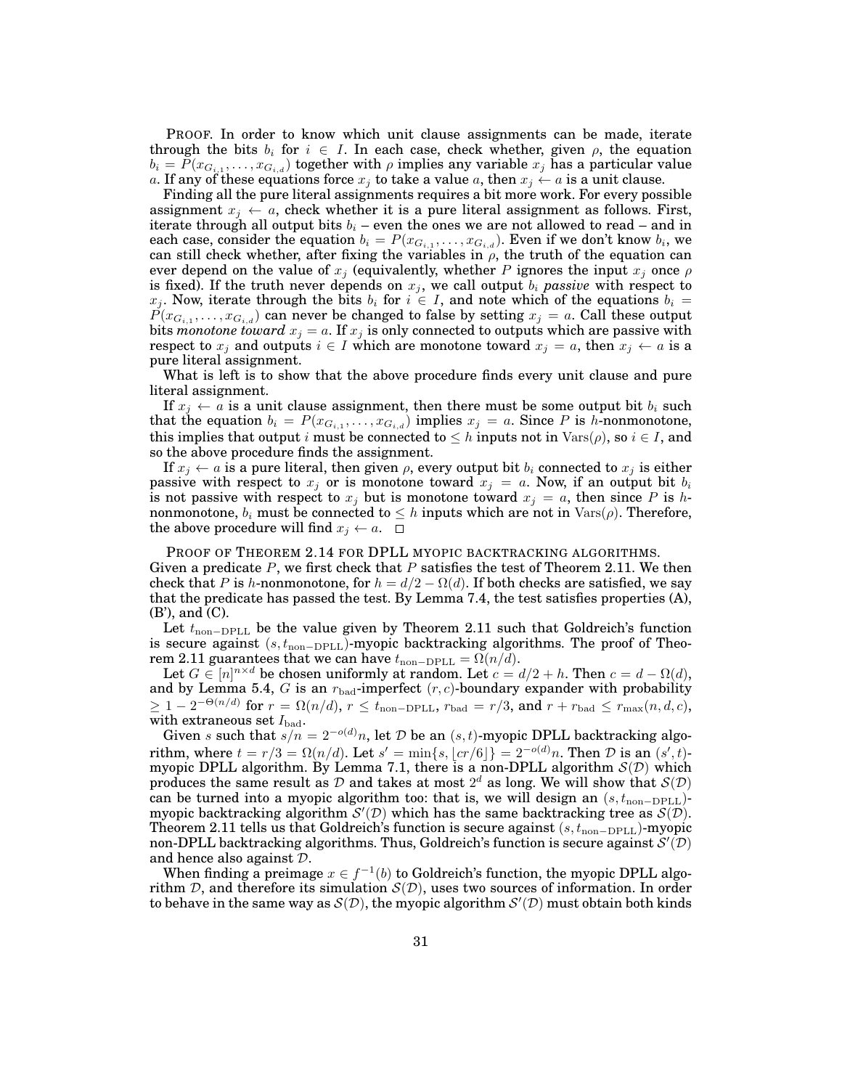PROOF. In order to know which unit clause assignments can be made, iterate through the bits  $b_i$  for  $i \in I$ . In each case, check whether, given  $\rho$ , the equation  $b_i = P(x_{G_{i,1}}, \ldots, x_{G_{i,d}})$  together with  $\rho$  implies any variable  $x_j$  has a particular value a. If any of these equations force  $x_i$  to take a value a, then  $x_i \leftarrow a$  is a unit clause.

Finding all the pure literal assignments requires a bit more work. For every possible assignment  $x_j \leftarrow a$ , check whether it is a pure literal assignment as follows. First, iterate through all output bits  $b_i$  – even the ones we are not allowed to read – and in each case, consider the equation  $b_i = P(x_{G_{i,1}}, \ldots, x_{G_{i,d}})$ . Even if we don't know  $b_i$ , we can still check whether, after fixing the variables in  $\rho$ , the truth of the equation can ever depend on the value of  $x_j$  (equivalently, whether P ignores the input  $x_j$  once  $\rho$ is fixed). If the truth never depends on  $x_j$ , we call output  $b_i$  *passive* with respect to  $x_j$ . Now, iterate through the bits  $b_i$  for  $i \in I$ , and note which of the equations  $b_i =$  $P(x_{G_{i,1}}, \ldots, x_{G_{i,d}})$  can never be changed to false by setting  $x_j=a.$  Call these output bits *monotone toward*  $x_j = a$ . If  $x_j$  is only connected to outputs which are passive with respect to  $x_j$  and outputs  $i \in I$  which are monotone toward  $x_j = a$ , then  $x_j \leftarrow a$  is a pure literal assignment.

What is left is to show that the above procedure finds every unit clause and pure literal assignment.

If  $x_j \leftarrow a$  is a unit clause assignment, then there must be some output bit  $b_i$  such that the equation  $b_i = P(x_{G_{i,1}}, \ldots, x_{G_{i,d}})$  implies  $x_j = a$ . Since P is h-nonmonotone, this implies that output i must be connected to  $\leq h$  inputs not in  $\text{Vars}(\rho)$ , so  $i \in I$ , and so the above procedure finds the assignment.

If  $x_j \leftarrow a$  is a pure literal, then given  $\rho$ , every output bit  $b_i$  connected to  $x_j$  is either passive with respect to  $x_j$  or is monotone toward  $x_j = a$ . Now, if an output bit  $b_i$ is not passive with respect to  $x_j$  but is monotone toward  $x_j = a$ , then since P is hnonmonotone,  $b_i$  must be connected to  $\leq h$  inputs which are not in  $\text{Vars}(\rho)$ . Therefore, the above procedure will find  $x_j \leftarrow a$ .  $\Box$ 

PROOF OF THEOREM 2.14 FOR DPLL MYOPIC BACKTRACKING ALGORITHMS. Given a predicate  $P$ , we first check that  $P$  satisfies the test of Theorem 2.11. We then check that P is h-nonmonotone, for  $h = d/2 - \Omega(d)$ . If both checks are satisfied, we say that the predicate has passed the test. By Lemma 7.4, the test satisfies properties (A), (B'), and (C).

Let  $t_{\text{non-DPLL}}$  be the value given by Theorem 2.11 such that Goldreich's function is secure against  $(s, t_{\text{non-DPLL}})$ -myopic backtracking algorithms. The proof of Theorem 2.11 guarantees that we can have  $t_{\text{non-DPLL}} = \Omega(n/d)$ .

Let  $G \in [n]^{n \times d}$  be chosen uniformly at random. Let  $c = d/2 + h$ . Then  $c = d - \Omega(d)$ , and by Lemma 5.4, G is an  $r_{bad}$ -imperfect  $(r, c)$ -boundary expander with probability  $\geq 1-2^{-\Theta(n/d)} \text{ for } r=\Omega(n/d), \, r \leq t_{\text{non-DPLL}}, \, r_{\text{bad}}=r/3, \, \text{and } r+r_{\text{bad}} \leq r_{\text{max}}(n,d,c),$ with extraneous set  $I_{bad}$ .

Given s such that  $s/n = 2^{-o(d)}n$ , let D be an  $(s, t)$ -myopic DPLL backtracking algorithm, where  $t = r/3 = \Omega(n/d)$ . Let  $s' = \min\{s, |cr/6|\} = 2^{-o(d)}n$ . Then  $D$  is an  $(s', t)$ myopic DPLL algorithm. By Lemma 7.1, there is a non-DPLL algorithm  $S(D)$  which produces the same result as D and takes at most  $2^d$  as long. We will show that  $\mathcal{S}(\mathcal{D})$ can be turned into a myopic algorithm too: that is, we will design an  $(s, t_{\text{non-DELL}})$ myopic backtracking algorithm  $\mathcal{S}'(\mathcal{D})$  which has the same backtracking tree as  $\mathcal{S}(\mathcal{D})$ . Theorem 2.11 tells us that Goldreich's function is secure against  $(s, t_{\text{non-DPLL}})$ -myopic non-DPLL backtracking algorithms. Thus, Goldreich's function is secure against  $\mathcal{S}'(\mathcal{D})$ and hence also against D.

When finding a preimage  $x \in f^{-1}(b)$  to Goldreich's function, the myopic DPLL algorithm D, and therefore its simulation  $S(D)$ , uses two sources of information. In order to behave in the same way as  $S(D)$ , the myopic algorithm  $S'(D)$  must obtain both kinds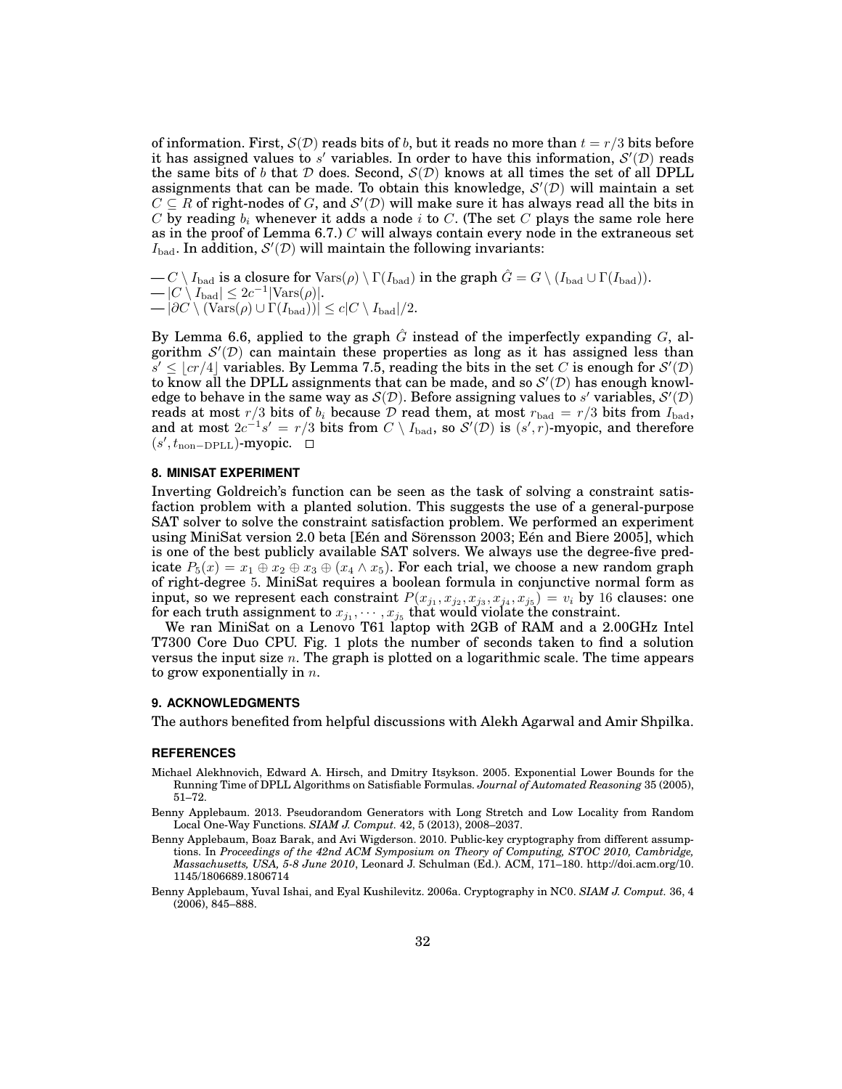of information. First,  $S(\mathcal{D})$  reads bits of b, but it reads no more than  $t = r/3$  bits before it has assigned values to s' variables. In order to have this information,  $\mathcal{S}'(\mathcal{D})$  reads the same bits of b that D does. Second,  $S(D)$  knows at all times the set of all DPLL assignments that can be made. To obtain this knowledge,  $\mathcal{S}'(\mathcal{D})$  will maintain a set  $C \subseteq R$  of right-nodes of G, and  $\mathcal{S}'(\mathcal{D})$  will make sure it has always read all the bits in C by reading  $b_i$  whenever it adds a node i to C. (The set C plays the same role here as in the proof of Lemma 6.7.)  $C$  will always contain every node in the extraneous set  $I_{\text{bad}}$ . In addition,  $\mathcal{S}'(\mathcal{D})$  will maintain the following invariants:

 $-C \setminus I_{bad}$  is a closure for  $\text{Vars}(\rho) \setminus \Gamma(I_{bad})$  in the graph  $\hat{G} = G \setminus (I_{bad} \cup \Gamma(I_{bad})).$  $-|C \setminus I_{bad}| \leq 2c^{-1}|\text{Vars}(\rho)|.$  $-|\partial C \setminus (\text{Vars}(\rho) \cup \Gamma(I_{bad}))| \leq c|C \setminus I_{bad}|/2.$ 

By Lemma 6.6, applied to the graph  $\tilde{G}$  instead of the imperfectly expanding  $G$ , algorithm  $\mathcal{S}'(\mathcal{D})$  can maintain these properties as long as it has assigned less than  $\overline{s'} \leq \lfloor cr/4 \rfloor$  variables. By Lemma 7.5, reading the bits in the set C is enough for  $\mathcal{S}'(\mathcal{D})$ to know all the DPLL assignments that can be made, and so  $\mathcal{S}'(\mathcal{D})$  has enough knowledge to behave in the same way as  $\mathcal{S}(\mathcal{D})$ . Before assigning values to s' variables,  $\mathcal{S}'(\mathcal{D})$ reads at most  $r/3$  bits of  $b_i$  because  ${\cal D}$  read them, at most  $r_{\rm bad}=r/3$  bits from  $I_{\rm bad}$ , and at most  $2c^{-1}s' = r/3$  bits from  $C \setminus I_{bad}$ , so  $\mathcal{S}'(\mathcal{D})$  is  $(s', r)$ -myopic, and therefore  $(s', t_{\text{non-DPLL}})$ -myopic.

#### **8. MINISAT EXPERIMENT**

Inverting Goldreich's function can be seen as the task of solving a constraint satisfaction problem with a planted solution. This suggests the use of a general-purpose SAT solver to solve the constraint satisfaction problem. We performed an experiment using MiniSat version 2.0 beta [Eén and Sörensson 2003; Eén and Biere 2005], which is one of the best publicly available SAT solvers. We always use the degree-five predicate  $P_5(x) = x_1 \oplus x_2 \oplus x_3 \oplus (x_4 \wedge x_5)$ . For each trial, we choose a new random graph of right-degree 5. MiniSat requires a boolean formula in conjunctive normal form as input, so we represent each constraint  $P(x_{j_1}, x_{j_2}, x_{j_3}, x_{j_4}, x_{j_5}) = v_i$  by 16 clauses: one for each truth assignment to  $x_{j_1},\cdots,x_{j_5}$  that would violate the constraint.

We ran MiniSat on a Lenovo T61 laptop with 2GB of RAM and a 2.00GHz Intel T7300 Core Duo CPU. Fig. 1 plots the number of seconds taken to find a solution versus the input size  $n$ . The graph is plotted on a logarithmic scale. The time appears to grow exponentially in  $n$ .

#### **9. ACKNOWLEDGMENTS**

The authors benefited from helpful discussions with Alekh Agarwal and Amir Shpilka.

#### **REFERENCES**

- Michael Alekhnovich, Edward A. Hirsch, and Dmitry Itsykson. 2005. Exponential Lower Bounds for the Running Time of DPLL Algorithms on Satisfiable Formulas. *Journal of Automated Reasoning* 35 (2005), 51–72.
- Benny Applebaum. 2013. Pseudorandom Generators with Long Stretch and Low Locality from Random Local One-Way Functions. *SIAM J. Comput.* 42, 5 (2013), 2008–2037.
- Benny Applebaum, Boaz Barak, and Avi Wigderson. 2010. Public-key cryptography from different assumptions. In *Proceedings of the 42nd ACM Symposium on Theory of Computing, STOC 2010, Cambridge, Massachusetts, USA, 5-8 June 2010*, Leonard J. Schulman (Ed.). ACM, 171–180. http://doi.acm.org/10. 1145/1806689.1806714
- Benny Applebaum, Yuval Ishai, and Eyal Kushilevitz. 2006a. Cryptography in NC0. *SIAM J. Comput.* 36, 4 (2006), 845–888.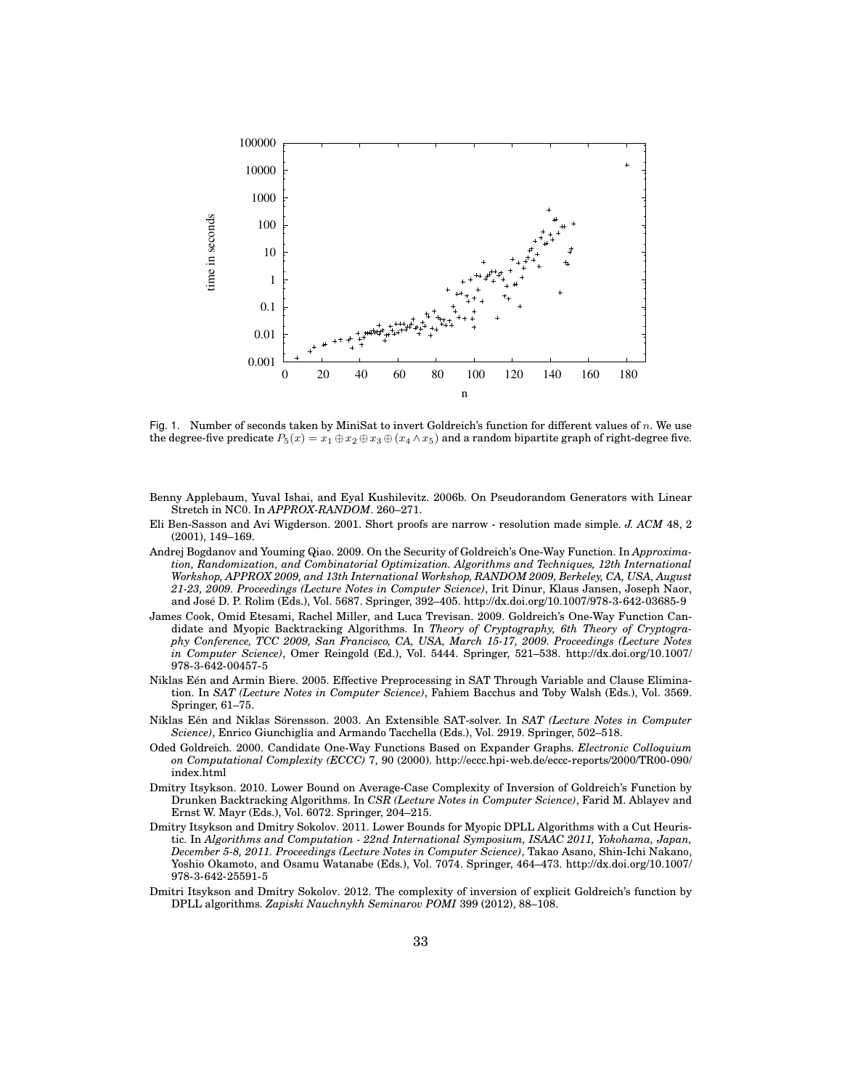

Fig. 1. Number of seconds taken by MiniSat to invert Goldreich's function for different values of n. We use the degree-five predicate  $P_5(x) = x_1 \oplus x_2 \oplus x_3 \oplus (x_4 \wedge x_5)$  and a random bipartite graph of right-degree five.

- Benny Applebaum, Yuval Ishai, and Eyal Kushilevitz. 2006b. On Pseudorandom Generators with Linear Stretch in NC0. In *APPROX-RANDOM*. 260–271.
- Eli Ben-Sasson and Avi Wigderson. 2001. Short proofs are narrow resolution made simple. *J. ACM* 48, 2 (2001), 149–169.
- Andrej Bogdanov and Youming Qiao. 2009. On the Security of Goldreich's One-Way Function. In *Approximation, Randomization, and Combinatorial Optimization. Algorithms and Techniques, 12th International Workshop, APPROX 2009, and 13th International Workshop, RANDOM 2009, Berkeley, CA, USA, August 21-23, 2009. Proceedings (Lecture Notes in Computer Science)*, Irit Dinur, Klaus Jansen, Joseph Naor, and Jose D. P. Rolim (Eds.), Vol. 5687. Springer, 392–405. http://dx.doi.org/10.1007/978-3-642-03685-9 ´
- James Cook, Omid Etesami, Rachel Miller, and Luca Trevisan. 2009. Goldreich's One-Way Function Candidate and Myopic Backtracking Algorithms. In *Theory of Cryptography, 6th Theory of Cryptography Conference, TCC 2009, San Francisco, CA, USA, March 15-17, 2009. Proceedings (Lecture Notes in Computer Science)*, Omer Reingold (Ed.), Vol. 5444. Springer, 521–538. http://dx.doi.org/10.1007/ 978-3-642-00457-5
- Niklas Een and Armin Biere. 2005. Effective Preprocessing in SAT Through Variable and Clause Elimina- ´ tion. In *SAT (Lecture Notes in Computer Science)*, Fahiem Bacchus and Toby Walsh (Eds.), Vol. 3569. Springer, 61–75.
- Niklas Eén and Niklas Sörensson. 2003. An Extensible SAT-solver. In SAT (Lecture Notes in Computer *Science)*, Enrico Giunchiglia and Armando Tacchella (Eds.), Vol. 2919. Springer, 502–518.
- Oded Goldreich. 2000. Candidate One-Way Functions Based on Expander Graphs. *Electronic Colloquium on Computational Complexity (ECCC)* 7, 90 (2000). http://eccc.hpi-web.de/eccc-reports/2000/TR00-090/ index.html
- Dmitry Itsykson. 2010. Lower Bound on Average-Case Complexity of Inversion of Goldreich's Function by Drunken Backtracking Algorithms. In *CSR (Lecture Notes in Computer Science)*, Farid M. Ablayev and Ernst W. Mayr (Eds.), Vol. 6072. Springer, 204–215.
- Dmitry Itsykson and Dmitry Sokolov. 2011. Lower Bounds for Myopic DPLL Algorithms with a Cut Heuristic. In *Algorithms and Computation - 22nd International Symposium, ISAAC 2011, Yokohama, Japan, December 5-8, 2011. Proceedings (Lecture Notes in Computer Science)*, Takao Asano, Shin-Ichi Nakano, Yoshio Okamoto, and Osamu Watanabe (Eds.), Vol. 7074. Springer, 464–473. http://dx.doi.org/10.1007/ 978-3-642-25591-5
- Dmitri Itsykson and Dmitry Sokolov. 2012. The complexity of inversion of explicit Goldreich's function by DPLL algorithms. *Zapiski Nauchnykh Seminarov POMI* 399 (2012), 88–108.